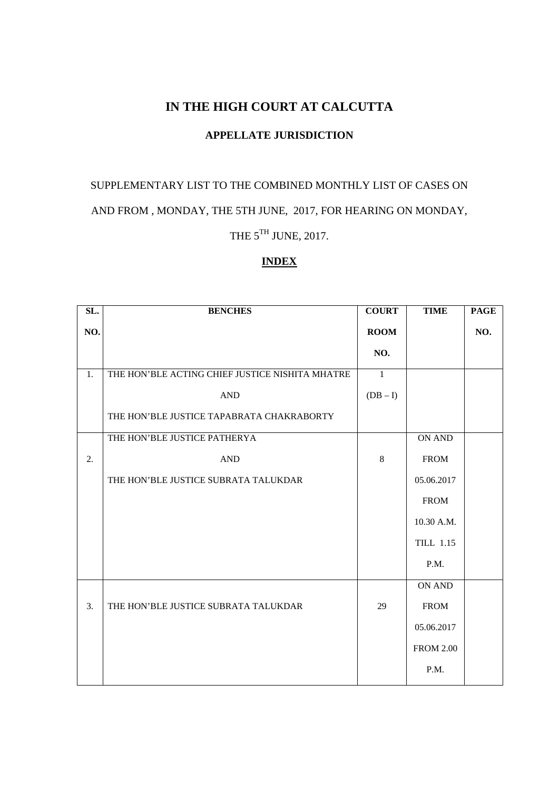## **IN THE HIGH COURT AT CALCUTTA**

## **APPELLATE JURISDICTION**

# SUPPLEMENTARY LIST TO THE COMBINED MONTHLY LIST OF CASES ON AND FROM , MONDAY, THE 5TH JUNE, 2017, FOR HEARING ON MONDAY,

THE  $5^{TH}$  JUNE, 2017.

## **INDEX**

| SL. | <b>BENCHES</b>                                  | <b>COURT</b>   | <b>TIME</b>      | <b>PAGE</b> |
|-----|-------------------------------------------------|----------------|------------------|-------------|
| NO. |                                                 | <b>ROOM</b>    |                  | NO.         |
|     |                                                 | NO.            |                  |             |
| 1.  | THE HON'BLE ACTING CHIEF JUSTICE NISHITA MHATRE | $\overline{1}$ |                  |             |
|     | <b>AND</b>                                      | $(DB - I)$     |                  |             |
|     | THE HON'BLE JUSTICE TAPABRATA CHAKRABORTY       |                |                  |             |
|     | THE HON'BLE JUSTICE PATHERYA                    |                | ON AND           |             |
| 2.  | $\mathbf{AND}$                                  | 8              | <b>FROM</b>      |             |
|     | THE HON'BLE JUSTICE SUBRATA TALUKDAR            |                | 05.06.2017       |             |
|     |                                                 |                | <b>FROM</b>      |             |
|     |                                                 |                | 10.30 A.M.       |             |
|     |                                                 |                | <b>TILL 1.15</b> |             |
|     |                                                 |                | P.M.             |             |
|     |                                                 |                | ON AND           |             |
| 3.  | THE HON'BLE JUSTICE SUBRATA TALUKDAR            | 29             | <b>FROM</b>      |             |
|     |                                                 |                | 05.06.2017       |             |
|     |                                                 |                | <b>FROM 2.00</b> |             |
|     |                                                 |                | P.M.             |             |
|     |                                                 |                |                  |             |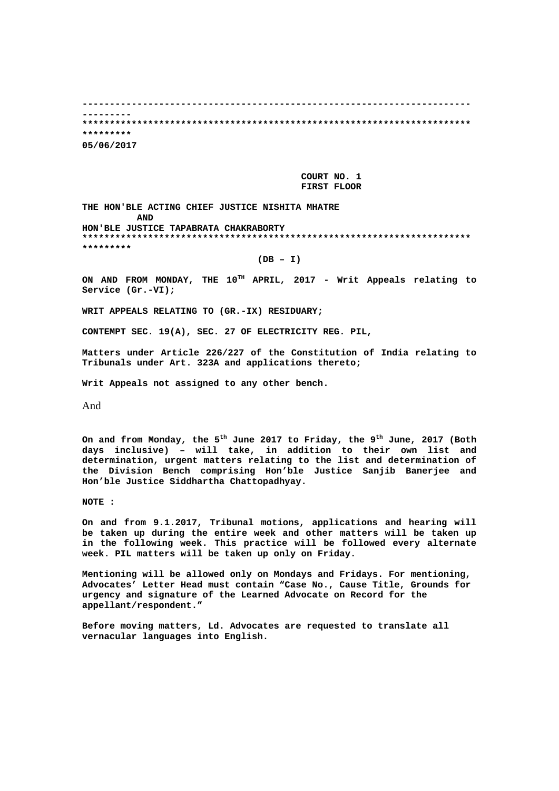**----------------------------------------------------------------------- --------- \*\*\*\*\*\*\*\*\*\*\*\*\*\*\*\*\*\*\*\*\*\*\*\*\*\*\*\*\*\*\*\*\*\*\*\*\*\*\*\*\*\*\*\*\*\*\*\*\*\*\*\*\*\*\*\*\*\*\*\*\*\*\*\*\*\*\*\*\*\*\* \*\*\*\*\*\*\*\*\* 05/06/2017** 

> **COURT NO. 1 FIRST FLOOR**

**THE HON'BLE ACTING CHIEF JUSTICE NISHITA MHATRE AND HON'BLE JUSTICE TAPABRATA CHAKRABORTY \*\*\*\*\*\*\*\*\*\*\*\*\*\*\*\*\*\*\*\*\*\*\*\*\*\*\*\*\*\*\*\*\*\*\*\*\*\*\*\*\*\*\*\*\*\*\*\*\*\*\*\*\*\*\*\*\*\*\*\*\*\*\*\*\*\*\*\*\*\*\* \*\*\*\*\*\*\*\*\***

**(DB – I)** 

ON AND FROM MONDAY, THE 10<sup>TH</sup> APRIL, 2017 - Writ Appeals relating to **Service (Gr.-VI);** 

**WRIT APPEALS RELATING TO (GR.-IX) RESIDUARY;** 

**CONTEMPT SEC. 19(A), SEC. 27 OF ELECTRICITY REG. PIL,** 

**Matters under Article 226/227 of the Constitution of India relating to Tribunals under Art. 323A and applications thereto;** 

**Writ Appeals not assigned to any other bench.** 

And

**On and from Monday, the 5th June 2017 to Friday, the 9th June, 2017 (Both days inclusive) – will take, in addition to their own list and determination, urgent matters relating to the list and determination of the Division Bench comprising Hon'ble Justice Sanjib Banerjee and Hon'ble Justice Siddhartha Chattopadhyay.** 

**NOTE :** 

**On and from 9.1.2017, Tribunal motions, applications and hearing will be taken up during the entire week and other matters will be taken up in the following week. This practice will be followed every alternate week. PIL matters will be taken up only on Friday.** 

**Mentioning will be allowed only on Mondays and Fridays. For mentioning, Advocates' Letter Head must contain "Case No., Cause Title, Grounds for urgency and signature of the Learned Advocate on Record for the appellant/respondent."** 

**Before moving matters, Ld. Advocates are requested to translate all vernacular languages into English.**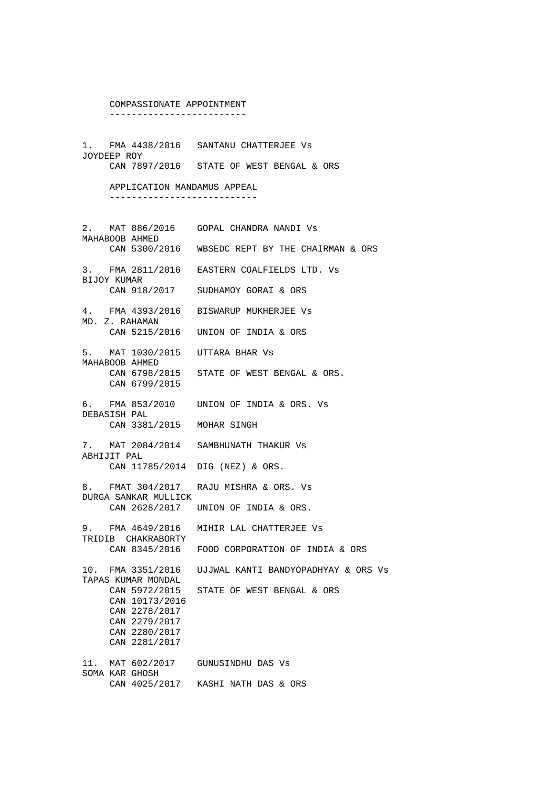#### COMPASSIONATE APPOINTMENT -------------------------

1. FMA 4438/2016 SANTANU CHATTERJEE Vs JOYDEEP ROY CAN 7897/2016 STATE OF WEST BENGAL & ORS

> APPLICATION MANDAMUS APPEAL ---------------------------

2. MAT 886/2016 GOPAL CHANDRA NANDI Vs MAHABOOB AHMED CAN 5300/2016 WBSEDC REPT BY THE CHAIRMAN & ORS 3. FMA 2811/2016 EASTERN COALFIELDS LTD. Vs BIJOY KUMAR CAN 918/2017 SUDHAMOY GORAI & ORS 4. FMA 4393/2016 BISWARUP MUKHERJEE Vs MD. Z. RAHAMAN CAN 5215/2016 UNION OF INDIA & ORS 5. MAT 1030/2015 UTTARA BHAR Vs MAHABOOB AHMED<br>CAN 6798/2015 STATE OF WEST BENGAL & ORS. CAN 6799/2015 6. FMA 853/2010 UNION OF INDIA & ORS. Vs DEBASISH PAL CAN 3381/2015 MOHAR SINGH 7. MAT 2084/2014 SAMBHUNATH THAKUR Vs ABHIJIT PAL CAN 11785/2014 DIG (NEZ) & ORS. 8. FMAT 304/2017 RAJU MISHRA & ORS. Vs DURGA SANKAR MULLICK CAN 2628/2017 UNION OF INDIA & ORS. 9. FMA 4649/2016 MIHIR LAL CHATTERJEE Vs TRIDIB CHAKRABORTY CAN 8345/2016 FOOD CORPORATION OF INDIA & ORS 10. FMA 3351/2016 UJJWAL KANTI BANDYOPADHYAY & ORS Vs TAPAS KUMAR MONDAL<br>CAN 5972/2015 STATE OF WEST BENGAL & ORS CAN 10173/2016 CAN 2278/2017 CAN 2279/2017 CAN 2280/2017 CAN 2281/2017 11. MAT 602/2017 GUNUSINDHU DAS Vs SOMA KAR GHOSH CAN 4025/2017 KASHI NATH DAS & ORS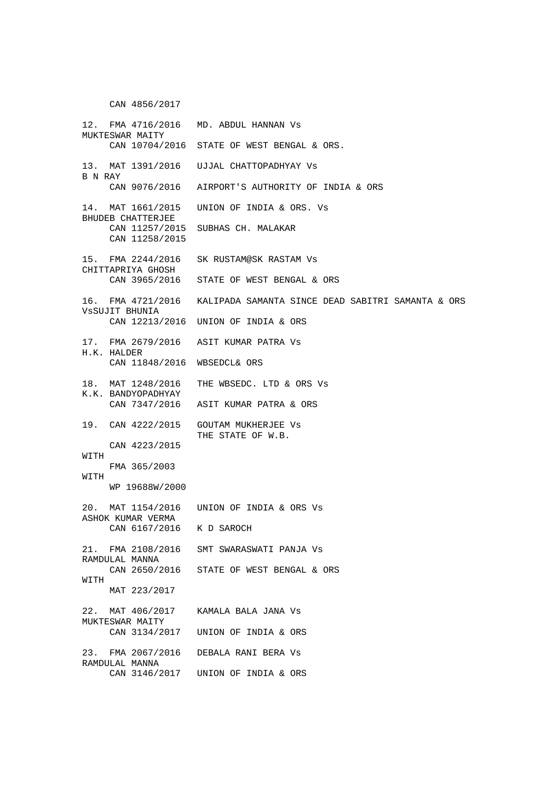CAN 4856/2017

12. FMA 4716/2016 MD. ABDUL HANNAN Vs MUKTESWAR MAITY CAN 10704/2016 STATE OF WEST BENGAL & ORS. 13. MAT 1391/2016 UJJAL CHATTOPADHYAY Vs B N RAY CAN 9076/2016 AIRPORT'S AUTHORITY OF INDIA & ORS 14. MAT 1661/2015 UNION OF INDIA & ORS. Vs BHUDEB CHATTERJEE CAN 11257/2015 SUBHAS CH. MALAKAR CAN 11258/2015 15. FMA 2244/2016 SK RUSTAM@SK RASTAM Vs CHITTAPRIYA GHOSH CAN 3965/2016 STATE OF WEST BENGAL & ORS 16. FMA 4721/2016 KALIPADA SAMANTA SINCE DEAD SABITRI SAMANTA & ORS VsSUJIT BHUNIA CAN 12213/2016 UNION OF INDIA & ORS 17. FMA 2679/2016 ASIT KUMAR PATRA Vs H.K. HALDER CAN 11848/2016 WBSEDCL& ORS 18. MAT 1248/2016 THE WBSEDC. LTD & ORS Vs K.K. BANDYOPADHYAY CAN 7347/2016 ASIT KUMAR PATRA & ORS 19. CAN 4222/2015 GOUTAM MUKHERJEE Vs THE STATE OF W.B. CAN 4223/2015 WITH FMA 365/2003 WITH WP 19688W/2000 20. MAT 1154/2016 UNION OF INDIA & ORS Vs ASHOK KUMAR VERMA CAN 6167/2016 K D SAROCH 21. FMA 2108/2016 SMT SWARASWATI PANJA Vs RAMDULAL MANNA CAN 2650/2016 STATE OF WEST BENGAL & ORS **WITH**  MAT 223/2017 22. MAT 406/2017 KAMALA BALA JANA Vs MUKTESWAR MAITY<br>CAN 3134/2017 UNION OF INDIA & ORS 23. FMA 2067/2016 DEBALA RANI BERA Vs RAMDULAL MANNA CAN 3146/2017 UNION OF INDIA & ORS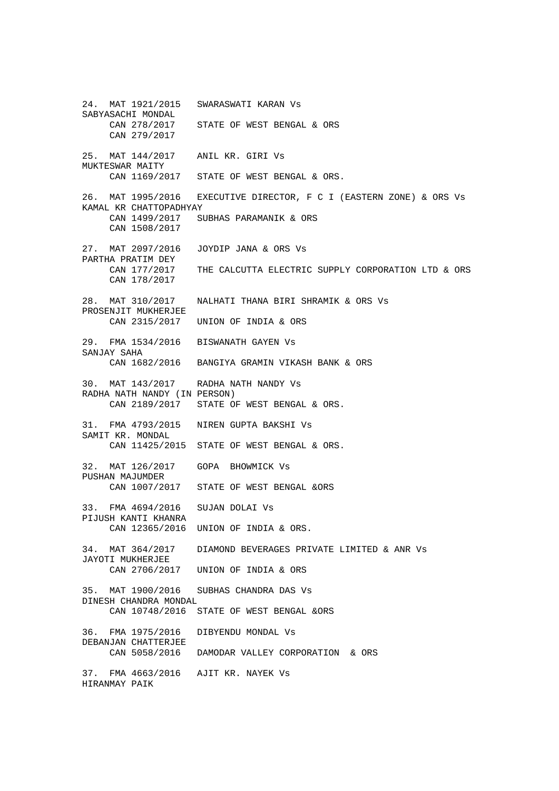24. MAT 1921/2015 SWARASWATI KARAN Vs SABYASACHI MONDAL CAN 278/2017 STATE OF WEST BENGAL & ORS CAN 279/2017 25. MAT 144/2017 ANIL KR. GIRI Vs MUKTESWAR MAITY CAN 1169/2017 STATE OF WEST BENGAL & ORS. 26. MAT 1995/2016 EXECUTIVE DIRECTOR, F C I (EASTERN ZONE) & ORS Vs KAMAL KR CHATTOPADHYAY CAN 1499/2017 SUBHAS PARAMANIK & ORS CAN 1508/2017 27. MAT 2097/2016 JOYDIP JANA & ORS Vs PARTHA PRATIM DEY CAN 177/2017 THE CALCUTTA ELECTRIC SUPPLY CORPORATION LTD & ORS CAN 178/2017 28. MAT 310/2017 NALHATI THANA BIRI SHRAMIK & ORS Vs PROSENJIT MUKHERJEE CAN 2315/2017 UNION OF INDIA & ORS 29. FMA 1534/2016 BISWANATH GAYEN Vs SANJAY SAHA CAN 1682/2016 BANGIYA GRAMIN VIKASH BANK & ORS 30. MAT 143/2017 RADHA NATH NANDY Vs RADHA NATH NANDY (IN PERSON) CAN 2189/2017 STATE OF WEST BENGAL & ORS. 31. FMA 4793/2015 NIREN GUPTA BAKSHI Vs SAMIT KR. MONDAL CAN 11425/2015 STATE OF WEST BENGAL & ORS. 32. MAT 126/2017 GOPA BHOWMICK Vs PUSHAN MAJUMDER CAN 1007/2017 STATE OF WEST BENGAL &ORS 33. FMA 4694/2016 SUJAN DOLAI Vs PIJUSH KANTI KHANRA CAN 12365/2016 UNION OF INDIA & ORS. 34. MAT 364/2017 DIAMOND BEVERAGES PRIVATE LIMITED & ANR Vs JAYOTI MUKHERJEE CAN 2706/2017 UNION OF INDIA & ORS 35. MAT 1900/2016 SUBHAS CHANDRA DAS Vs DINESH CHANDRA MONDAL CAN 10748/2016 STATE OF WEST BENGAL &ORS 36. FMA 1975/2016 DIBYENDU MONDAL Vs DEBANJAN CHATTERJEE CAN 5058/2016 DAMODAR VALLEY CORPORATION & ORS 37. FMA 4663/2016 AJIT KR. NAYEK Vs HIRANMAY PAIK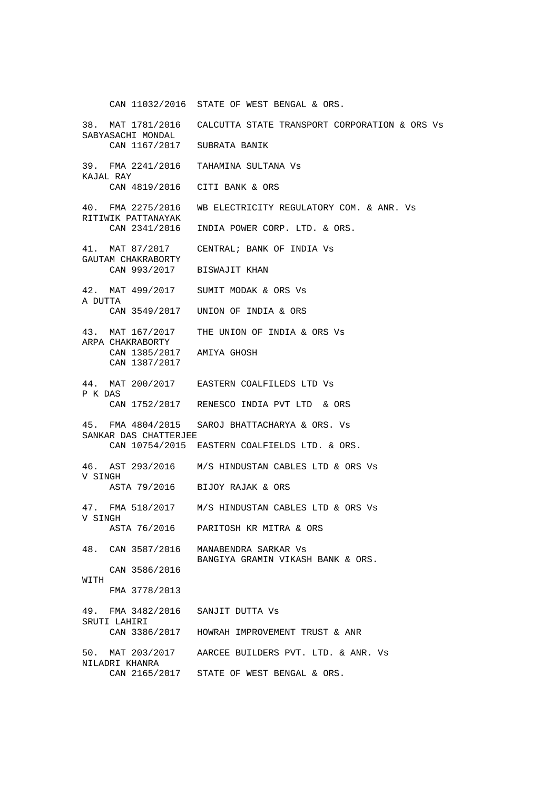CAN 11032/2016 STATE OF WEST BENGAL & ORS.

38. MAT 1781/2016 CALCUTTA STATE TRANSPORT CORPORATION & ORS Vs SABYASACHI MONDAL CAN 1167/2017 SUBRATA BANIK 39. FMA 2241/2016 TAHAMINA SULTANA Vs KAJAL RAY CAN 4819/2016 CITI BANK & ORS 40. FMA 2275/2016 WB ELECTRICITY REGULATORY COM. & ANR. Vs RITIWIK PATTANAYAK CAN 2341/2016 INDIA POWER CORP. LTD. & ORS. 41. MAT 87/2017 CENTRAL; BANK OF INDIA Vs GAUTAM CHAKRABORTY CAN 993/2017 BISWAJIT KHAN 42. MAT 499/2017 SUMIT MODAK & ORS Vs A DUTTA CAN 3549/2017 UNION OF INDIA & ORS 43. MAT 167/2017 THE UNION OF INDIA & ORS Vs ARPA CHAKRABORTY CAN 1385/2017 AMIYA GHOSH CAN 1387/2017 44. MAT 200/2017 EASTERN COALFILEDS LTD Vs P K DAS CAN 1752/2017 RENESCO INDIA PVT LTD & ORS 45. FMA 4804/2015 SAROJ BHATTACHARYA & ORS. Vs SANKAR DAS CHATTERJEE CAN 10754/2015 EASTERN COALFIELDS LTD. & ORS. 46. AST 293/2016 M/S HINDUSTAN CABLES LTD & ORS Vs V SINGH ASTA 79/2016 BIJOY RAJAK & ORS 47. FMA 518/2017 M/S HINDUSTAN CABLES LTD & ORS Vs V SINGH ASTA 76/2016 PARITOSH KR MITRA & ORS 48. CAN 3587/2016 MANABENDRA SARKAR Vs BANGIYA GRAMIN VIKASH BANK & ORS. CAN 3586/2016 WITH FMA 3778/2013 49. FMA 3482/2016 SANJIT DUTTA Vs SRUTI LAHIRI<br>CAN 3386/2017 HOWRAH IMPROVEMENT TRUST & ANR 50. MAT 203/2017 AARCEE BUILDERS PVT. LTD. & ANR. Vs NILADRI KHANRA CAN 2165/2017 STATE OF WEST BENGAL & ORS.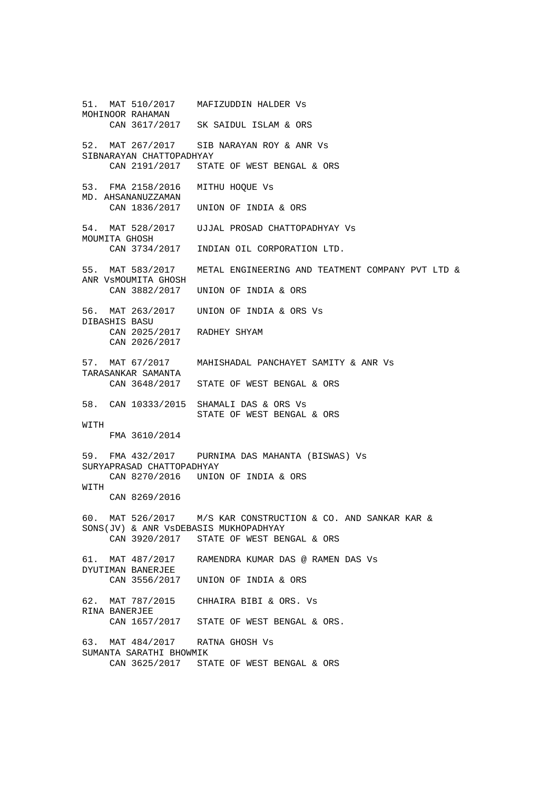51. MAT 510/2017 MAFIZUDDIN HALDER Vs MOHINOOR RAHAMAN CAN 3617/2017 SK SAIDUL ISLAM & ORS 52. MAT 267/2017 SIB NARAYAN ROY & ANR Vs SIBNARAYAN CHATTOPADHYAY CAN 2191/2017 STATE OF WEST BENGAL & ORS 53. FMA 2158/2016 MITHU HOQUE Vs MD. AHSANANUZZAMAN CAN 1836/2017 UNION OF INDIA & ORS 54. MAT 528/2017 UJJAL PROSAD CHATTOPADHYAY Vs MOUMITA GHOSH CAN 3734/2017 INDIAN OIL CORPORATION LTD. 55. MAT 583/2017 METAL ENGINEERING AND TEATMENT COMPANY PVT LTD & ANR VsMOUMITA GHOSH CAN 3882/2017 UNION OF INDIA & ORS 56. MAT 263/2017 UNION OF INDIA & ORS Vs DIBASHIS BASU CAN 2025/2017 RADHEY SHYAM CAN 2026/2017 57. MAT 67/2017 MAHISHADAL PANCHAYET SAMITY & ANR Vs TARASANKAR SAMANTA STATE OF WEST BENGAL & ORS 58. CAN 10333/2015 SHAMALI DAS & ORS Vs STATE OF WEST BENGAL & ORS **WITH**  FMA 3610/2014 59. FMA 432/2017 PURNIMA DAS MAHANTA (BISWAS) Vs SURYAPRASAD CHATTOPADHYAY CAN 8270/2016 UNION OF INDIA & ORS WITH CAN 8269/2016 60. MAT 526/2017 M/S KAR CONSTRUCTION & CO. AND SANKAR KAR & SONS(JV) & ANR VsDEBASIS MUKHOPADHYAY CAN 3920/2017 STATE OF WEST BENGAL & ORS 61. MAT 487/2017 RAMENDRA KUMAR DAS @ RAMEN DAS Vs DYUTIMAN BANERJEE CAN 3556/2017 UNION OF INDIA & ORS 62. MAT 787/2015 CHHAIRA BIBI & ORS. Vs RINA BANERJEE CAN 1657/2017 STATE OF WEST BENGAL & ORS. 63. MAT 484/2017 RATNA GHOSH Vs SUMANTA SARATHI BHOWMIK CAN 3625/2017 STATE OF WEST BENGAL & ORS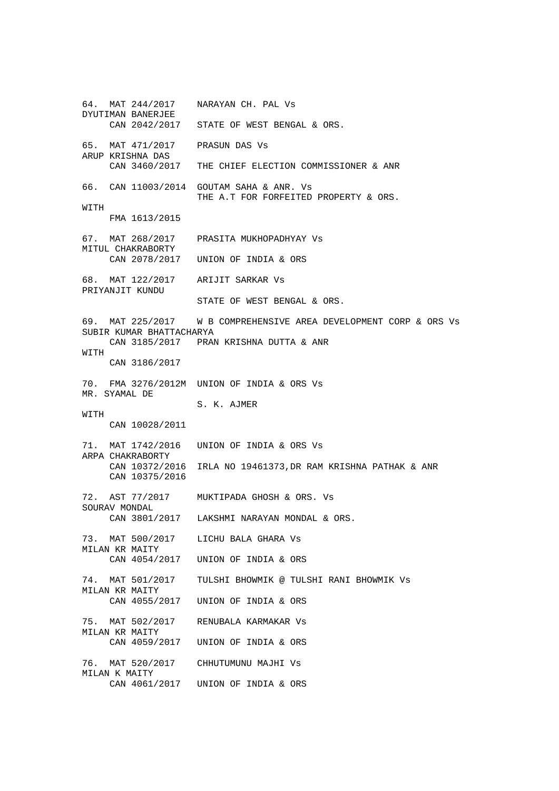64. MAT 244/2017 NARAYAN CH. PAL Vs DYUTIMAN BANERJEE CAN 2042/2017 STATE OF WEST BENGAL & ORS. 65. MAT 471/2017 PRASUN DAS Vs ARUP KRISHNA DAS CAN 3460/2017 THE CHIEF ELECTION COMMISSIONER & ANR 66. CAN 11003/2014 GOUTAM SAHA & ANR. Vs THE A.T FOR FORFEITED PROPERTY & ORS. WITH FMA 1613/2015 67. MAT 268/2017 PRASITA MUKHOPADHYAY Vs MITUL CHAKRABORTY CAN 2078/2017 UNION OF INDIA & ORS 68. MAT 122/2017 ARIJIT SARKAR Vs PRIYANJIT KUNDU STATE OF WEST BENGAL & ORS. 69. MAT 225/2017 W B COMPREHENSIVE AREA DEVELOPMENT CORP & ORS Vs SUBIR KUMAR BHATTACHARYA CAN 3185/2017 PRAN KRISHNA DUTTA & ANR WITH CAN 3186/2017 70. FMA 3276/2012M UNION OF INDIA & ORS Vs MR. SYAMAL DE S. K. AJMER **WITH**  CAN 10028/2011 71. MAT 1742/2016 UNION OF INDIA & ORS Vs ARPA CHAKRABORTY CAN 10372/2016 IRLA NO 19461373,DR RAM KRISHNA PATHAK & ANR CAN 10375/2016 72. AST 77/2017 MUKTIPADA GHOSH & ORS. Vs SOURAV MONDAL CAN 3801/2017 LAKSHMI NARAYAN MONDAL & ORS. 73. MAT 500/2017 LICHU BALA GHARA Vs MILAN KR MAITY<br>CAN 4054/2017 UNION OF INDIA & ORS 74. MAT 501/2017 TULSHI BHOWMIK @ TULSHI RANI BHOWMIK Vs MILAN KR MAITY<br>CAN 4055/2017 UNION OF INDIA & ORS 75. MAT 502/2017 RENUBALA KARMAKAR Vs MILAN KR MAITY CAN 4059/2017 UNION OF INDIA & ORS 76. MAT 520/2017 CHHUTUMUNU MAJHI Vs MILAN K MAITY CAN 4061/2017 UNION OF INDIA & ORS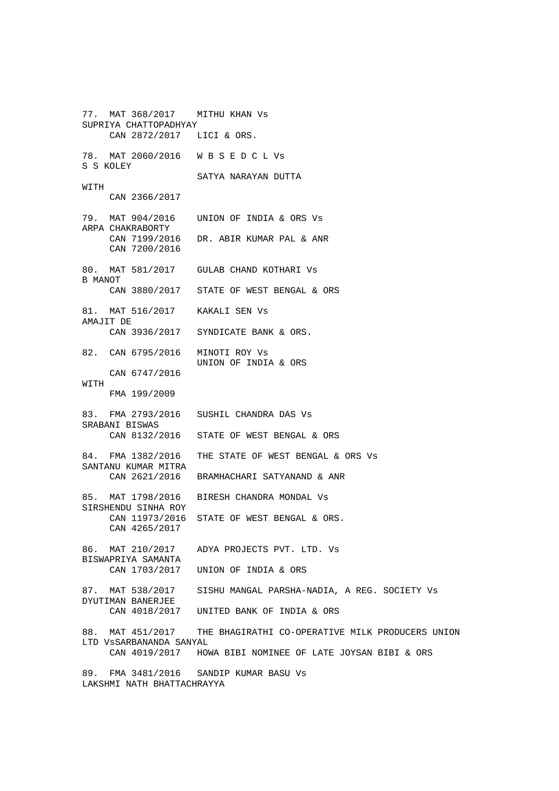77. MAT 368/2017 MITHU KHAN Vs SUPRIYA CHATTOPADHYAY CAN 2872/2017 LICI & ORS. 78. MAT 2060/2016 W B S E D C L Vs S S KOLEY SATYA NARAYAN DUTTA WITH CAN 2366/2017 79. MAT 904/2016 UNION OF INDIA & ORS Vs ARPA CHAKRABORTY CAN 7199/2016 DR. ABIR KUMAR PAL & ANR CAN 7200/2016 80. MAT 581/2017 GULAB CHAND KOTHARI Vs B MANOT CAN 3880/2017 STATE OF WEST BENGAL & ORS 81. MAT 516/2017 KAKALI SEN Vs AMAJIT DE CAN 3936/2017 SYNDICATE BANK & ORS. 82. CAN 6795/2016 MINOTI ROY Vs UNION OF INDIA & ORS CAN 6747/2016 **WITH**  FMA 199/2009 83. FMA 2793/2016 SUSHIL CHANDRA DAS Vs SRABANI BISWAS CAN 8132/2016 STATE OF WEST BENGAL & ORS 84. FMA 1382/2016 THE STATE OF WEST BENGAL & ORS Vs SANTANU KUMAR MITRA CAN 2621/2016 BRAMHACHARI SATYANAND & ANR 85. MAT 1798/2016 BIRESH CHANDRA MONDAL Vs SIRSHENDU SINHA ROY CAN 11973/2016 STATE OF WEST BENGAL & ORS. CAN 4265/2017 86. MAT 210/2017 ADYA PROJECTS PVT. LTD. Vs BISWAPRIYA SAMANTA UNION OF INDIA & ORS 87. MAT 538/2017 SISHU MANGAL PARSHA-NADIA, A REG. SOCIETY Vs DYUTIMAN BANERJEE CAN 4018/2017 UNITED BANK OF INDIA & ORS 88. MAT 451/2017 THE BHAGIRATHI CO-OPERATIVE MILK PRODUCERS UNION LTD VsSARBANANDA SANYAL CAN 4019/2017 HOWA BIBI NOMINEE OF LATE JOYSAN BIBI & ORS 89. FMA 3481/2016 SANDIP KUMAR BASU Vs LAKSHMI NATH BHATTACHRAYYA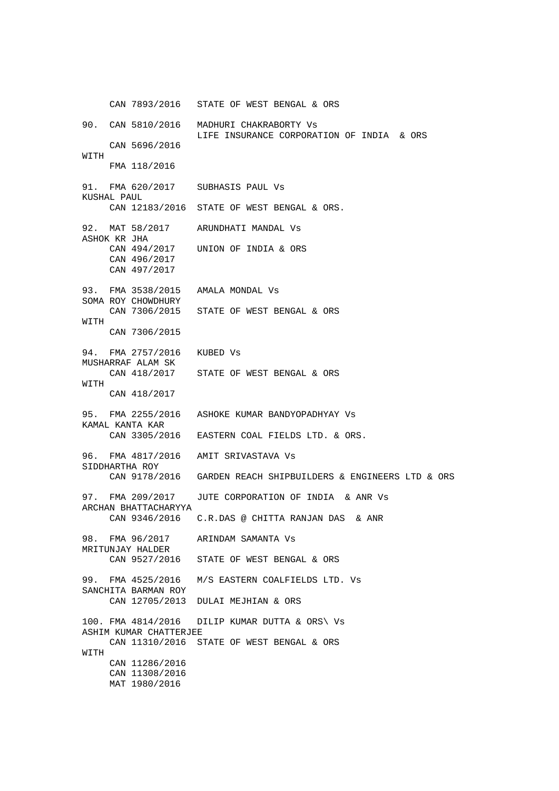CAN 7893/2016 STATE OF WEST BENGAL & ORS 90. CAN 5810/2016 MADHURI CHAKRABORTY Vs LIFE INSURANCE CORPORATION OF INDIA & ORS CAN 5696/2016 WITH FMA 118/2016 91. FMA 620/2017 SUBHASIS PAUL Vs KUSHAL PAUL CAN 12183/2016 STATE OF WEST BENGAL & ORS. 92. MAT 58/2017 ARUNDHATI MANDAL Vs ASHOK KR JHA CAN 494/2017 UNION OF INDIA & ORS CAN 496/2017 CAN 497/2017 93. FMA 3538/2015 AMALA MONDAL Vs SOMA ROY CHOWDHURY CAN 7306/2015 STATE OF WEST BENGAL & ORS WITH CAN 7306/2015 94. FMA 2757/2016 KUBED Vs MUSHARRAF ALAM SK CAN 418/2017 STATE OF WEST BENGAL & ORS **WITH**  CAN 418/2017 95. FMA 2255/2016 ASHOKE KUMAR BANDYOPADHYAY Vs KAMAL KANTA KAR CAN 3305/2016 EASTERN COAL FIELDS LTD. & ORS. 96. FMA 4817/2016 AMIT SRIVASTAVA Vs SIDDHARTHA ROY CAN 9178/2016 GARDEN REACH SHIPBUILDERS & ENGINEERS LTD & ORS 97. FMA 209/2017 JUTE CORPORATION OF INDIA & ANR Vs ARCHAN BHATTACHARYYA CAN 9346/2016 C.R.DAS @ CHITTA RANJAN DAS & ANR 98. FMA 96/2017 ARINDAM SAMANTA Vs MRITUNJAY HALDER CAN 9527/2016 STATE OF WEST BENGAL & ORS 99. FMA 4525/2016 M/S EASTERN COALFIELDS LTD. Vs SANCHITA BARMAN ROY CAN 12705/2013 DULAI MEJHIAN & ORS 100. FMA 4814/2016 DILIP KUMAR DUTTA & ORS\ Vs ASHIM KUMAR CHATTERJEE CAN 11310/2016 STATE OF WEST BENGAL & ORS WITH CAN 11286/2016 CAN 11308/2016 MAT 1980/2016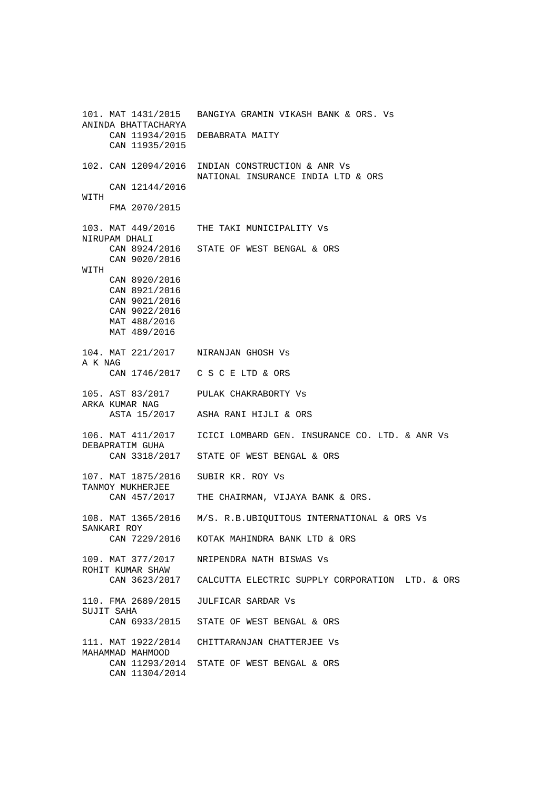101. MAT 1431/2015 BANGIYA GRAMIN VIKASH BANK & ORS. Vs ANINDA BHATTACHARYA CAN 11934/2015 DEBABRATA MAITY CAN 11935/2015 102. CAN 12094/2016 INDIAN CONSTRUCTION & ANR Vs NATIONAL INSURANCE INDIA LTD & ORS CAN 12144/2016 WITH FMA 2070/2015 103. MAT 449/2016 THE TAKI MUNICIPALITY Vs NIRUPAM DHALI CAN 8924/2016 STATE OF WEST BENGAL & ORS CAN 9020/2016 WITH CAN 8920/2016 CAN 8921/2016 CAN 9021/2016 CAN 9022/2016 MAT 488/2016 MAT 489/2016 104. MAT 221/2017 NIRANJAN GHOSH Vs A K NAG CAN 1746/2017 C S C E LTD & ORS 105. AST 83/2017 PULAK CHAKRABORTY Vs ARKA KUMAR NAG ASTA 15/2017 ASHA RANI HIJLI & ORS 106. MAT 411/2017 ICICI LOMBARD GEN. INSURANCE CO. LTD. & ANR Vs DEBAPRATIM GUHA CAN 3318/2017 STATE OF WEST BENGAL & ORS 107. MAT 1875/2016 SUBIR KR. ROY Vs TANMOY MUKHERJEE CAN 457/2017 THE CHAIRMAN, VIJAYA BANK & ORS. 108. MAT 1365/2016 M/S. R.B.UBIQUITOUS INTERNATIONAL & ORS Vs SANKARI ROY<br>CAN 7229/2016 KOTAK MAHINDRA BANK LTD & ORS 109. MAT 377/2017 NRIPENDRA NATH BISWAS Vs ROHIT KUMAR SHAW CAN 3623/2017 CALCUTTA ELECTRIC SUPPLY CORPORATION LTD. & ORS 110. FMA 2689/2015 JULFICAR SARDAR Vs SUJIT SAHA CAN 6933/2015 STATE OF WEST BENGAL & ORS 111. MAT 1922/2014 CHITTARANJAN CHATTERJEE Vs MAHAMMAD MAHMOOD CAN 11293/2014 STATE OF WEST BENGAL & ORS CAN 11304/2014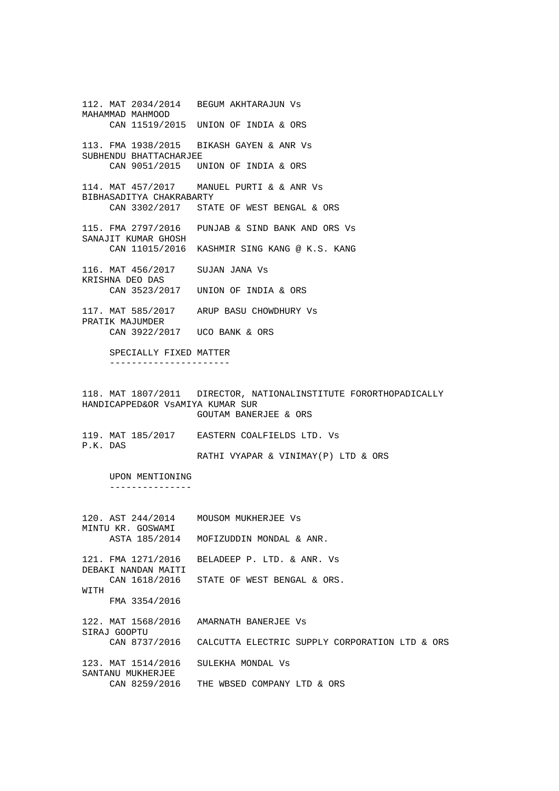112. MAT 2034/2014 BEGUM AKHTARAJUN Vs MAHAMMAD MAHMOOD CAN 11519/2015 UNION OF INDIA & ORS 113. FMA 1938/2015 BIKASH GAYEN & ANR Vs SUBHENDU BHATTACHARJEE CAN 9051/2015 UNION OF INDIA & ORS 114. MAT 457/2017 MANUEL PURTI & & ANR Vs BIBHASADITYA CHAKRABARTY CAN 3302/2017 STATE OF WEST BENGAL & ORS 115. FMA 2797/2016 PUNJAB & SIND BANK AND ORS Vs SANAJIT KUMAR GHOSH CAN 11015/2016 KASHMIR SING KANG @ K.S. KANG 116. MAT 456/2017 SUJAN JANA Vs KRISHNA DEO DAS CAN 3523/2017 UNION OF INDIA & ORS 117. MAT 585/2017 ARUP BASU CHOWDHURY Vs PRATIK MAJUMDER CAN 3922/2017 UCO BANK & ORS SPECIALLY FIXED MATTER ---------------------- 118. MAT 1807/2011 DIRECTOR, NATIONALINSTITUTE FORORTHOPADICALLY HANDICAPPED&OR VsAMIYA KUMAR SUR GOUTAM BANERJEE & ORS 119. MAT 185/2017 EASTERN COALFIELDS LTD. Vs P.K. DAS RATHI VYAPAR & VINIMAY(P) LTD & ORS UPON MENTIONING --------------- 120. AST 244/2014 MOUSOM MUKHERJEE Vs MINTU KR. GOSWAMI ASTA 185/2014 MOFIZUDDIN MONDAL & ANR. 121. FMA 1271/2016 BELADEEP P. LTD. & ANR. Vs DEBAKI NANDAN MAITI CAN 1618/2016 STATE OF WEST BENGAL & ORS. WITH FMA 3354/2016 122. MAT 1568/2016 AMARNATH BANERJEE Vs SIRAJ GOOPTU CAN 8737/2016 CALCUTTA ELECTRIC SUPPLY CORPORATION LTD & ORS 123. MAT 1514/2016 SULEKHA MONDAL Vs SANTANU MUKHERJEE CAN 8259/2016 THE WBSED COMPANY LTD & ORS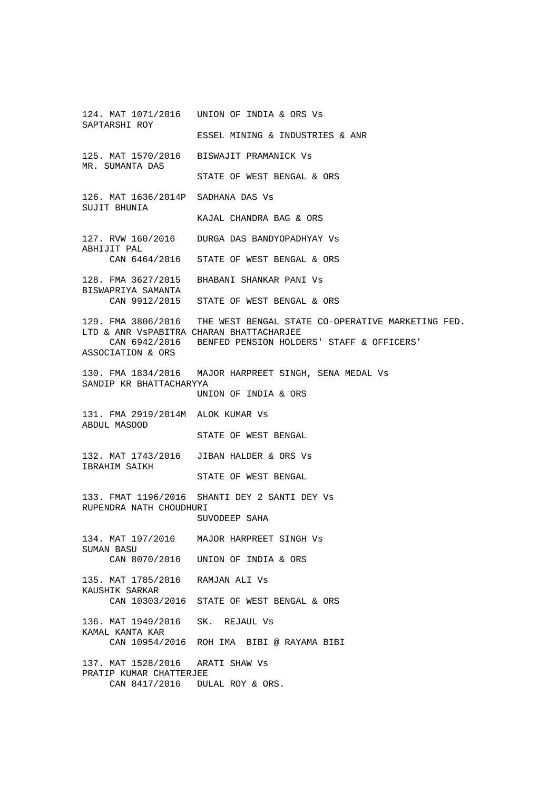124. MAT 1071/2016 UNION OF INDIA & ORS Vs SAPTARSHI ROY ESSEL MINING & INDUSTRIES & ANR 125. MAT 1570/2016 BISWAJIT PRAMANICK Vs MR. SUMANTA DAS STATE OF WEST BENGAL & ORS 126. MAT 1636/2014P SADHANA DAS Vs SUJIT BHUNIA KAJAL CHANDRA BAG & ORS 127. RVW 160/2016 DURGA DAS BANDYOPADHYAY Vs ABHIJIT PAL CAN 6464/2016 STATE OF WEST BENGAL & ORS 128. FMA 3627/2015 BHABANI SHANKAR PANI Vs BISWAPRIYA SAMANTA CAN 9912/2015 STATE OF WEST BENGAL & ORS 129. FMA 3806/2016 THE WEST BENGAL STATE CO-OPERATIVE MARKETING FED. LTD & ANR VsPABITRA CHARAN BHATTACHARJEE CAN 6942/2016 BENFED PENSION HOLDERS' STAFF & OFFICERS' ASSOCIATION & ORS 130. FMA 1834/2016 MAJOR HARPREET SINGH, SENA MEDAL Vs SANDIP KR BHATTACHARYYA UNION OF INDIA & ORS 131. FMA 2919/2014M ALOK KUMAR Vs ABDUL MASOOD STATE OF WEST BENGAL 132. MAT 1743/2016 JIBAN HALDER & ORS Vs IBRAHIM SAIKH STATE OF WEST BENGAL 133. FMAT 1196/2016 SHANTI DEY 2 SANTI DEY Vs RUPENDRA NATH CHOUDHURI SUVODEEP SAHA 134. MAT 197/2016 MAJOR HARPREET SINGH Vs SUMAN BASU CAN 8070/2016 UNION OF INDIA & ORS 135. MAT 1785/2016 RAMJAN ALI Vs KAUSHIK SARKAR CAN 10303/2016 STATE OF WEST BENGAL & ORS 136. MAT 1949/2016 SK. REJAUL Vs KAMAL KANTA KAR CAN 10954/2016 ROH IMA BIBI @ RAYAMA BIBI 137. MAT 1528/2016 ARATI SHAW Vs PRATIP KUMAR CHATTERJEE CAN 8417/2016 DULAL ROY & ORS.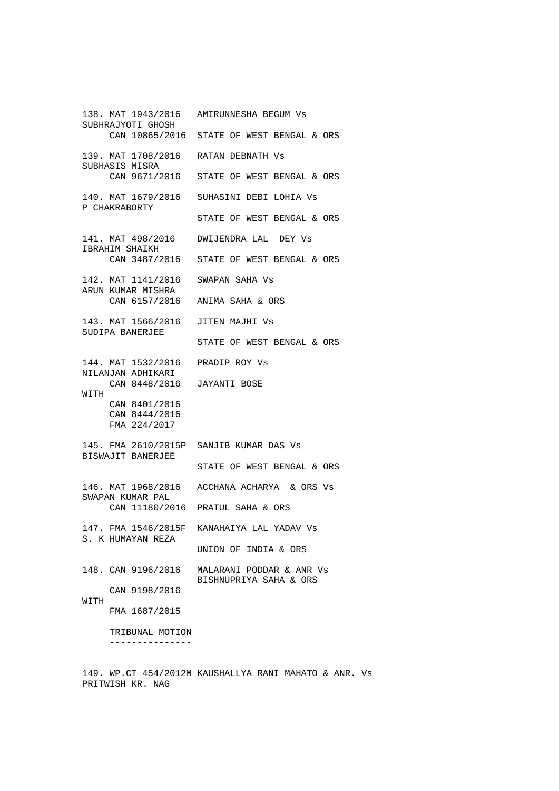138. MAT 1943/2016 AMIRUNNESHA BEGUM Vs SUBHRAJYOTI GHOSH CAN 10865/2016 STATE OF WEST BENGAL & ORS 139. MAT 1708/2016 RATAN DEBNATH Vs SUBHASIS MISRA CAN 9671/2016 STATE OF WEST BENGAL & ORS 140. MAT 1679/2016 SUHASINI DEBI LOHIA Vs P CHAKRABORTY STATE OF WEST BENGAL & ORS 141. MAT 498/2016 DWIJENDRA LAL DEY Vs IBRAHIM SHAIKH CAN 3487/2016 STATE OF WEST BENGAL & ORS 142. MAT 1141/2016 SWAPAN SAHA Vs ARUN KUMAR MISHRA CAN 6157/2016 ANIMA SAHA & ORS 143. MAT 1566/2016 JITEN MAJHI Vs SUDIPA BANERJEE STATE OF WEST BENGAL & ORS 144. MAT 1532/2016 PRADIP ROY Vs NILANJAN ADHIKARI CAN 8448/2016 JAYANTI BOSE **WITH**  CAN 8401/2016 CAN 8444/2016 FMA 224/2017 145. FMA 2610/2015P SANJIB KUMAR DAS Vs BISWAJIT BANERJEE STATE OF WEST BENGAL & ORS 146. MAT 1968/2016 ACCHANA ACHARYA & ORS Vs SWAPAN KUMAR PAL CAN 11180/2016 PRATUL SAHA & ORS 147. FMA 1546/2015F KANAHAIYA LAL YADAV Vs S. K HUMAYAN REZA UNION OF INDIA & ORS 148. CAN 9196/2016 MALARANI PODDAR & ANR Vs BISHNUPRIYA SAHA & ORS CAN 9198/2016 WITH FMA 1687/2015 TRIBUNAL MOTION ---------------

149. WP.CT 454/2012M KAUSHALLYA RANI MAHATO & ANR. Vs PRITWISH KR. NAG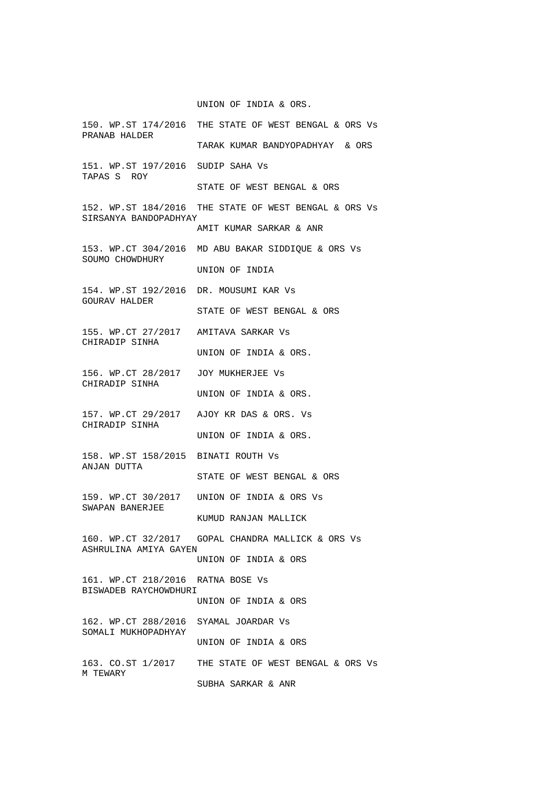UNION OF INDIA & ORS.

- 150. WP.ST 174/2016 THE STATE OF WEST BENGAL & ORS Vs PRANAB HALDER TARAK KUMAR BANDYOPADHYAY & ORS 151. WP.ST 197/2016 SUDIP SAHA Vs TAPAS S ROY STATE OF WEST BENGAL & ORS 152. WP.ST 184/2016 THE STATE OF WEST BENGAL & ORS Vs SIRSANYA BANDOPADHYAY AMIT KUMAR SARKAR & ANR 153. WP.CT 304/2016 MD ABU BAKAR SIDDIQUE & ORS Vs SOUMO CHOWDHURY UNION OF INDIA 154. WP.ST 192/2016 DR. MOUSUMI KAR Vs GOURAV HALDER STATE OF WEST BENGAL & ORS 155. WP.CT 27/2017 AMITAVA SARKAR Vs CHIRADIP SINHA UNION OF INDIA & ORS. 156. WP.CT 28/2017 JOY MUKHERJEE Vs CHIRADIP SINHA UNION OF INDIA & ORS. 157. WP.CT 29/2017 AJOY KR DAS & ORS. Vs CHIRADIP SINHA UNION OF INDIA & ORS. 158. WP.ST 158/2015 BINATI ROUTH Vs ANJAN DUTTA STATE OF WEST BENGAL & ORS 159. WP.CT 30/2017 UNION OF INDIA & ORS Vs SWAPAN BANERJEE KUMUD RANJAN MALLICK 160. WP.CT 32/2017 GOPAL CHANDRA MALLICK & ORS Vs ASHRULINA AMIYA GAYEN UNION OF INDIA & ORS BISWADEB RAYCHOWDHURI UNION OF INDIA & ORS SOMALI MUKHOPADHYAY UNION OF INDIA & ORS 163. CO.ST 1/2017 THE STATE OF WEST BENGAL & ORS Vs M TEWARY SUBHA SARKAR & ANR
- 161. WP.CT 218/2016 RATNA BOSE Vs
- 162. WP.CT 288/2016 SYAMAL JOARDAR Vs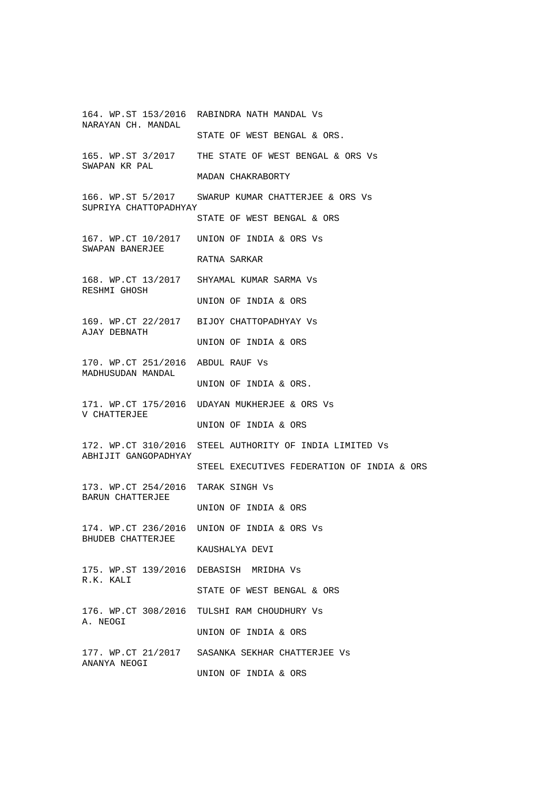164. WP.ST 153/2016 RABINDRA NATH MANDAL Vs NARAYAN CH. MANDAL STATE OF WEST BENGAL & ORS. 165. WP.ST 3/2017 THE STATE OF WEST BENGAL & ORS Vs SWAPAN KR PAL MADAN CHAKRABORTY 166. WP.ST 5/2017 SWARUP KUMAR CHATTERJEE & ORS Vs SUPRIYA CHATTOPADHYAY STATE OF WEST BENGAL & ORS 167. WP.CT 10/2017 UNION OF INDIA & ORS Vs SWAPAN BANERJEE RATNA SARKAR 168. WP.CT 13/2017 SHYAMAL KUMAR SARMA Vs RESHMI GHOSH UNION OF INDIA & ORS 169. WP.CT 22/2017 BIJOY CHATTOPADHYAY Vs AJAY DEBNATH UNION OF INDIA & ORS 170. WP.CT 251/2016 ABDUL RAUF Vs MADHUSUDAN MANDAL UNION OF INDIA & ORS. 171. WP.CT 175/2016 UDAYAN MUKHERJEE & ORS Vs V CHATTERJEE UNION OF INDIA & ORS 172. WP.CT 310/2016 STEEL AUTHORITY OF INDIA LIMITED Vs ABHIJIT GANGOPADHYAY STEEL EXECUTIVES FEDERATION OF INDIA & ORS 173. WP.CT 254/2016 TARAK SINGH Vs BARUN CHATTERJEE UNION OF INDIA & ORS 174. WP.CT 236/2016 UNION OF INDIA & ORS Vs BHUDEB CHATTERJEE KAUSHALYA DEVI 175. WP.ST 139/2016 DEBASISH MRIDHA Vs R.K. KALI STATE OF WEST BENGAL & ORS 176. WP.CT 308/2016 TULSHI RAM CHOUDHURY Vs A. NEOGI UNION OF INDIA & ORS 177. WP.CT 21/2017 SASANKA SEKHAR CHATTERJEE Vs ANANYA NEOGI UNION OF INDIA & ORS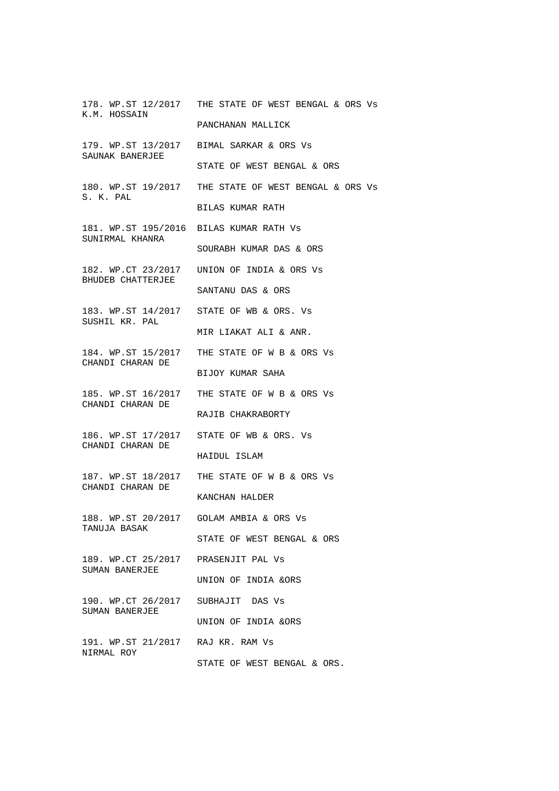178. WP.ST 12/2017 THE STATE OF WEST BENGAL & ORS Vs K.M. HOSSAIN PANCHANAN MALLICK 179. WP.ST 13/2017 BIMAL SARKAR & ORS Vs SAUNAK BANERJEE STATE OF WEST BENGAL & ORS 180. WP.ST 19/2017 THE STATE OF WEST BENGAL & ORS Vs S. K. PAL BILAS KUMAR RATH 181. WP.ST 195/2016 BILAS KUMAR RATH Vs SUNIRMAL KHANRA SOURABH KUMAR DAS & ORS 182. WP.CT 23/2017 UNION OF INDIA & ORS Vs BHUDEB CHATTERJEE SANTANU DAS & ORS 183. WP.ST 14/2017 STATE OF WB & ORS. Vs SUSHIL KR. PAL MIR LIAKAT ALI & ANR. 184. WP.ST 15/2017 THE STATE OF W B & ORS Vs CHANDI CHARAN DE BIJOY KUMAR SAHA 185. WP.ST 16/2017 THE STATE OF W B & ORS Vs CHANDI CHARAN DE RAJIB CHAKRABORTY 186. WP.ST 17/2017 STATE OF WB & ORS. Vs CHANDI CHARAN DE HAIDUL ISLAM 187. WP.ST 18/2017 THE STATE OF W B & ORS Vs CHANDI CHARAN DE KANCHAN HALDER 188. WP.ST 20/2017 GOLAM AMBIA & ORS Vs TANUJA BASAK STATE OF WEST BENGAL & ORS 189. WP.CT 25/2017 PRASENJIT PAL Vs SUMAN BANERJEE UNION OF INDIA &ORS 190. WP.CT 26/2017 SUBHAJIT DAS Vs SUMAN BANERJEE UNION OF INDIA &ORS 191. WP.ST 21/2017 RAJ KR. RAM Vs NIRMAL ROY STATE OF WEST BENGAL & ORS.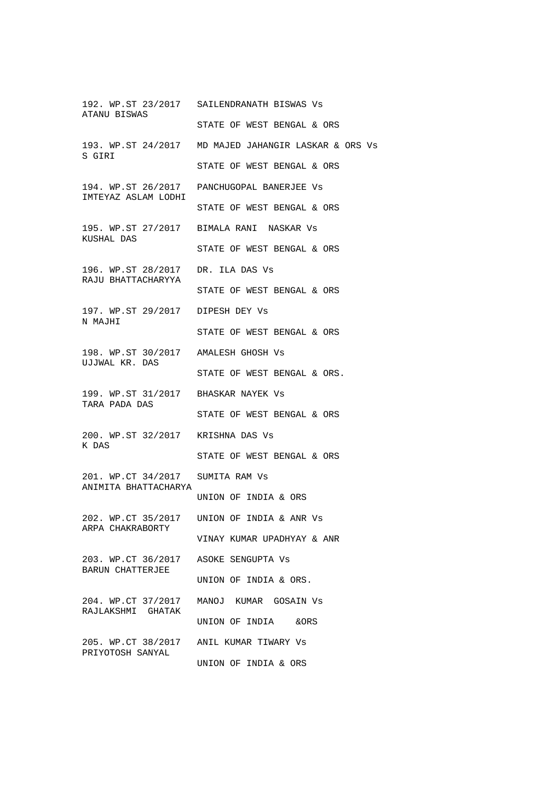192. WP.ST 23/2017 SAILENDRANATH BISWAS Vs ATANU BISWAS STATE OF WEST BENGAL & ORS 193. WP.ST 24/2017 MD MAJED JAHANGIR LASKAR & ORS Vs S GIRI STATE OF WEST BENGAL & ORS 194. WP.ST 26/2017 PANCHUGOPAL BANERJEE Vs IMTEYAZ ASLAM LODHI STATE OF WEST BENGAL & ORS 195. WP.ST 27/2017 BIMALA RANI NASKAR Vs KUSHAL DAS STATE OF WEST BENGAL & ORS 196. WP.ST 28/2017 DR. ILA DAS Vs RAJU BHATTACHARYYA STATE OF WEST BENGAL & ORS 197. WP.ST 29/2017 DIPESH DEY Vs N MAJHI STATE OF WEST BENGAL & ORS 198. WP.ST 30/2017 AMALESH GHOSH Vs UJJWAL KR. DAS STATE OF WEST BENGAL & ORS. 199. WP.ST 31/2017 BHASKAR NAYEK Vs TARA PADA DAS STATE OF WEST BENGAL & ORS 200. WP.ST 32/2017 KRISHNA DAS Vs K DAS STATE OF WEST BENGAL & ORS 201. WP.CT 34/2017 SUMITA RAM Vs ANIMITA BHATTACHARYA UNION OF INDIA & ORS 202. WP.CT 35/2017 UNION OF INDIA & ANR Vs ARPA CHAKRABORTY VINAY KUMAR UPADHYAY & ANR 203. WP.CT 36/2017 ASOKE SENGUPTA Vs BARUN CHATTERJEE UNION OF INDIA & ORS. 204. WP.CT 37/2017 MANOJ KUMAR GOSAIN Vs RAJLAKSHMI GHATAK UNION OF INDIA &ORS 205. WP.CT 38/2017 ANIL KUMAR TIWARY Vs PRIYOTOSH SANYAL UNION OF INDIA & ORS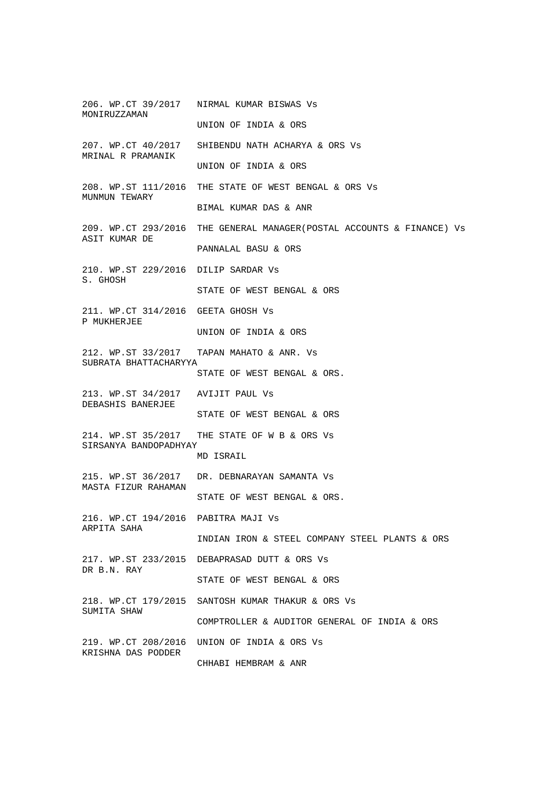206. WP.CT 39/2017 NIRMAL KUMAR BISWAS Vs MONIRUZZAMAN UNION OF INDIA & ORS 207. WP.CT 40/2017 SHIBENDU NATH ACHARYA & ORS Vs MRINAL R PRAMANIK UNION OF INDIA & ORS 208. WP.ST 111/2016 THE STATE OF WEST BENGAL & ORS Vs MUNMUN TEWARY BIMAL KUMAR DAS & ANR 209. WP.CT 293/2016 THE GENERAL MANAGER(POSTAL ACCOUNTS & FINANCE) Vs ASIT KUMAR DE PANNALAL BASU & ORS 210. WP.ST 229/2016 DILIP SARDAR Vs S. GHOSH STATE OF WEST BENGAL & ORS 211. WP.CT 314/2016 GEETA GHOSH Vs P MUKHERJEE UNION OF INDIA & ORS 212. WP.ST 33/2017 TAPAN MAHATO & ANR. Vs SUBRATA BHATTACHARYYA STATE OF WEST BENGAL & ORS. 213. WP.ST 34/2017 AVIJIT PAUL Vs DEBASHIS BANERJEE STATE OF WEST BENGAL & ORS 214. WP.ST 35/2017 THE STATE OF W B & ORS Vs SIRSANYA BANDOPADHYAY MD ISRAIL 215. WP.ST 36/2017 DR. DEBNARAYAN SAMANTA Vs MASTA FIZUR RAHAMAN STATE OF WEST BENGAL & ORS. 216. WP.CT 194/2016 PABITRA MAJI Vs ARPITA SAHA INDIAN IRON & STEEL COMPANY STEEL PLANTS & ORS 217. WP.ST 233/2015 DEBAPRASAD DUTT & ORS Vs DR B.N. RAY STATE OF WEST BENGAL & ORS 218. WP.CT 179/2015 SANTOSH KUMAR THAKUR & ORS Vs SUMITA SHAW COMPTROLLER & AUDITOR GENERAL OF INDIA & ORS 219. WP.CT 208/2016 UNION OF INDIA & ORS Vs KRISHNA DAS PODDER CHHABI HEMBRAM & ANR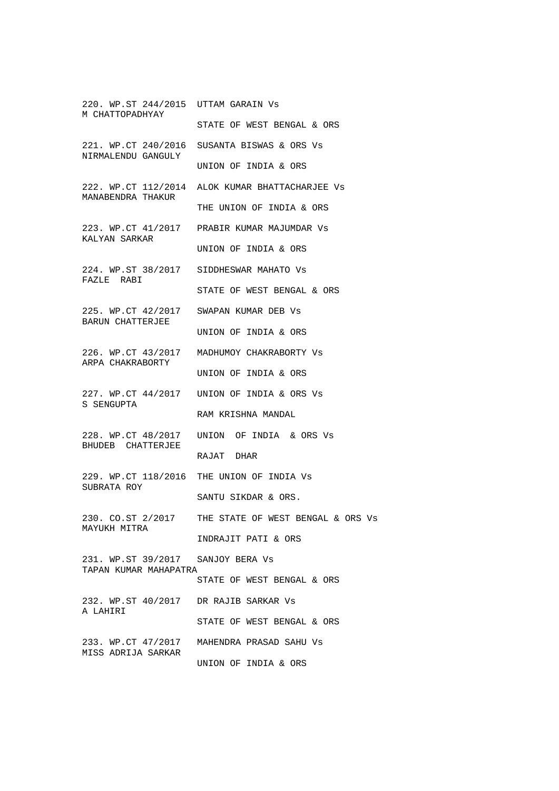220. WP.ST 244/2015 UTTAM GARAIN Vs M CHATTOPADHYAY STATE OF WEST BENGAL & ORS 221. WP.CT 240/2016 SUSANTA BISWAS & ORS Vs NIRMALENDU GANGULY UNION OF INDIA & ORS 222. WP.CT 112/2014 ALOK KUMAR BHATTACHARJEE Vs MANABENDRA THAKUR THE UNION OF INDIA & ORS 223. WP.CT 41/2017 PRABIR KUMAR MAJUMDAR Vs KALYAN SARKAR UNION OF INDIA & ORS 224. WP.ST 38/2017 SIDDHESWAR MAHATO Vs FAZLE RABI STATE OF WEST BENGAL & ORS 225. WP.CT 42/2017 SWAPAN KUMAR DEB Vs BARUN CHATTERJEE UNION OF INDIA & ORS 226. WP.CT 43/2017 MADHUMOY CHAKRABORTY Vs ARPA CHAKRABORTY UNION OF INDIA & ORS 227. WP.CT 44/2017 UNION OF INDIA & ORS Vs S SENGUPTA RAM KRISHNA MANDAL 228. WP.CT 48/2017 UNION OF INDIA & ORS Vs BHUDEB CHATTERJEE RAJAT DHAR 229. WP.CT 118/2016 THE UNION OF INDIA Vs SUBRATA ROY SANTU SIKDAR & ORS. 230. CO.ST 2/2017 THE STATE OF WEST BENGAL & ORS Vs MAYUKH MITRA INDRAJIT PATI & ORS 231. WP.ST 39/2017 SANJOY BERA Vs TAPAN KUMAR MAHAPATRA STATE OF WEST BENGAL & ORS 232. WP.ST 40/2017 DR RAJIB SARKAR Vs A LAHIRI STATE OF WEST BENGAL & ORS 233. WP.CT 47/2017 MAHENDRA PRASAD SAHU Vs MISS ADRIJA SARKAR UNION OF INDIA & ORS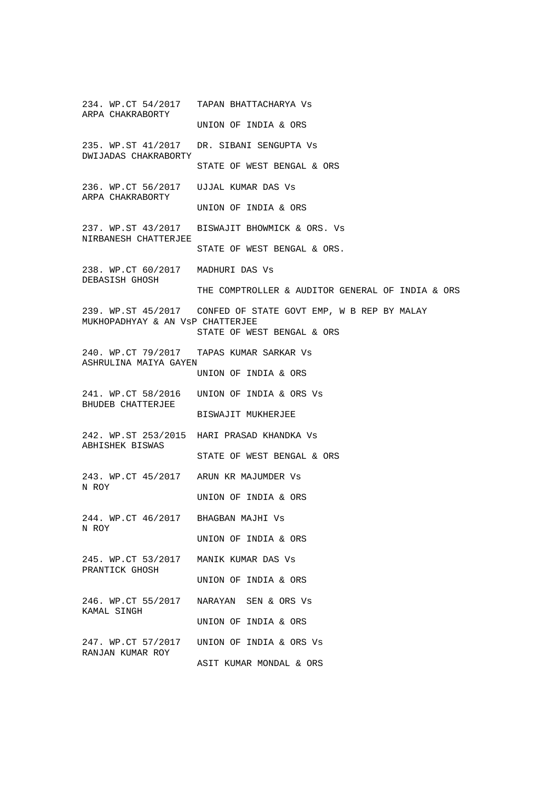234. WP.CT 54/2017 TAPAN BHATTACHARYA Vs ARPA CHAKRABORTY UNION OF INDIA & ORS 235. WP.ST 41/2017 DR. SIBANI SENGUPTA Vs DWIJADAS CHAKRABORTY STATE OF WEST BENGAL & ORS 236. WP.CT 56/2017 UJJAL KUMAR DAS Vs ARPA CHAKRABORTY UNION OF INDIA & ORS 237. WP.ST 43/2017 BISWAJIT BHOWMICK & ORS. Vs NIRBANESH CHATTERJEE STATE OF WEST BENGAL & ORS. 238. WP.CT 60/2017 MADHURI DAS Vs DEBASISH GHOSH THE COMPTROLLER & AUDITOR GENERAL OF INDIA & ORS 239. WP.ST 45/2017 CONFED OF STATE GOVT EMP, W B REP BY MALAY MUKHOPADHYAY & AN VsP CHATTERJEE STATE OF WEST BENGAL & ORS 240. WP.CT 79/2017 TAPAS KUMAR SARKAR Vs ASHRULINA MAIYA GAYEN UNION OF INDIA & ORS 241. WP.CT 58/2016 UNION OF INDIA & ORS Vs BHUDEB CHATTERJEE BISWAJIT MUKHERJEE 242. WP.ST 253/2015 HARI PRASAD KHANDKA Vs ABHISHEK BISWAS STATE OF WEST BENGAL & ORS 243. WP.CT 45/2017 ARUN KR MAJUMDER Vs N ROY UNION OF INDIA & ORS 244. WP.CT 46/2017 BHAGBAN MAJHI Vs N ROY UNION OF INDIA & ORS 245. WP.CT 53/2017 MANIK KUMAR DAS Vs PRANTICK GHOSH UNION OF INDIA & ORS 246. WP.CT 55/2017 NARAYAN SEN & ORS Vs KAMAL SINGH UNION OF INDIA & ORS 247. WP.CT 57/2017 UNION OF INDIA & ORS Vs RANJAN KUMAR ROY ASIT KUMAR MONDAL & ORS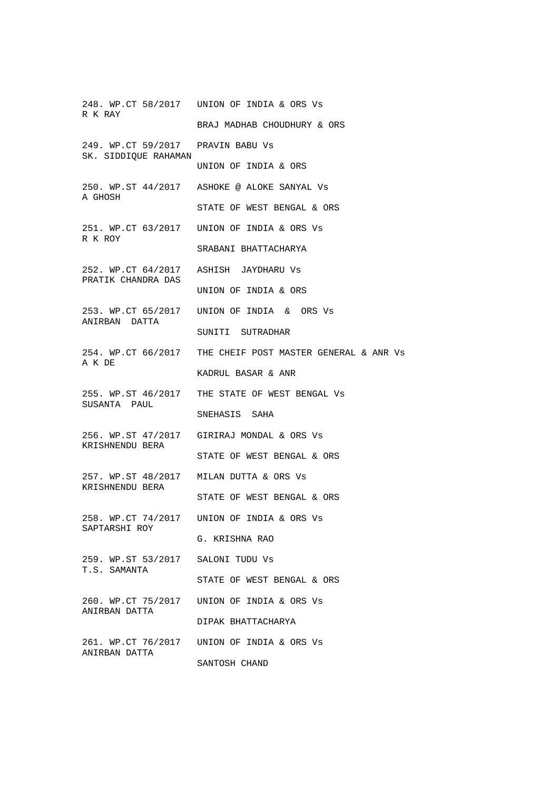248. WP.CT 58/2017 UNION OF INDIA & ORS Vs R K RAY BRAJ MADHAB CHOUDHURY & ORS 249. WP.CT 59/2017 PRAVIN BABU Vs SK. SIDDIQUE RAHAMAN UNION OF INDIA & ORS 250. WP.ST 44/2017 ASHOKE @ ALOKE SANYAL Vs A GHOSH STATE OF WEST BENGAL & ORS 251. WP.CT 63/2017 UNION OF INDIA & ORS Vs R K ROY SRABANI BHATTACHARYA 252. WP.CT 64/2017 ASHISH JAYDHARU Vs PRATIK CHANDRA DAS UNION OF INDIA & ORS 253. WP.CT 65/2017 UNION OF INDIA & ORS Vs ANIRBAN DATTA SUNITI SUTRADHAR 254. WP.CT 66/2017 THE CHEIF POST MASTER GENERAL & ANR Vs A K DE KADRUL BASAR & ANR 255. WP.ST 46/2017 THE STATE OF WEST BENGAL Vs SUSANTA PAUL SNEHASIS SAHA 256. WP.ST 47/2017 GIRIRAJ MONDAL & ORS Vs KRISHNENDU BERA STATE OF WEST BENGAL & ORS 257. WP.ST 48/2017 MILAN DUTTA & ORS Vs KRISHNENDU BERA STATE OF WEST BENGAL & ORS 258. WP.CT 74/2017 UNION OF INDIA & ORS Vs SAPTARSHI ROY G. KRISHNA RAO 259. WP.ST 53/2017 SALONI TUDU Vs T.S. SAMANTA STATE OF WEST BENGAL & ORS 260. WP.CT 75/2017 UNION OF INDIA & ORS Vs ANIRBAN DATTA DIPAK BHATTACHARYA 261. WP.CT 76/2017 UNION OF INDIA & ORS Vs ANIRBAN DATTA SANTOSH CHAND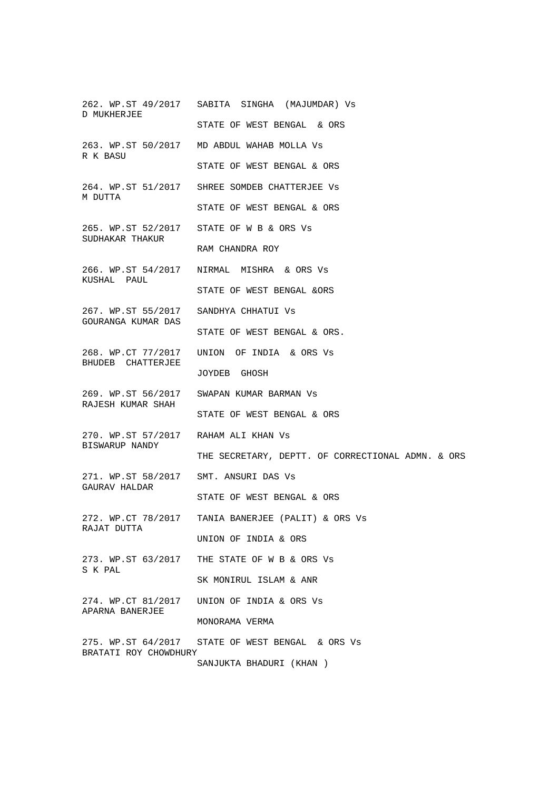262. WP.ST 49/2017 SABITA SINGHA (MAJUMDAR) Vs D MUKHERJEE STATE OF WEST BENGAL & ORS 263. WP.ST 50/2017 MD ABDUL WAHAB MOLLA Vs R K BASU STATE OF WEST BENGAL & ORS 264. WP.ST 51/2017 SHREE SOMDEB CHATTERJEE Vs M DUTTA STATE OF WEST BENGAL & ORS 265. WP.ST 52/2017 STATE OF W B & ORS Vs SUDHAKAR THAKUR RAM CHANDRA ROY 266. WP.ST 54/2017 NIRMAL MISHRA & ORS Vs KUSHAL PAUL STATE OF WEST BENGAL &ORS 267. WP.ST 55/2017 SANDHYA CHHATUI Vs GOURANGA KUMAR DAS STATE OF WEST BENGAL & ORS. 268. WP.CT 77/2017 UNION OF INDIA & ORS Vs BHUDEB CHATTERJEE JOYDEB GHOSH 269. WP.ST 56/2017 SWAPAN KUMAR BARMAN Vs RAJESH KUMAR SHAH STATE OF WEST BENGAL & ORS 270. WP.ST 57/2017 RAHAM ALI KHAN Vs BISWARUP NANDY THE SECRETARY, DEPTT. OF CORRECTIONAL ADMN. & ORS 271. WP.ST 58/2017 SMT. ANSURI DAS Vs GAURAV HALDAR STATE OF WEST BENGAL & ORS 272. WP.CT 78/2017 TANIA BANERJEE (PALIT) & ORS Vs RAJAT DUTTA UNION OF INDIA & ORS 273. WP.ST 63/2017 THE STATE OF W B & ORS Vs S K PAL SK MONIRUL ISLAM & ANR 274. WP.CT 81/2017 UNION OF INDIA & ORS Vs APARNA BANERJEE MONORAMA VERMA 275. WP.ST 64/2017 STATE OF WEST BENGAL & ORS Vs BRATATI ROY CHOWDHURY SANJUKTA BHADURI (KHAN )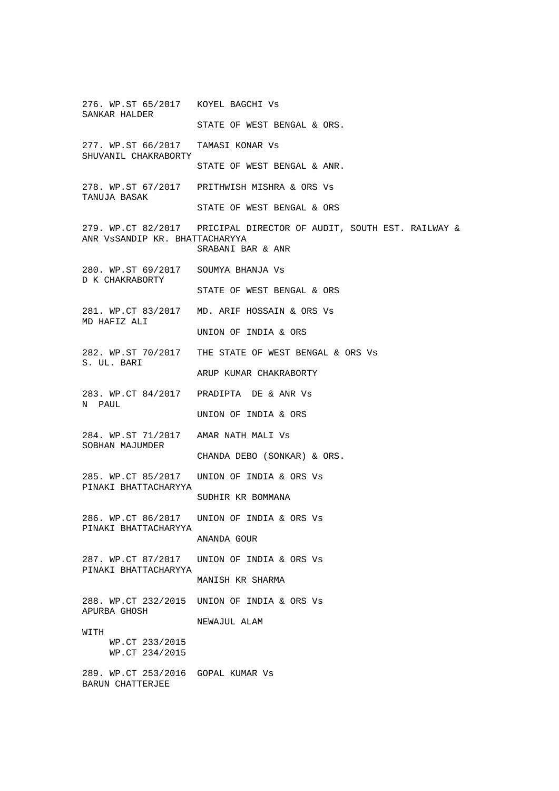276. WP.ST 65/2017 KOYEL BAGCHI Vs SANKAR HALDER STATE OF WEST BENGAL & ORS. 277. WP.ST 66/2017 TAMASI KONAR Vs SHUVANIL CHAKRABORTY STATE OF WEST BENGAL & ANR. 278. WP.ST 67/2017 PRITHWISH MISHRA & ORS Vs TANUJA BASAK STATE OF WEST BENGAL & ORS 279. WP.CT 82/2017 PRICIPAL DIRECTOR OF AUDIT, SOUTH EST. RAILWAY & ANR VsSANDIP KR. BHATTACHARYYA SRABANI BAR & ANR 280. WP.ST 69/2017 SOUMYA BHANJA Vs D K CHAKRABORTY STATE OF WEST BENGAL & ORS 281. WP.CT 83/2017 MD. ARIF HOSSAIN & ORS Vs MD HAFIZ ALI UNION OF INDIA & ORS 282. WP.ST 70/2017 THE STATE OF WEST BENGAL & ORS Vs S. UL. BARI ARUP KUMAR CHAKRABORTY 283. WP.CT 84/2017 PRADIPTA DE & ANR Vs N PAUL UNION OF INDIA & ORS 284. WP.ST 71/2017 AMAR NATH MALI Vs SOBHAN MAJUMDER CHANDA DEBO (SONKAR) & ORS. 285. WP.CT 85/2017 UNION OF INDIA & ORS Vs PINAKI BHATTACHARYYA SUDHIR KR BOMMANA 286. WP.CT 86/2017 UNION OF INDIA & ORS Vs PINAKI BHATTACHARYYA ANANDA GOUR 287. WP.CT 87/2017 UNION OF INDIA & ORS Vs PINAKI BHATTACHARYYA MANISH KR SHARMA 288. WP.CT 232/2015 UNION OF INDIA & ORS Vs APURBA GHOSH NEWAJUL ALAM **WITTH**  WP.CT 233/2015 WP.CT 234/2015 289. WP.CT 253/2016 GOPAL KUMAR Vs BARUN CHATTERJEE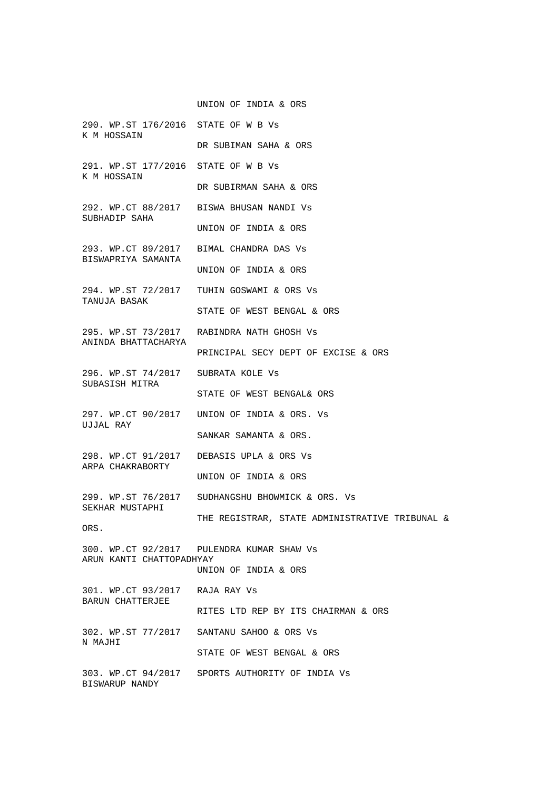UNION OF INDIA & ORS

290. WP.ST 176/2016 STATE OF W B Vs K M HOSSAIN DR SUBIMAN SAHA & ORS 291. WP.ST 177/2016 STATE OF W B Vs K M HOSSAIN DR SUBIRMAN SAHA & ORS 292. WP.CT 88/2017 BISWA BHUSAN NANDI Vs SUBHADIP SAHA UNION OF INDIA & ORS 293. WP.CT 89/2017 BIMAL CHANDRA DAS Vs BISWAPRIYA SAMANTA UNION OF INDIA & ORS 294. WP.ST 72/2017 TUHIN GOSWAMI & ORS Vs TANUJA BASAK STATE OF WEST BENGAL & ORS 295. WP.ST 73/2017 RABINDRA NATH GHOSH Vs ANINDA BHATTACHARYA PRINCIPAL SECY DEPT OF EXCISE & ORS 296. WP.ST 74/2017 SUBRATA KOLE Vs SUBASISH MITRA STATE OF WEST BENGAL& ORS 297. WP.CT 90/2017 UNION OF INDIA & ORS. Vs UJJAL RAY SANKAR SAMANTA & ORS. 298. WP.CT 91/2017 DEBASIS UPLA & ORS Vs ARPA CHAKRABORTY UNION OF INDIA & ORS 299. WP.ST 76/2017 SUDHANGSHU BHOWMICK & ORS. Vs SEKHAR MUSTAPHI THE REGISTRAR, STATE ADMINISTRATIVE TRIBUNAL & ORS. 300. WP.CT 92/2017 PULENDRA KUMAR SHAW Vs ARUN KANTI CHATTOPADHYAY UNION OF INDIA & ORS 301. WP.CT 93/2017 RAJA RAY Vs BARUN CHATTERJEE RITES LTD REP BY ITS CHAIRMAN & ORS 302. WP.ST 77/2017 SANTANU SAHOO & ORS Vs N MAJHI STATE OF WEST BENGAL & ORS 303. WP.CT 94/2017 SPORTS AUTHORITY OF INDIA Vs BISWARUP NANDY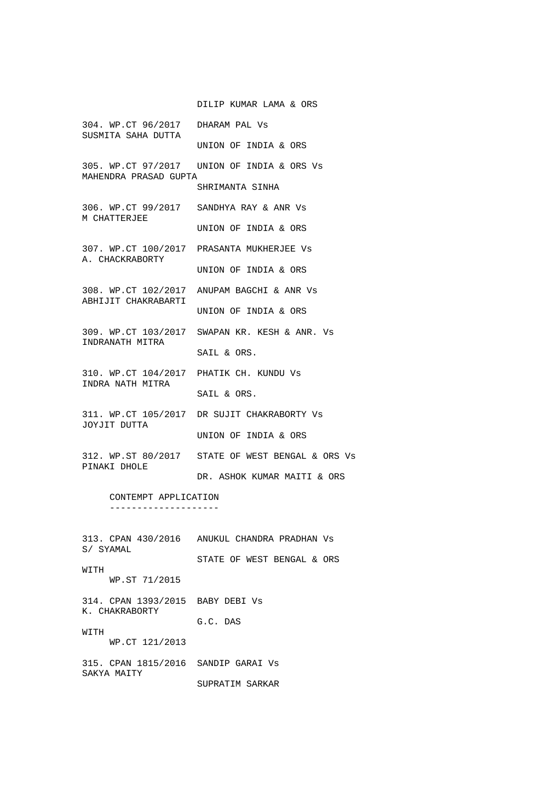DILIP KUMAR LAMA & ORS

304. WP.CT 96/2017 DHARAM PAL Vs SUSMITA SAHA DUTTA UNION OF INDIA & ORS 305. WP.CT 97/2017 UNION OF INDIA & ORS Vs MAHENDRA PRASAD GUPTA SHRIMANTA SINHA 306. WP.CT 99/2017 SANDHYA RAY & ANR Vs M CHATTERJEE UNION OF INDIA & ORS 307. WP.CT 100/2017 PRASANTA MUKHERJEE Vs A. CHACKRABORTY UNION OF INDIA & ORS 308. WP.CT 102/2017 ANUPAM BAGCHI & ANR Vs ABHIJIT CHAKRABARTI UNION OF INDIA & ORS 309. WP.CT 103/2017 SWAPAN KR. KESH & ANR. Vs INDRANATH MITRA SAIL & ORS. 310. WP.CT 104/2017 PHATIK CH. KUNDU Vs INDRA NATH MITRA SAIL & ORS. 311. WP.CT 105/2017 DR SUJIT CHAKRABORTY Vs JOYJIT DUTTA UNION OF INDIA & ORS 312. WP.ST 80/2017 STATE OF WEST BENGAL & ORS Vs PINAKI DHOLE DR. ASHOK KUMAR MAITI & ORS CONTEMPT APPLICATION -------------------- 313. CPAN 430/2016 ANUKUL CHANDRA PRADHAN Vs S/ SYAMAL STATE OF WEST BENGAL & ORS WITH WP.ST 71/2015 314. CPAN 1393/2015 BABY DEBI Vs K. CHAKRABORTY G.C. DAS **WITH**  WP.CT 121/2013 315. CPAN 1815/2016 SANDIP GARAI Vs SAKYA MAITY SUPRATIM SARKAR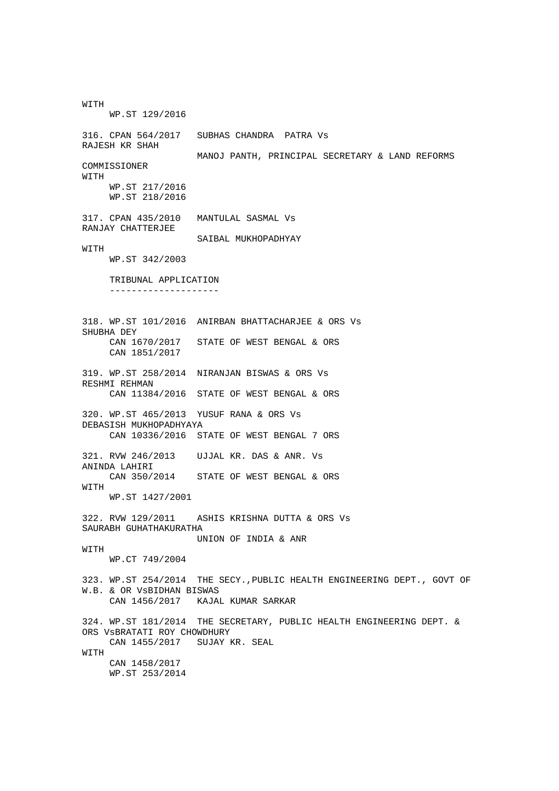WITH WP.ST 129/2016 316. CPAN 564/2017 SUBHAS CHANDRA PATRA Vs RAJESH KR SHAH MANOJ PANTH, PRINCIPAL SECRETARY & LAND REFORMS COMMISSIONER WITH WP.ST 217/2016 WP.ST 218/2016 317. CPAN 435/2010 MANTULAL SASMAL Vs RANJAY CHATTERJEE SAIBAL MUKHOPADHYAY **WITH**  WP.ST 342/2003 TRIBUNAL APPLICATION -------------------- 318. WP.ST 101/2016 ANIRBAN BHATTACHARJEE & ORS Vs SHUBHA DEY CAN 1670/2017 STATE OF WEST BENGAL & ORS CAN 1851/2017 319. WP.ST 258/2014 NIRANJAN BISWAS & ORS Vs RESHMI REHMAN CAN 11384/2016 STATE OF WEST BENGAL & ORS 320. WP.ST 465/2013 YUSUF RANA & ORS Vs DEBASISH MUKHOPADHYAYA CAN 10336/2016 STATE OF WEST BENGAL 7 ORS 321. RVW 246/2013 UJJAL KR. DAS & ANR. Vs ANINDA LAHIRI CAN 350/2014 STATE OF WEST BENGAL & ORS WITH WP.ST 1427/2001 322. RVW 129/2011 ASHIS KRISHNA DUTTA & ORS Vs SAURABH GUHATHAKURATHA UNION OF INDIA & ANR **WITH**  WP.CT 749/2004 323. WP.ST 254/2014 THE SECY.,PUBLIC HEALTH ENGINEERING DEPT., GOVT OF W.B. & OR VSBIDHAN BISWAS<br>CAN 1456/2017 KAJA KAJAL KUMAR SARKAR 324. WP.ST 181/2014 THE SECRETARY, PUBLIC HEALTH ENGINEERING DEPT. & ORS VsBRATATI ROY CHOWDHURY CAN 1455/2017 SUJAY KR. SEAL WITH CAN 1458/2017 WP.ST 253/2014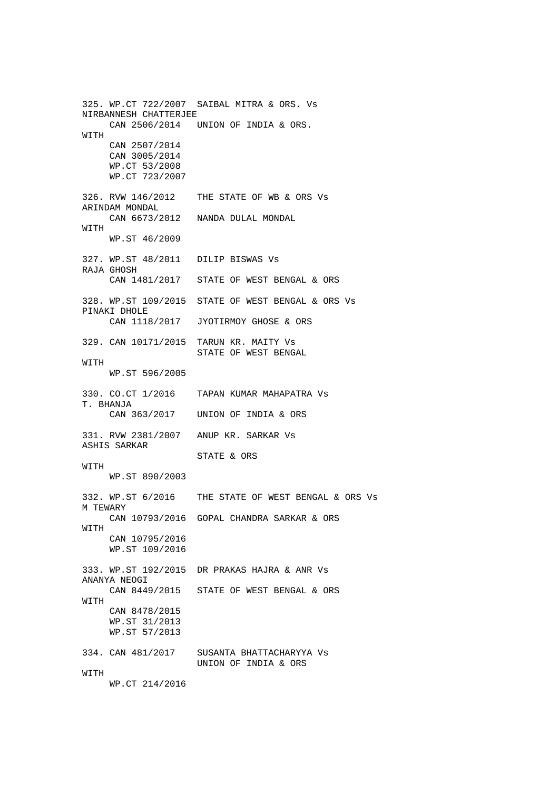325. WP.CT 722/2007 SAIBAL MITRA & ORS. Vs NIRBANNESH CHATTERJEE CAN 2506/2014 UNION OF INDIA & ORS. WITH CAN 2507/2014 CAN 3005/2014 WP.CT 53/2008 WP.CT 723/2007 326. RVW 146/2012 THE STATE OF WB & ORS Vs ARINDAM MONDAL CAN 6673/2012 NANDA DULAL MONDAL WITH WP.ST 46/2009 327. WP.ST 48/2011 DILIP BISWAS Vs RAJA GHOSH CAN 1481/2017 STATE OF WEST BENGAL & ORS 328. WP.ST 109/2015 STATE OF WEST BENGAL & ORS Vs PINAKI DHOLE CAN 1118/2017 JYOTIRMOY GHOSE & ORS 329. CAN 10171/2015 TARUN KR. MAITY Vs STATE OF WEST BENGAL **WITH**  WP.ST 596/2005 330. CO.CT 1/2016 TAPAN KUMAR MAHAPATRA Vs T. BHANJA CAN 363/2017 UNION OF INDIA & ORS 331. RVW 2381/2007 ANUP KR. SARKAR Vs ASHIS SARKAR STATE & ORS WITH WP.ST 890/2003 332. WP.ST 6/2016 THE STATE OF WEST BENGAL & ORS Vs M TEWARY CAN 10793/2016 GOPAL CHANDRA SARKAR & ORS **WITH**  CAN 10795/2016 WP.ST 109/2016 333. WP.ST 192/2015 DR PRAKAS HAJRA & ANR Vs ANANYA NEOGI CAN 8449/2015 STATE OF WEST BENGAL & ORS WITH CAN 8478/2015 WP.ST 31/2013 WP.ST 57/2013 334. CAN 481/2017 SUSANTA BHATTACHARYYA Vs UNION OF INDIA & ORS **WITH** WP.CT 214/2016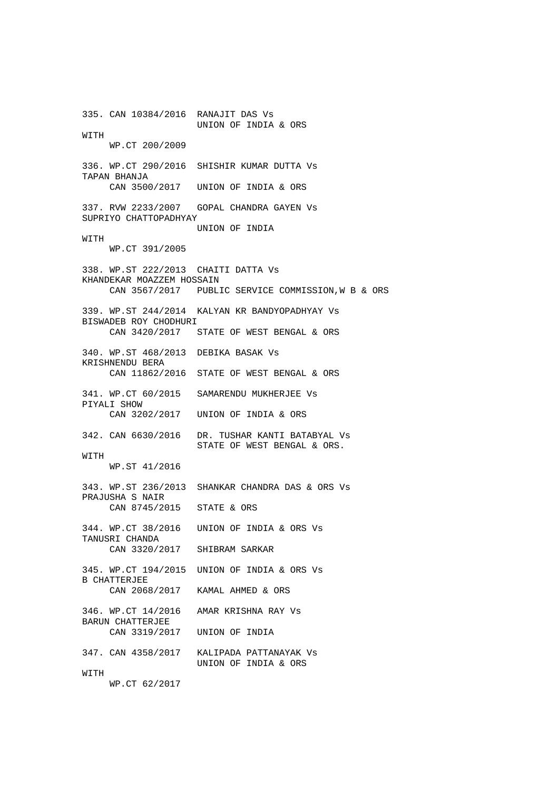335. CAN 10384/2016 RANAJIT DAS Vs UNION OF INDIA & ORS WITH WP.CT 200/2009 336. WP.CT 290/2016 SHISHIR KUMAR DUTTA Vs TAPAN BHANJA CAN 3500/2017 UNION OF INDIA & ORS 337. RVW 2233/2007 GOPAL CHANDRA GAYEN Vs SUPRIYO CHATTOPADHYAY UNION OF INDIA **WITH**  WP.CT 391/2005 338. WP.ST 222/2013 CHAITI DATTA Vs KHANDEKAR MOAZZEM HOSSAIN CAN 3567/2017 PUBLIC SERVICE COMMISSION,W B & ORS 339. WP.ST 244/2014 KALYAN KR BANDYOPADHYAY Vs BISWADEB ROY CHODHURI CAN 3420/2017 STATE OF WEST BENGAL & ORS 340. WP.ST 468/2013 DEBIKA BASAK Vs KRISHNENDU BERA CAN 11862/2016 STATE OF WEST BENGAL & ORS 341. WP.CT 60/2015 SAMARENDU MUKHERJEE Vs PIYALI SHOW CAN 3202/2017 UNION OF INDIA & ORS 342. CAN 6630/2016 DR. TUSHAR KANTI BATABYAL Vs STATE OF WEST BENGAL & ORS. WITH WP.ST 41/2016 343. WP.ST 236/2013 SHANKAR CHANDRA DAS & ORS Vs PRAJUSHA S NAIR CAN 8745/2015 STATE & ORS 344. WP.CT 38/2016 UNION OF INDIA & ORS Vs TANUSRI CHANDA CAN 3320/2017 SHIBRAM SARKAR 345. WP.CT 194/2015 UNION OF INDIA & ORS Vs B CHATTERJEE CAN 2068/2017 KAMAL AHMED & ORS 346. WP.CT 14/2016 AMAR KRISHNA RAY Vs BARUN CHATTERJEE CAN 3319/2017 UNION OF INDIA 347. CAN 4358/2017 KALIPADA PATTANAYAK Vs UNION OF INDIA & ORS **WITH** WP.CT 62/2017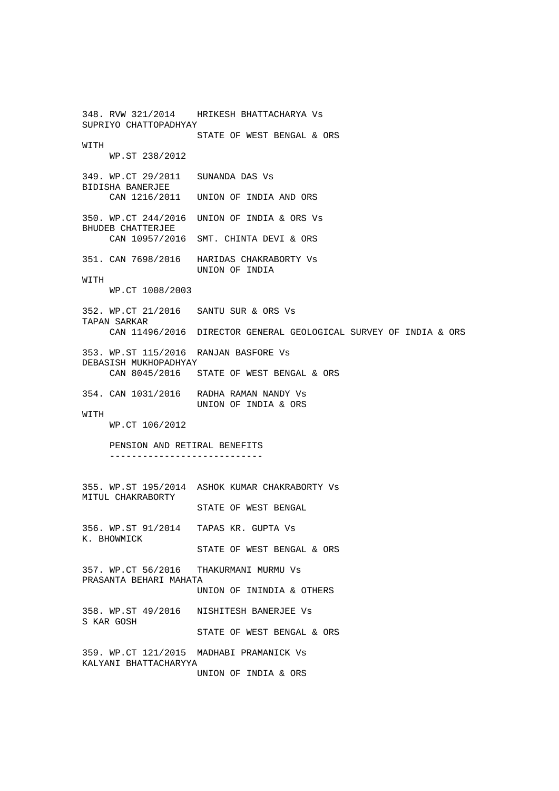348. RVW 321/2014 HRIKESH BHATTACHARYA Vs SUPRIYO CHATTOPADHYAY STATE OF WEST BENGAL & ORS **WITH**  WP.ST 238/2012 349. WP.CT 29/2011 SUNANDA DAS Vs BIDISHA BANERJEE CAN 1216/2011 UNION OF INDIA AND ORS 350. WP.CT 244/2016 UNION OF INDIA & ORS Vs BHUDEB CHATTERJEE CAN 10957/2016 SMT. CHINTA DEVI & ORS 351. CAN 7698/2016 HARIDAS CHAKRABORTY Vs UNION OF INDIA **WITH**  WP.CT 1008/2003 352. WP.CT 21/2016 SANTU SUR & ORS Vs TAPAN SARKAR CAN 11496/2016 DIRECTOR GENERAL GEOLOGICAL SURVEY OF INDIA & ORS 353. WP.ST 115/2016 RANJAN BASFORE Vs DEBASISH MUKHOPADHYAY CAN 8045/2016 STATE OF WEST BENGAL & ORS 354. CAN 1031/2016 RADHA RAMAN NANDY Vs UNION OF INDIA & ORS **WITH**  WP.CT 106/2012 PENSION AND RETIRAL BENEFITS ---------------------------- 355. WP.ST 195/2014 ASHOK KUMAR CHAKRABORTY Vs MITUL CHAKRABORTY STATE OF WEST BENGAL 356. WP.ST 91/2014 TAPAS KR. GUPTA Vs K. BHOWMICK STATE OF WEST BENGAL & ORS 357. WP.CT 56/2016 THAKURMANI MURMU Vs PRASANTA BEHARI MAHATA UNION OF ININDIA & OTHERS 358. WP.ST 49/2016 NISHITESH BANERJEE Vs S KAR GOSH STATE OF WEST BENGAL & ORS 359. WP.CT 121/2015 MADHABI PRAMANICK Vs KALYANI BHATTACHARYYA UNION OF INDIA & ORS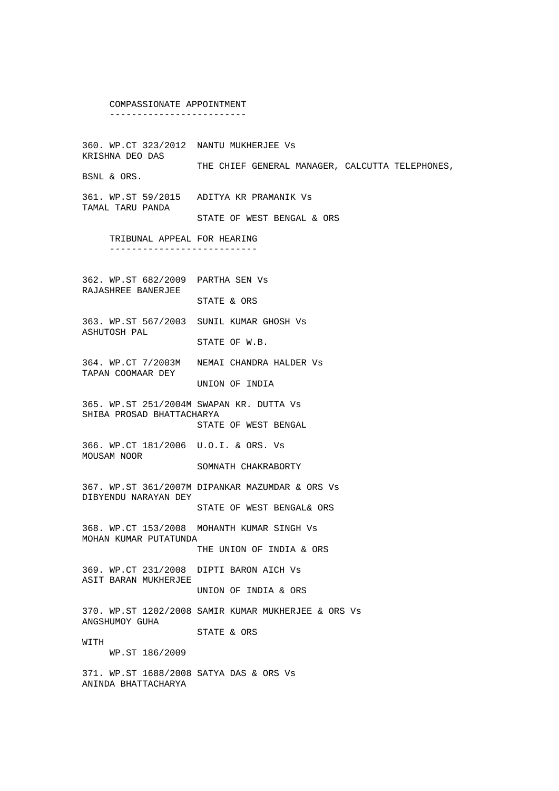#### COMPASSIONATE APPOINTMENT -------------------------

360. WP.CT 323/2012 NANTU MUKHERJEE Vs KRISHNA DEO DAS THE CHIEF GENERAL MANAGER, CALCUTTA TELEPHONES, BSNL & ORS.

361. WP.ST 59/2015 ADITYA KR PRAMANIK Vs TAMAL TARU PANDA

STATE OF WEST BENGAL & ORS

 TRIBUNAL APPEAL FOR HEARING ---------------------------

362. WP.ST 682/2009 PARTHA SEN Vs RAJASHREE BANERJEE

STATE & ORS

363. WP.ST 567/2003 SUNIL KUMAR GHOSH Vs ASHUTOSH PAL STATE OF W.B.

364. WP.CT 7/2003M NEMAI CHANDRA HALDER Vs TAPAN COOMAAR DEY

UNION OF INDIA

365. WP.ST 251/2004M SWAPAN KR. DUTTA Vs SHIBA PROSAD BHATTACHARYA STATE OF WEST BENGAL

366. WP.CT 181/2006 U.O.I. & ORS. Vs MOUSAM NOOR

SOMNATH CHAKRABORTY

367. WP.ST 361/2007M DIPANKAR MAZUMDAR & ORS Vs DIBYENDU NARAYAN DEY

STATE OF WEST BENGAL& ORS

368. WP.CT 153/2008 MOHANTH KUMAR SINGH Vs MOHAN KUMAR PUTATUNDA

THE UNION OF INDIA & ORS

369. WP.CT 231/2008 DIPTI BARON AICH Vs ASIT BARAN MUKHERJEE UNION OF INDIA & ORS

370. WP.ST 1202/2008 SAMIR KUMAR MUKHERJEE & ORS Vs ANGSHUMOY GUHA STATE & ORS

WITH

WP.ST 186/2009

371. WP.ST 1688/2008 SATYA DAS & ORS Vs ANINDA BHATTACHARYA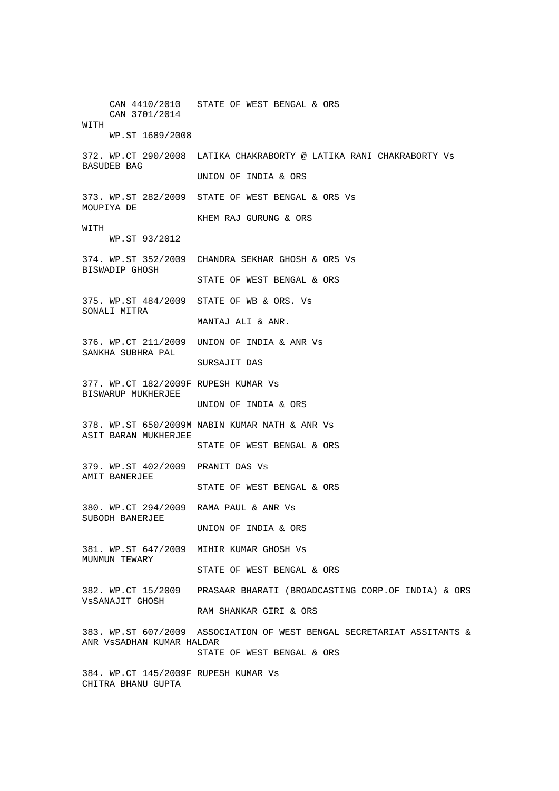CAN 4410/2010 STATE OF WEST BENGAL & ORS CAN 3701/2014 WITH WP.ST 1689/2008 372. WP.CT 290/2008 LATIKA CHAKRABORTY @ LATIKA RANI CHAKRABORTY Vs BASUDEB BAG UNION OF INDIA & ORS 373. WP.ST 282/2009 STATE OF WEST BENGAL & ORS Vs MOUPIYA DE KHEM RAJ GURUNG & ORS WITH WP.ST 93/2012 374. WP.ST 352/2009 CHANDRA SEKHAR GHOSH & ORS Vs BISWADIP GHOSH STATE OF WEST BENGAL & ORS 375. WP.ST 484/2009 STATE OF WB & ORS. Vs SONALI MITRA MANTAJ ALI & ANR. 376. WP.CT 211/2009 UNION OF INDIA & ANR Vs SANKHA SUBHRA PAL SURSAJIT DAS 377. WP.CT 182/2009F RUPESH KUMAR Vs BISWARUP MUKHERJEE UNION OF INDIA & ORS 378. WP.ST 650/2009M NABIN KUMAR NATH & ANR Vs ASIT BARAN MUKHERJEE STATE OF WEST BENGAL & ORS 379. WP.ST 402/2009 PRANIT DAS Vs AMIT BANERJEE STATE OF WEST BENGAL & ORS 380. WP.CT 294/2009 RAMA PAUL & ANR Vs SUBODH BANERJEE UNION OF INDIA & ORS 381. WP.ST 647/2009 MIHIR KUMAR GHOSH Vs MUNMUN TEWARY STATE OF WEST BENGAL & ORS 382. WP.CT 15/2009 PRASAAR BHARATI (BROADCASTING CORP.OF INDIA) & ORS VsSANAJIT GHOSH RAM SHANKAR GIRI & ORS 383. WP.ST 607/2009 ASSOCIATION OF WEST BENGAL SECRETARIAT ASSITANTS & ANR VsSADHAN KUMAR HALDAR STATE OF WEST BENGAL & ORS 384. WP.CT 145/2009F RUPESH KUMAR Vs CHITRA BHANU GUPTA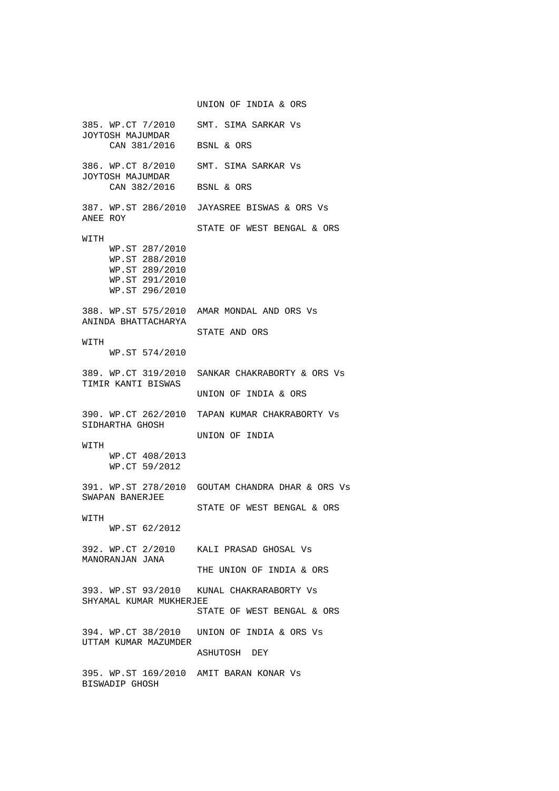UNION OF INDIA & ORS 385. WP.CT 7/2010 SMT. SIMA SARKAR Vs JOYTOSH MAJUMDAR CAN 381/2016 BSNL & ORS 386. WP.CT 8/2010 SMT. SIMA SARKAR Vs JOYTOSH MAJUMDAR CAN 382/2016 BSNL & ORS 387. WP.ST 286/2010 JAYASREE BISWAS & ORS Vs ANEE ROY STATE OF WEST BENGAL & ORS **WITH**  WP.ST 287/2010 WP.ST 288/2010 WP.ST 289/2010 WP.ST 291/2010 WP.ST 296/2010 388. WP.ST 575/2010 AMAR MONDAL AND ORS Vs ANINDA BHATTACHARYA STATE AND ORS WITH WP.ST 574/2010 389. WP.CT 319/2010 SANKAR CHAKRABORTY & ORS Vs TIMIR KANTI BISWAS UNION OF INDIA & ORS 390. WP.CT 262/2010 TAPAN KUMAR CHAKRABORTY Vs SIDHARTHA GHOSH UNION OF INDIA WITH WP.CT 408/2013 WP.CT 59/2012 391. WP.ST 278/2010 GOUTAM CHANDRA DHAR & ORS Vs SWAPAN BANERJEE STATE OF WEST BENGAL & ORS **WITH**  WP.ST 62/2012 392. WP.CT 2/2010 KALI PRASAD GHOSAL Vs MANORANJAN JANA THE UNION OF INDIA & ORS 393. WP.ST 93/2010 KUNAL CHAKRARABORTY Vs SHYAMAL KUMAR MUKHERJEE STATE OF WEST BENGAL & ORS 394. WP.CT 38/2010 UNION OF INDIA & ORS Vs UTTAM KUMAR MAZUMDER ASHUTOSH DEY 395. WP.ST 169/2010 AMIT BARAN KONAR Vs BISWADIP GHOSH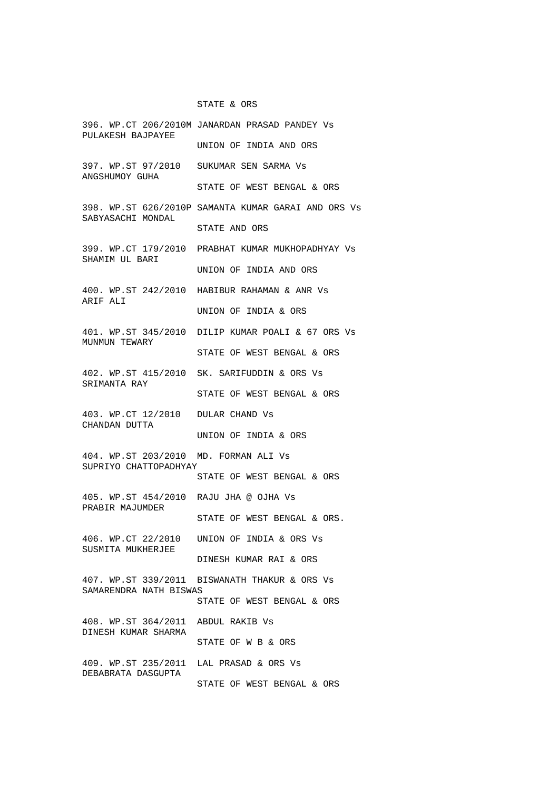### STATE & ORS

396. WP.CT 206/2010M JANARDAN PRASAD PANDEY Vs PULAKESH BAJPAYEE UNION OF INDIA AND ORS 397. WP.ST 97/2010 SUKUMAR SEN SARMA Vs ANGSHUMOY GUHA STATE OF WEST BENGAL & ORS 398. WP.ST 626/2010P SAMANTA KUMAR GARAI AND ORS Vs SABYASACHI MONDAL STATE AND ORS 399. WP.CT 179/2010 PRABHAT KUMAR MUKHOPADHYAY Vs SHAMIM UL BARI UNION OF INDIA AND ORS 400. WP.ST 242/2010 HABIBUR RAHAMAN & ANR Vs ARIF ALI UNION OF INDIA & ORS 401. WP.ST 345/2010 DILIP KUMAR POALI & 67 ORS Vs MUNMUN TEWARY STATE OF WEST BENGAL & ORS 402. WP.ST 415/2010 SK. SARIFUDDIN & ORS Vs SRIMANTA RAY STATE OF WEST BENGAL & ORS 403. WP.CT 12/2010 DULAR CHAND Vs CHANDAN DUTTA UNION OF INDIA & ORS 404. WP.ST 203/2010 MD. FORMAN ALI Vs SUPRIYO CHATTOPADHYAY STATE OF WEST BENGAL & ORS 405. WP.ST 454/2010 RAJU JHA @ OJHA Vs PRABIR MAJUMDER STATE OF WEST BENGAL & ORS. 406. WP.CT 22/2010 UNION OF INDIA & ORS Vs SUSMITA MUKHERJEE DINESH KUMAR RAI & ORS 407. WP.ST 339/2011 BISWANATH THAKUR & ORS Vs SAMARENDRA NATH BISWAS STATE OF WEST BENGAL & ORS 408. WP.ST 364/2011 ABDUL RAKIB Vs DINESH KUMAR SHARMA STATE OF W B & ORS 409. WP.ST 235/2011 LAL PRASAD & ORS Vs DEBABRATA DASGUPTA STATE OF WEST BENGAL & ORS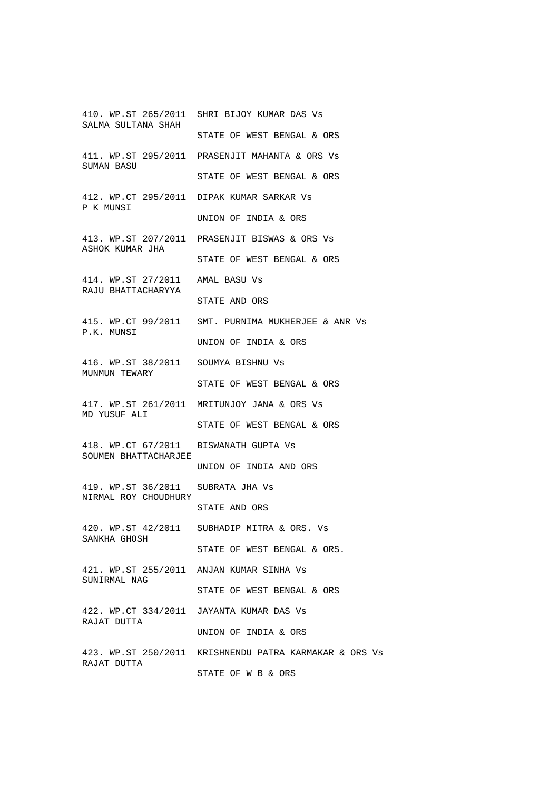410. WP.ST 265/2011 SHRI BIJOY KUMAR DAS Vs SALMA SULTANA SHAH STATE OF WEST BENGAL & ORS 411. WP.ST 295/2011 PRASENJIT MAHANTA & ORS Vs SUMAN BASU STATE OF WEST BENGAL & ORS 412. WP.CT 295/2011 DIPAK KUMAR SARKAR Vs P K MUNSI UNION OF INDIA & ORS 413. WP.ST 207/2011 PRASENJIT BISWAS & ORS Vs ASHOK KUMAR JHA STATE OF WEST BENGAL & ORS 414. WP.ST 27/2011 AMAL BASU Vs RAJU BHATTACHARYYA STATE AND ORS 415. WP.CT 99/2011 SMT. PURNIMA MUKHERJEE & ANR Vs P.K. MUNSI UNION OF INDIA & ORS 416. WP.ST 38/2011 SOUMYA BISHNU Vs MUNMUN TEWARY STATE OF WEST BENGAL & ORS 417. WP.ST 261/2011 MRITUNJOY JANA & ORS Vs MD YUSUF ALI STATE OF WEST BENGAL & ORS 418. WP.CT 67/2011 BISWANATH GUPTA Vs SOUMEN BHATTACHARJEE UNION OF INDIA AND ORS 419. WP.ST 36/2011 SUBRATA JHA Vs NIRMAL ROY CHOUDHURY STATE AND ORS 420. WP.ST 42/2011 SUBHADIP MITRA & ORS. Vs SANKHA GHOSH STATE OF WEST BENGAL & ORS. 421. WP.ST 255/2011 ANJAN KUMAR SINHA Vs SUNIRMAL NAG STATE OF WEST BENGAL & ORS 422. WP.CT 334/2011 JAYANTA KUMAR DAS Vs RAJAT DUTTA UNION OF INDIA & ORS 423. WP.ST 250/2011 KRISHNENDU PATRA KARMAKAR & ORS Vs RAJAT DUTTA STATE OF W B & ORS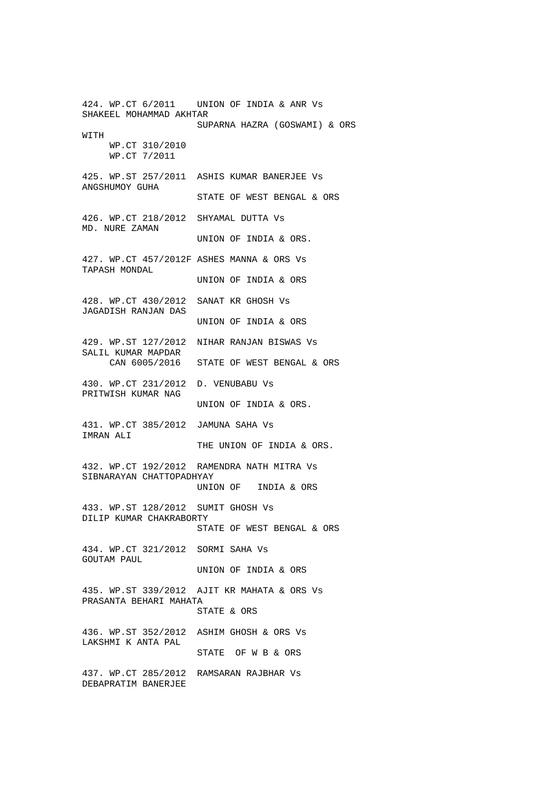424. WP.CT 6/2011 UNION OF INDIA & ANR Vs SHAKEEL MOHAMMAD AKHTAR SUPARNA HAZRA (GOSWAMI) & ORS WITH WP.CT 310/2010 WP.CT 7/2011 425. WP.ST 257/2011 ASHIS KUMAR BANERJEE Vs ANGSHUMOY GUHA STATE OF WEST BENGAL & ORS 426. WP.CT 218/2012 SHYAMAL DUTTA Vs MD. NURE ZAMAN UNION OF INDIA & ORS. 427. WP.CT 457/2012F ASHES MANNA & ORS Vs TAPASH MONDAL UNION OF INDIA & ORS 428. WP.CT 430/2012 SANAT KR GHOSH Vs JAGADISH RANJAN DAS UNION OF INDIA & ORS 429. WP.ST 127/2012 NIHAR RANJAN BISWAS Vs SALIL KUMAR MAPDAR CAN 6005/2016 STATE OF WEST BENGAL & ORS 430. WP.CT 231/2012 D. VENUBABU Vs PRITWISH KUMAR NAG UNION OF INDIA & ORS. 431. WP.CT 385/2012 JAMUNA SAHA Vs IMRAN ALI THE UNION OF INDIA & ORS. 432. WP.CT 192/2012 RAMENDRA NATH MITRA Vs SIBNARAYAN CHATTOPADHYAY UNION OF INDIA & ORS 433. WP.ST 128/2012 SUMIT GHOSH Vs DILIP KUMAR CHAKRABORTY STATE OF WEST BENGAL & ORS 434. WP.CT 321/2012 SORMI SAHA Vs GOUTAM PAUL UNION OF INDIA & ORS 435. WP.ST 339/2012 AJIT KR MAHATA & ORS Vs PRASANTA BEHARI MAHATA STATE & ORS 436. WP.ST 352/2012 ASHIM GHOSH & ORS Vs LAKSHMI K ANTA PAL STATE OF W B & ORS 437. WP.CT 285/2012 RAMSARAN RAJBHAR Vs DEBAPRATIM BANERJEE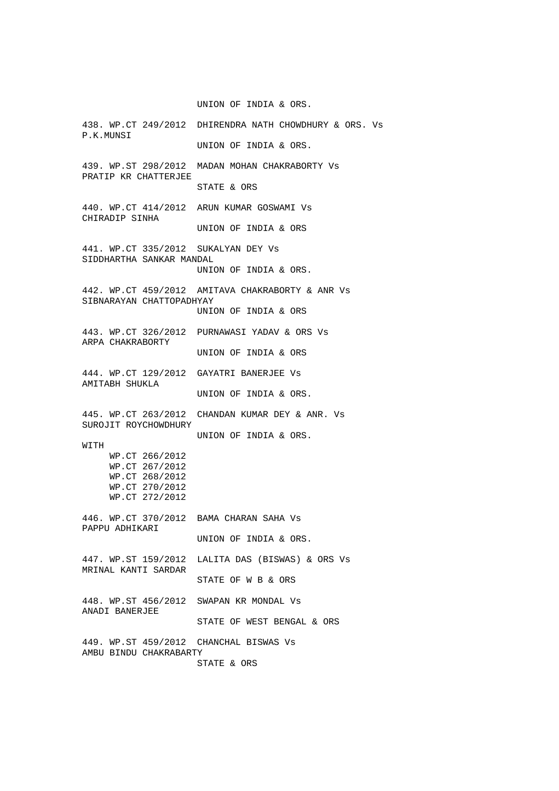UNION OF INDIA & ORS.

438. WP.CT 249/2012 DHIRENDRA NATH CHOWDHURY & ORS. Vs P.K.MUNSI UNION OF INDIA & ORS. 439. WP.ST 298/2012 MADAN MOHAN CHAKRABORTY Vs PRATIP KR CHATTERJEE STATE & ORS 440. WP.CT 414/2012 ARUN KUMAR GOSWAMI Vs CHIRADIP SINHA UNION OF INDIA & ORS 441. WP.CT 335/2012 SUKALYAN DEY Vs SIDDHARTHA SANKAR MANDAL UNION OF INDIA & ORS. 442. WP.CT 459/2012 AMITAVA CHAKRABORTY & ANR Vs SIBNARAYAN CHATTOPADHYAY UNION OF INDIA & ORS 443. WP.CT 326/2012 PURNAWASI YADAV & ORS Vs ARPA CHAKRABORTY UNION OF INDIA & ORS 444. WP.CT 129/2012 GAYATRI BANERJEE Vs AMITABH SHUKLA UNION OF INDIA & ORS. 445. WP.CT 263/2012 CHANDAN KUMAR DEY & ANR. Vs SUROJIT ROYCHOWDHURY UNION OF INDIA & ORS. WITH WP.CT 266/2012 WP.CT 267/2012 WP.CT 268/2012 WP.CT 270/2012 WP.CT 272/2012 446. WP.CT 370/2012 BAMA CHARAN SAHA Vs PAPPU ADHIKARI UNION OF INDIA & ORS. 447. WP.ST 159/2012 LALITA DAS (BISWAS) & ORS Vs MRINAL KANTI SARDAR STATE OF W B & ORS 448. WP.ST 456/2012 SWAPAN KR MONDAL Vs ANADI BANERJEE STATE OF WEST BENGAL & ORS 449. WP.ST 459/2012 CHANCHAL BISWAS Vs AMBU BINDU CHAKRABARTY STATE & ORS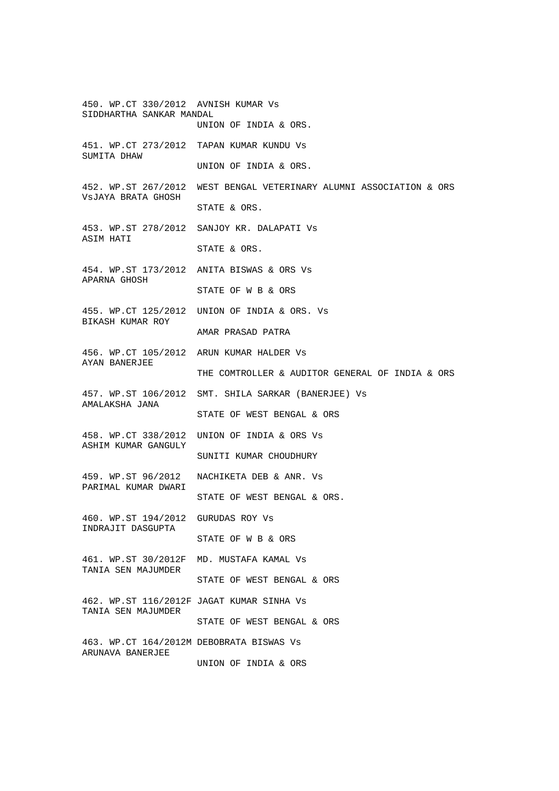450. WP.CT 330/2012 AVNISH KUMAR Vs SIDDHARTHA SANKAR MANDAL UNION OF INDIA & ORS. 451. WP.CT 273/2012 TAPAN KUMAR KUNDU Vs SUMITA DHAW UNION OF INDIA & ORS. 452. WP.ST 267/2012 WEST BENGAL VETERINARY ALUMNI ASSOCIATION & ORS VsJAYA BRATA GHOSH STATE & ORS. 453. WP.ST 278/2012 SANJOY KR. DALAPATI Vs ASIM HATI STATE & ORS. 454. WP.ST 173/2012 ANITA BISWAS & ORS Vs APARNA GHOSH STATE OF W B & ORS 455. WP.CT 125/2012 UNION OF INDIA & ORS. Vs BIKASH KUMAR ROY AMAR PRASAD PATRA 456. WP.CT 105/2012 ARUN KUMAR HALDER Vs AYAN BANERJEE THE COMTROLLER & AUDITOR GENERAL OF INDIA & ORS 457. WP.ST 106/2012 SMT. SHILA SARKAR (BANERJEE) Vs AMALAKSHA JANA STATE OF WEST BENGAL & ORS 458. WP.CT 338/2012 UNION OF INDIA & ORS Vs ASHIM KUMAR GANGULY SUNITI KUMAR CHOUDHURY 459. WP.ST 96/2012 NACHIKETA DEB & ANR. Vs PARIMAL KUMAR DWARI STATE OF WEST BENGAL & ORS. 460. WP.ST 194/2012 GURUDAS ROY Vs INDRAJIT DASGUPTA STATE OF W B & ORS 461. WP.ST 30/2012F MD. MUSTAFA KAMAL Vs TANIA SEN MAJUMDER STATE OF WEST BENGAL & ORS 462. WP.ST 116/2012F JAGAT KUMAR SINHA Vs TANIA SEN MAJUMDER STATE OF WEST BENGAL & ORS 463. WP.CT 164/2012M DEBOBRATA BISWAS Vs ARUNAVA BANERJEE UNION OF INDIA & ORS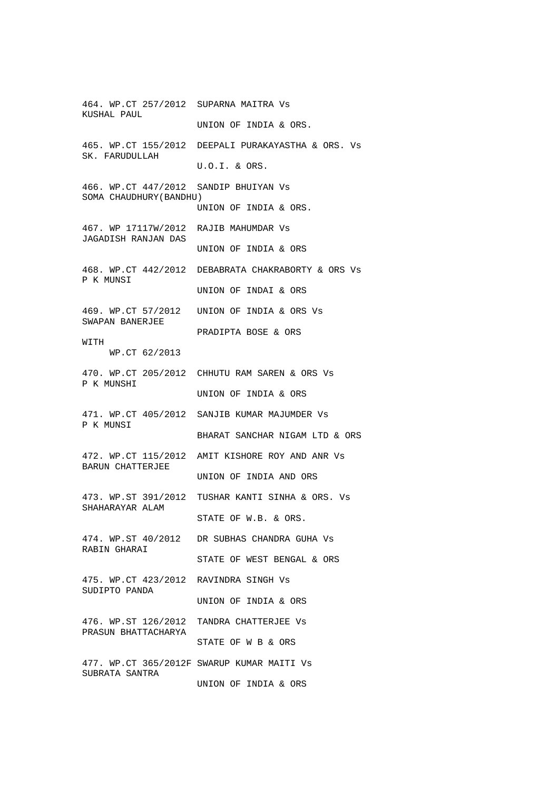464. WP.CT 257/2012 SUPARNA MAITRA Vs KUSHAL PAUL UNION OF INDIA & ORS. 465. WP.CT 155/2012 DEEPALI PURAKAYASTHA & ORS. Vs SK. FARUDULLAH U.O.I. & ORS. 466. WP.CT 447/2012 SANDIP BHUIYAN Vs SOMA CHAUDHURY(BANDHU) UNION OF INDIA & ORS. 467. WP 17117W/2012 RAJIB MAHUMDAR Vs JAGADISH RANJAN DAS UNION OF INDIA & ORS 468. WP.CT 442/2012 DEBABRATA CHAKRABORTY & ORS Vs P K MUNSI UNION OF INDAI & ORS 469. WP.CT 57/2012 UNION OF INDIA & ORS Vs SWAPAN BANERJEE PRADIPTA BOSE & ORS WITH WP.CT 62/2013 470. WP.CT 205/2012 CHHUTU RAM SAREN & ORS Vs P K MUNSHI UNION OF INDIA & ORS 471. WP.CT 405/2012 SANJIB KUMAR MAJUMDER Vs P K MUNSI BHARAT SANCHAR NIGAM LTD & ORS 472. WP.CT 115/2012 AMIT KISHORE ROY AND ANR Vs BARUN CHATTERJEE UNION OF INDIA AND ORS 473. WP.ST 391/2012 TUSHAR KANTI SINHA & ORS. Vs SHAHARAYAR ALAM STATE OF W.B. & ORS. 474. WP.ST 40/2012 DR SUBHAS CHANDRA GUHA Vs RABIN GHARAI STATE OF WEST BENGAL & ORS 475. WP.CT 423/2012 RAVINDRA SINGH Vs SUDIPTO PANDA UNION OF INDIA & ORS 476. WP.ST 126/2012 TANDRA CHATTERJEE Vs PRASUN BHATTACHARYA STATE OF W B & ORS 477. WP.CT 365/2012F SWARUP KUMAR MAITI Vs SUBRATA SANTRA UNION OF INDIA & ORS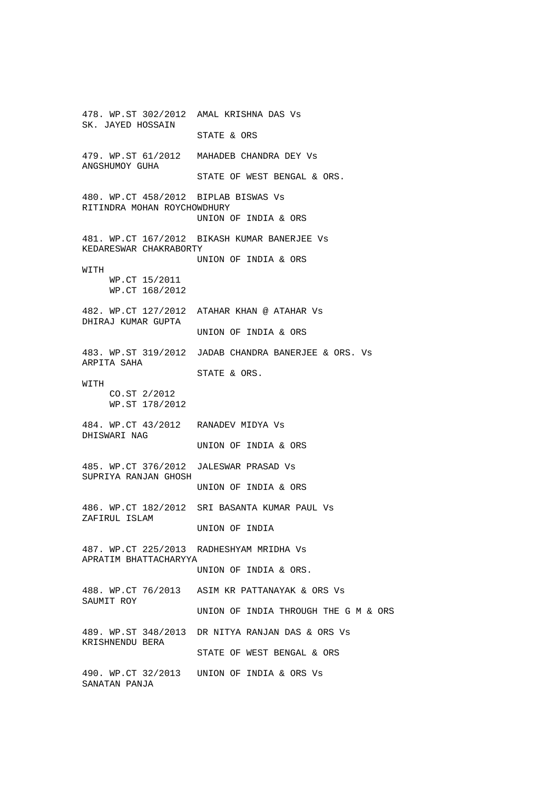478. WP.ST 302/2012 AMAL KRISHNA DAS Vs SK. JAYED HOSSAIN STATE & ORS 479. WP.ST 61/2012 MAHADEB CHANDRA DEY Vs ANGSHUMOY GUHA STATE OF WEST BENGAL & ORS. 480. WP.CT 458/2012 BIPLAB BISWAS Vs RITINDRA MOHAN ROYCHOWDHURY UNION OF INDIA & ORS 481. WP.CT 167/2012 BIKASH KUMAR BANERJEE Vs KEDARESWAR CHAKRABORTY UNION OF INDIA & ORS **WITH**  WP.CT 15/2011 WP.CT 168/2012 482. WP.CT 127/2012 ATAHAR KHAN @ ATAHAR Vs DHIRAJ KUMAR GUPTA UNION OF INDIA & ORS 483. WP.ST 319/2012 JADAB CHANDRA BANERJEE & ORS. Vs ARPITA SAHA STATE & ORS. **WITH**  CO.ST 2/2012 WP.ST 178/2012 484. WP.CT 43/2012 RANADEV MIDYA Vs DHISWARI NAG UNION OF INDIA & ORS 485. WP.CT 376/2012 JALESWAR PRASAD Vs SUPRIYA RANJAN GHOSH UNION OF INDIA & ORS 486. WP.CT 182/2012 SRI BASANTA KUMAR PAUL Vs ZAFIRUL ISLAM UNION OF INDIA 487. WP.CT 225/2013 RADHESHYAM MRIDHA Vs APRATIM BHATTACHARYYA UNION OF INDIA & ORS. 488. WP.CT 76/2013 ASIM KR PATTANAYAK & ORS Vs SAUMIT ROY UNION OF INDIA THROUGH THE G M & ORS 489. WP.ST 348/2013 DR NITYA RANJAN DAS & ORS Vs KRISHNENDU BERA STATE OF WEST BENGAL & ORS 490. WP.CT 32/2013 UNION OF INDIA & ORS Vs SANATAN PANJA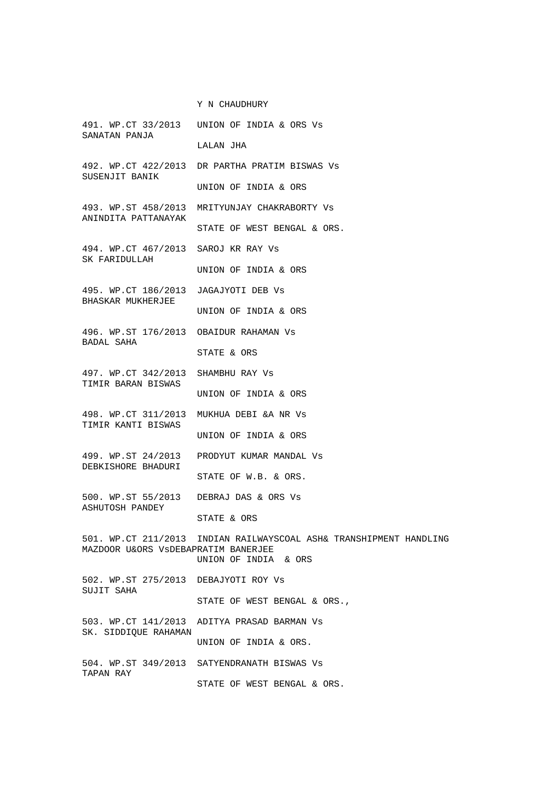Y N CHAUDHURY 491. WP.CT 33/2013 UNION OF INDIA & ORS Vs SANATAN PANJA LALAN JHA 492. WP.CT 422/2013 DR PARTHA PRATIM BISWAS Vs SUSENJIT BANIK UNION OF INDIA & ORS 493. WP.ST 458/2013 MRITYUNJAY CHAKRABORTY Vs ANINDITA PATTANAYAK STATE OF WEST BENGAL & ORS. 494. WP.CT 467/2013 SAROJ KR RAY Vs SK FARIDULLAH UNION OF INDIA & ORS 495. WP.CT 186/2013 JAGAJYOTI DEB Vs BHASKAR MUKHERJEE UNION OF INDIA & ORS 496. WP.ST 176/2013 OBAIDUR RAHAMAN Vs BADAL SAHA STATE & ORS 497. WP.CT 342/2013 SHAMBHU RAY Vs TIMIR BARAN BISWAS UNION OF INDIA & ORS 498. WP.CT 311/2013 MUKHUA DEBI &A NR Vs TIMIR KANTI BISWAS UNION OF INDIA & ORS 499. WP.ST 24/2013 PRODYUT KUMAR MANDAL Vs DEBKISHORE BHADURI STATE OF W.B. & ORS. 500. WP.ST 55/2013 DEBRAJ DAS & ORS Vs ASHUTOSH PANDEY STATE & ORS 501. WP.CT 211/2013 INDIAN RAILWAYSCOAL ASH& TRANSHIPMENT HANDLING MAZDOOR U&ORS VsDEBAPRATIM BANERJEE UNION OF INDIA & ORS 502. WP.ST 275/2013 DEBAJYOTI ROY Vs SUJIT SAHA STATE OF WEST BENGAL & ORS., 503. WP.CT 141/2013 ADITYA PRASAD BARMAN Vs SK. SIDDIQUE RAHAMAN UNION OF INDIA & ORS. 504. WP.ST 349/2013 SATYENDRANATH BISWAS Vs TAPAN RAY STATE OF WEST BENGAL & ORS.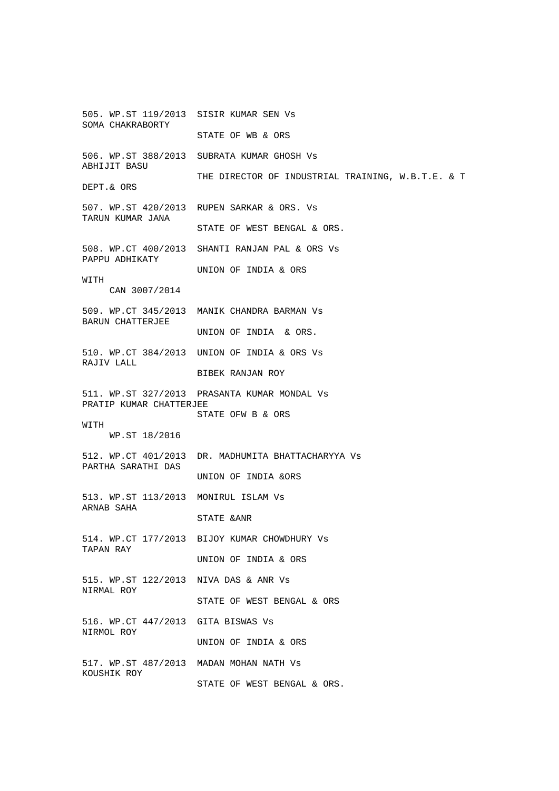505. WP.ST 119/2013 SISIR KUMAR SEN Vs SOMA CHAKRABORTY STATE OF WB & ORS 506. WP.ST 388/2013 SUBRATA KUMAR GHOSH Vs ABHIJIT BASU THE DIRECTOR OF INDUSTRIAL TRAINING, W.B.T.E. & T DEPT.& ORS 507. WP.ST 420/2013 RUPEN SARKAR & ORS. Vs TARUN KUMAR JANA STATE OF WEST BENGAL & ORS. 508. WP.CT 400/2013 SHANTI RANJAN PAL & ORS Vs PAPPU ADHIKATY UNION OF INDIA & ORS WITH CAN 3007/2014 509. WP.CT 345/2013 MANIK CHANDRA BARMAN Vs BARUN CHATTERJEE UNION OF INDIA & ORS. 510. WP.CT 384/2013 UNION OF INDIA & ORS Vs RAJIV LALL BIBEK RANJAN ROY 511. WP.ST 327/2013 PRASANTA KUMAR MONDAL Vs PRATIP KUMAR CHATTERJEE STATE OFW B & ORS **WITH**  WP.ST 18/2016 512. WP.CT 401/2013 DR. MADHUMITA BHATTACHARYYA Vs PARTHA SARATHI DAS UNION OF INDIA &ORS 513. WP.ST 113/2013 MONIRUL ISLAM Vs ARNAB SAHA STATE &ANR 514. WP.CT 177/2013 BIJOY KUMAR CHOWDHURY Vs TAPAN RAY UNION OF INDIA & ORS 515. WP.ST 122/2013 NIVA DAS & ANR Vs NIRMAL ROY STATE OF WEST BENGAL & ORS 516. WP.CT 447/2013 GITA BISWAS Vs NIRMOL ROY UNION OF INDIA & ORS 517. WP.ST 487/2013 MADAN MOHAN NATH Vs KOUSHIK ROY STATE OF WEST BENGAL & ORS.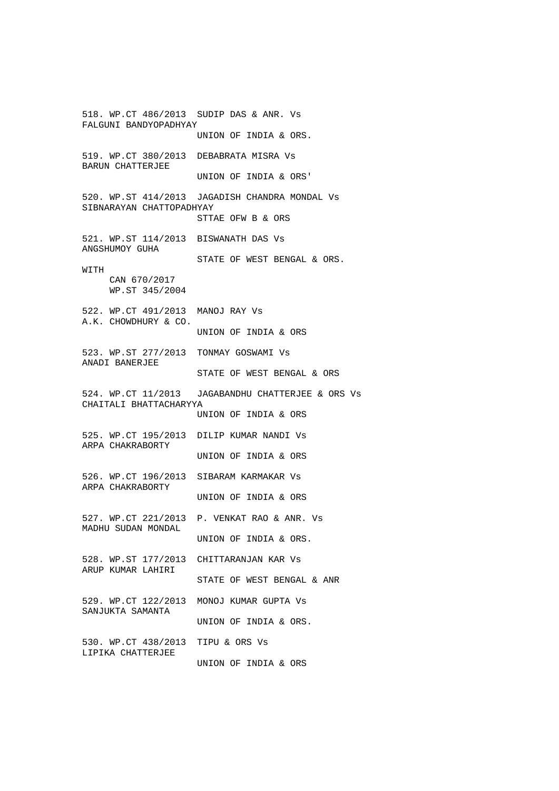518. WP.CT 486/2013 SUDIP DAS & ANR. Vs FALGUNI BANDYOPADHYAY UNION OF INDIA & ORS. 519. WP.CT 380/2013 DEBABRATA MISRA Vs BARUN CHATTERJEE UNION OF INDIA & ORS' 520. WP.ST 414/2013 JAGADISH CHANDRA MONDAL Vs SIBNARAYAN CHATTOPADHYAY STTAE OFW B & ORS 521. WP.ST 114/2013 BISWANATH DAS Vs ANGSHUMOY GUHA STATE OF WEST BENGAL & ORS. **WITH**  CAN 670/2017 WP.ST 345/2004 522. WP.CT 491/2013 MANOJ RAY Vs A.K. CHOWDHURY & CO. UNION OF INDIA & ORS 523. WP.ST 277/2013 TONMAY GOSWAMI Vs ANADI BANERJEE STATE OF WEST BENGAL & ORS 524. WP.CT 11/2013 JAGABANDHU CHATTERJEE & ORS Vs CHAITALI BHATTACHARYYA UNION OF INDIA & ORS 525. WP.CT 195/2013 DILIP KUMAR NANDI Vs ARPA CHAKRABORTY UNION OF INDIA & ORS 526. WP.CT 196/2013 SIBARAM KARMAKAR Vs ARPA CHAKRABORTY UNION OF INDIA & ORS 527. WP.CT 221/2013 P. VENKAT RAO & ANR. Vs MADHU SUDAN MONDAL UNION OF INDIA & ORS. 528. WP.ST 177/2013 CHITTARANJAN KAR Vs ARUP KUMAR LAHIRI STATE OF WEST BENGAL & ANR 529. WP.CT 122/2013 MONOJ KUMAR GUPTA Vs SANJUKTA SAMANTA UNION OF INDIA & ORS. 530. WP.CT 438/2013 TIPU & ORS Vs LIPIKA CHATTERJEE UNION OF INDIA & ORS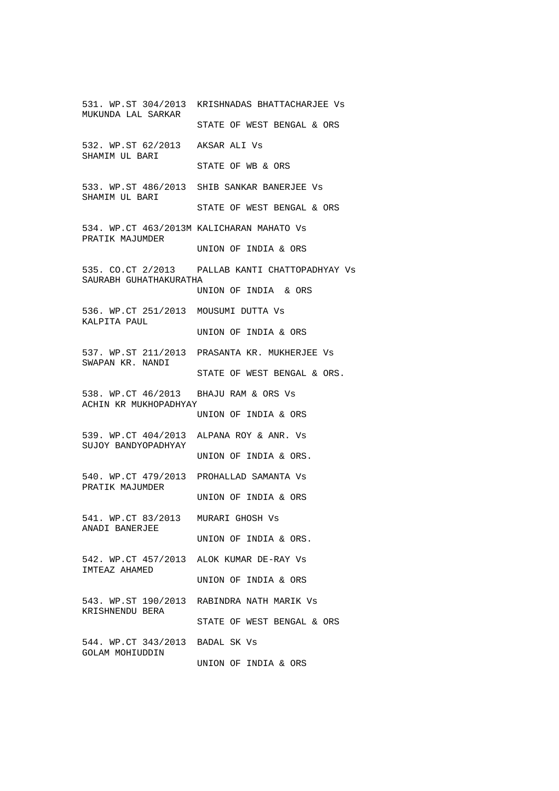531. WP.ST 304/2013 KRISHNADAS BHATTACHARJEE Vs MUKUNDA LAL SARKAR STATE OF WEST BENGAL & ORS 532. WP.ST 62/2013 AKSAR ALI Vs SHAMIM UL BARI STATE OF WB & ORS 533. WP.ST 486/2013 SHIB SANKAR BANERJEE Vs SHAMIM UL BARI STATE OF WEST BENGAL & ORS 534. WP.CT 463/2013M KALICHARAN MAHATO Vs PRATIK MAJUMDER UNION OF INDIA & ORS 535. CO.CT 2/2013 PALLAB KANTI CHATTOPADHYAY Vs SAURABH GUHATHAKURATHA UNION OF INDIA & ORS 536. WP.CT 251/2013 MOUSUMI DUTTA Vs KALPITA PAUL UNION OF INDIA & ORS 537. WP.ST 211/2013 PRASANTA KR. MUKHERJEE Vs SWAPAN KR. NANDI STATE OF WEST BENGAL & ORS. 538. WP.CT 46/2013 BHAJU RAM & ORS Vs ACHIN KR MUKHOPADHYAY UNION OF INDIA & ORS 539. WP.CT 404/2013 ALPANA ROY & ANR. Vs SUJOY BANDYOPADHYAY UNION OF INDIA & ORS. 540. WP.CT 479/2013 PROHALLAD SAMANTA Vs PRATIK MAJUMDER UNION OF INDIA & ORS 541. WP.CT 83/2013 MURARI GHOSH Vs ANADI BANERJEE UNION OF INDIA & ORS. 542. WP.CT 457/2013 ALOK KUMAR DE-RAY Vs IMTEAZ AHAMED UNION OF INDIA & ORS 543. WP.ST 190/2013 RABINDRA NATH MARIK Vs KRISHNENDU BERA STATE OF WEST BENGAL & ORS 544. WP.CT 343/2013 BADAL SK Vs GOLAM MOHIUDDIN UNION OF INDIA & ORS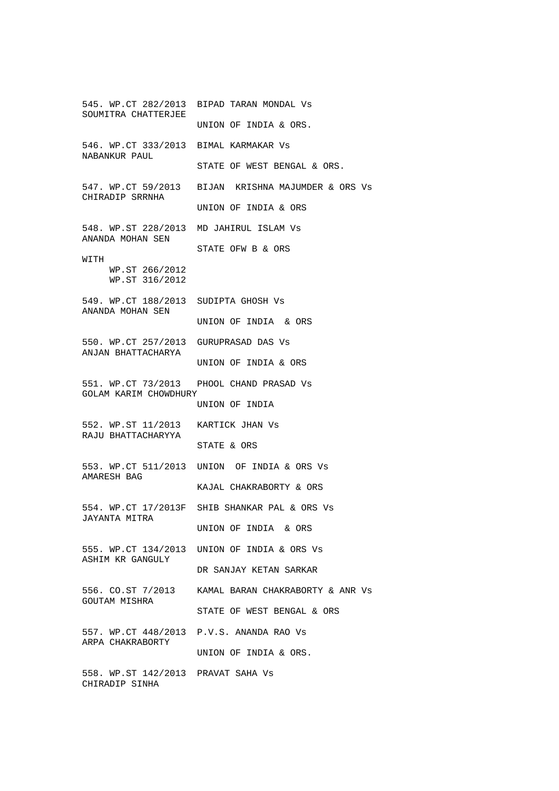545. WP.CT 282/2013 BIPAD TARAN MONDAL Vs SOUMITRA CHATTERJEE UNION OF INDIA & ORS. 546. WP.CT 333/2013 BIMAL KARMAKAR Vs NABANKUR PAUL STATE OF WEST BENGAL & ORS. 547. WP.CT 59/2013 BIJAN KRISHNA MAJUMDER & ORS Vs CHIRADIP SRRNHA UNION OF INDIA & ORS 548. WP.ST 228/2013 MD JAHIRUL ISLAM Vs ANANDA MOHAN SEN STATE OFW B & ORS WITH WP.ST 266/2012 WP.ST 316/2012 549. WP.CT 188/2013 SUDIPTA GHOSH Vs ANANDA MOHAN SEN UNION OF INDIA & ORS 550. WP.CT 257/2013 GURUPRASAD DAS Vs ANJAN BHATTACHARYA UNION OF INDIA & ORS 551. WP.CT 73/2013 PHOOL CHAND PRASAD Vs GOLAM KARIM CHOWDHURY UNION OF INDIA 552. WP.ST 11/2013 KARTICK JHAN Vs RAJU BHATTACHARYYA STATE & ORS 553. WP.CT 511/2013 UNION OF INDIA & ORS Vs AMARESH BAG KAJAL CHAKRABORTY & ORS 554. WP.CT 17/2013F SHIB SHANKAR PAL & ORS Vs JAYANTA MITRA UNION OF INDIA & ORS 555. WP.CT 134/2013 UNION OF INDIA & ORS Vs ASHIM KR GANGULY DR SANJAY KETAN SARKAR 556. CO.ST 7/2013 KAMAL BARAN CHAKRABORTY & ANR Vs GOUTAM MISHRA STATE OF WEST BENGAL & ORS 557. WP.CT 448/2013 P.V.S. ANANDA RAO Vs ARPA CHAKRABORTY UNION OF INDIA & ORS. 558. WP.ST 142/2013 PRAVAT SAHA Vs CHIRADIP SINHA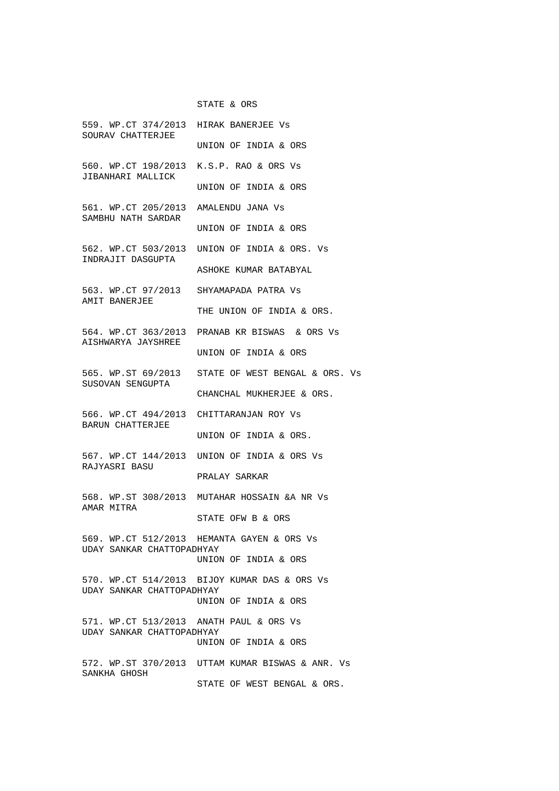## STATE & ORS

| 559. WP.CT 374/2013 HIRAK BANERJEE Vs<br>SOURAV CHATTERJEE                                                                                                 |                                                              |
|------------------------------------------------------------------------------------------------------------------------------------------------------------|--------------------------------------------------------------|
|                                                                                                                                                            | UNION OF INDIA & ORS                                         |
| 560. WP.CT 198/2013 K.S.P. RAO & ORS Vs<br>JIBANHARI MALLICK                                                                                               |                                                              |
|                                                                                                                                                            | UNION OF INDIA & ORS                                         |
| 561. WP.CT 205/2013 AMALENDU JANA Vs<br>SAMBHU NATH SARDAR                                                                                                 |                                                              |
|                                                                                                                                                            | UNION OF INDIA & ORS                                         |
| INDRAJIT DASGUPTA                                                                                                                                          | 562. WP.CT 503/2013 UNION OF INDIA & ORS. Vs                 |
|                                                                                                                                                            | ASHOKE KUMAR BATABYAL                                        |
| AMIT BANERJEE                                                                                                                                              | 563. WP.CT 97/2013 SHYAMAPADA PATRA Vs                       |
|                                                                                                                                                            | THE UNION OF INDIA & ORS.                                    |
| AISHWARYA JAYSHREE<br>565. WP.ST 69/2013 STATE OF WEST BENGAL & ORS. Vs<br>SUSOVAN SENGUPTA<br>566. WP.CT 494/2013 CHITTARANJAN ROY Vs<br>BARUN CHATTERJEE | 564. WP.CT 363/2013 PRANAB KR BISWAS & ORS Vs                |
|                                                                                                                                                            | UNION OF INDIA & ORS                                         |
|                                                                                                                                                            | CHANCHAL MUKHERJEE & ORS.                                    |
|                                                                                                                                                            |                                                              |
|                                                                                                                                                            | UNION OF INDIA & ORS.                                        |
|                                                                                                                                                            |                                                              |
| RAJYASRI BASU                                                                                                                                              | 567. WP.CT 144/2013 UNION OF INDIA & ORS Vs<br>PRALAY SARKAR |
|                                                                                                                                                            |                                                              |
| AMAR MITRA                                                                                                                                                 | 568. WP.ST 308/2013 MUTAHAR HOSSAIN & ANR Vs                 |
|                                                                                                                                                            | STATE OFW B & ORS                                            |
| UDAY SANKAR CHATTOPADHYAY                                                                                                                                  | 569. WP.CT 512/2013 HEMANTA GAYEN & ORS Vs                   |
|                                                                                                                                                            | UNION OF INDIA & ORS                                         |
| UDAY SANKAR CHATTOPADHYAY                                                                                                                                  | 570. WP.CT 514/2013 BIJOY KUMAR DAS & ORS Vs                 |
|                                                                                                                                                            | UNION OF INDIA & ORS                                         |
| 571. WP.CT 513/2013 ANATH PAUL & ORS Vs<br>UDAY SANKAR CHATTOPADHYAY                                                                                       |                                                              |
|                                                                                                                                                            | UNION OF INDIA & ORS                                         |
| SANKHA GHOSH                                                                                                                                               | 572. WP.ST 370/2013 UTTAM KUMAR BISWAS & ANR. Vs             |
|                                                                                                                                                            | STATE OF WEST BENGAL & ORS.                                  |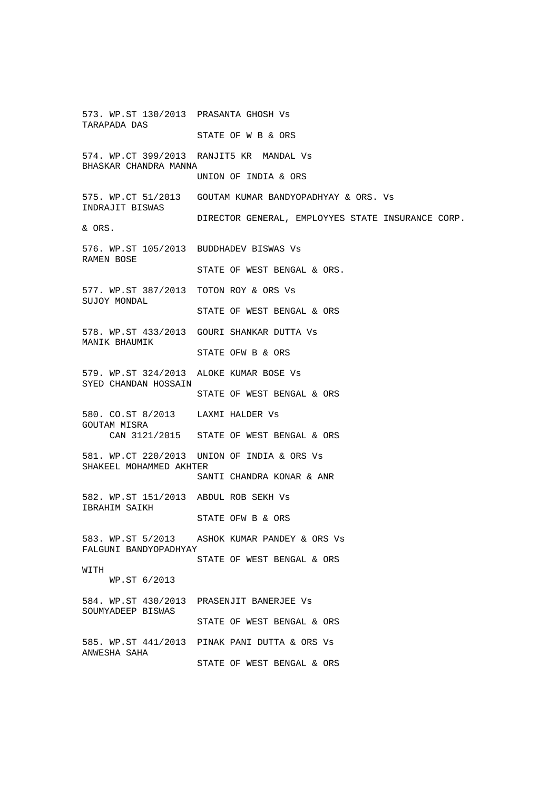573. WP.ST 130/2013 PRASANTA GHOSH Vs TARAPADA DAS STATE OF W B & ORS 574. WP.CT 399/2013 RANJIT5 KR MANDAL Vs BHASKAR CHANDRA MANNA UNION OF INDIA & ORS 575. WP.CT 51/2013 GOUTAM KUMAR BANDYOPADHYAY & ORS. Vs INDRAJIT BISWAS DIRECTOR GENERAL, EMPLOYYES STATE INSURANCE CORP. & ORS. 576. WP.ST 105/2013 BUDDHADEV BISWAS Vs RAMEN BOSE STATE OF WEST BENGAL & ORS. 577. WP.ST 387/2013 TOTON ROY & ORS Vs SUJOY MONDAL STATE OF WEST BENGAL & ORS 578. WP.ST 433/2013 GOURI SHANKAR DUTTA Vs MANIK BHAUMIK STATE OFW B & ORS 579. WP.ST 324/2013 ALOKE KUMAR BOSE Vs SYED CHANDAN HOSSAIN STATE OF WEST BENGAL & ORS 580. CO.ST 8/2013 LAXMI HALDER Vs GOUTAM MISRA CAN 3121/2015 STATE OF WEST BENGAL & ORS 581. WP.CT 220/2013 UNION OF INDIA & ORS Vs SHAKEEL MOHAMMED AKHTER SANTI CHANDRA KONAR & ANR 582. WP.ST 151/2013 ABDUL ROB SEKH Vs IBRAHIM SAIKH STATE OFW B & ORS 583. WP.ST 5/2013 ASHOK KUMAR PANDEY & ORS Vs FALGUNI BANDYOPADHYAY STATE OF WEST BENGAL & ORS WITH WP.ST 6/2013 584. WP.ST 430/2013 PRASENJIT BANERJEE Vs SOUMYADEEP BISWAS STATE OF WEST BENGAL & ORS 585. WP.ST 441/2013 PINAK PANI DUTTA & ORS Vs ANWESHA SAHA STATE OF WEST BENGAL & ORS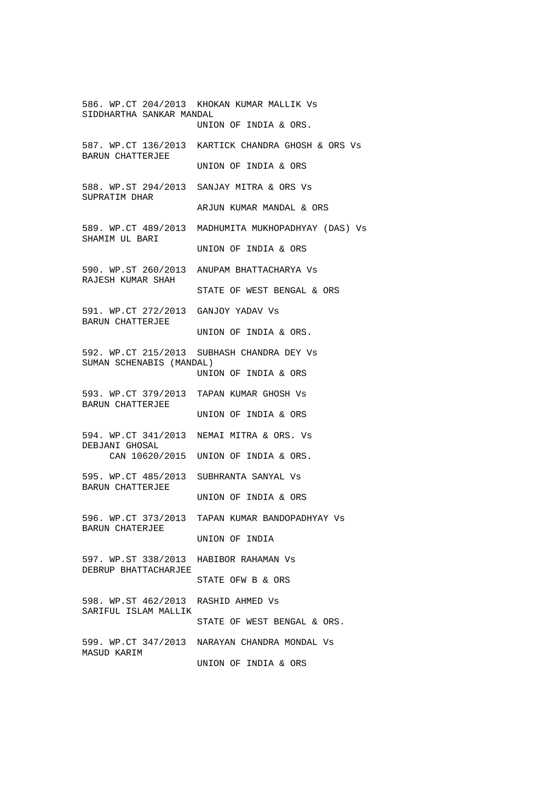586. WP.CT 204/2013 KHOKAN KUMAR MALLIK Vs SIDDHARTHA SANKAR MANDAL UNION OF INDIA & ORS. 587. WP.CT 136/2013 KARTICK CHANDRA GHOSH & ORS Vs BARUN CHATTERJEE UNION OF INDIA & ORS 588. WP.ST 294/2013 SANJAY MITRA & ORS Vs SUPRATIM DHAR ARJUN KUMAR MANDAL & ORS 589. WP.CT 489/2013 MADHUMITA MUKHOPADHYAY (DAS) Vs SHAMIM UL BARI UNION OF INDIA & ORS 590. WP.ST 260/2013 ANUPAM BHATTACHARYA Vs RAJESH KUMAR SHAH STATE OF WEST BENGAL & ORS 591. WP.CT 272/2013 GANJOY YADAV Vs BARUN CHATTERJEE UNION OF INDIA & ORS. 592. WP.CT 215/2013 SUBHASH CHANDRA DEY Vs SUMAN SCHENABIS (MANDAL) UNION OF INDIA & ORS 593. WP.CT 379/2013 TAPAN KUMAR GHOSH Vs BARUN CHATTERJEE UNION OF INDIA & ORS 594. WP.CT 341/2013 NEMAI MITRA & ORS. Vs DEBJANI GHOSAL CAN 10620/2015 UNION OF INDIA & ORS. 595. WP.CT 485/2013 SUBHRANTA SANYAL Vs BARUN CHATTERJEE UNION OF INDIA & ORS 596. WP.CT 373/2013 TAPAN KUMAR BANDOPADHYAY Vs BARUN CHATERJEE UNION OF INDIA 597. WP.ST 338/2013 HABIBOR RAHAMAN Vs DEBRUP BHATTACHARJEE STATE OFW B & ORS 598. WP.ST 462/2013 RASHID AHMED Vs SARIFUL ISLAM MALLIK STATE OF WEST BENGAL & ORS. 599. WP.CT 347/2013 NARAYAN CHANDRA MONDAL Vs MASUD KARIM UNION OF INDIA & ORS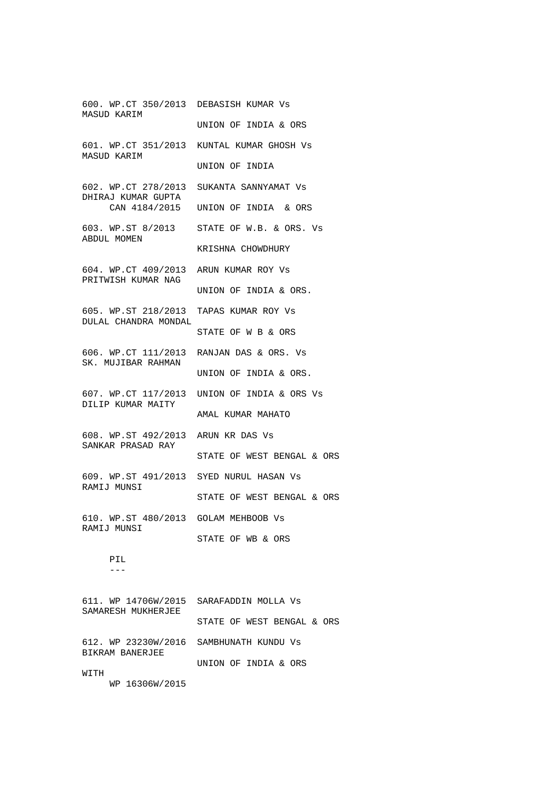600. WP.CT 350/2013 DEBASISH KUMAR Vs MASUD KARIM UNION OF INDIA & ORS 601. WP.CT 351/2013 KUNTAL KUMAR GHOSH Vs MASUD KARIM UNION OF INDIA 602. WP.CT 278/2013 SUKANTA SANNYAMAT Vs DHIRAJ KUMAR GUPTA CAN 4184/2015 UNION OF INDIA & ORS 603. WP.ST 8/2013 STATE OF W.B. & ORS. Vs ABDUL MOMEN KRISHNA CHOWDHURY 604. WP.CT 409/2013 ARUN KUMAR ROY Vs PRITWISH KUMAR NAG UNION OF INDIA & ORS. 605. WP.ST 218/2013 TAPAS KUMAR ROY Vs DULAL CHANDRA MONDAL STATE OF W B & ORS 606. WP.CT 111/2013 RANJAN DAS & ORS. Vs SK. MUJIBAR RAHMAN UNION OF INDIA & ORS. 607. WP.CT 117/2013 UNION OF INDIA & ORS Vs DILIP KUMAR MAITY AMAL KUMAR MAHATO 608. WP.ST 492/2013 ARUN KR DAS Vs SANKAR PRASAD RAY STATE OF WEST BENGAL & ORS 609. WP.ST 491/2013 SYED NURUL HASAN Vs RAMIJ MUNSI STATE OF WEST BENGAL & ORS 610. WP.ST 480/2013 GOLAM MEHBOOB Vs RAMIJ MUNSI STATE OF WB & ORS PIL  $-$ 611. WP 14706W/2015 SARAFADDIN MOLLA Vs SAMARESH MUKHERJEE STATE OF WEST BENGAL & ORS 612. WP 23230W/2016 SAMBHUNATH KUNDU Vs BIKRAM BANERJEE

UNION OF INDIA & ORS

**WITH** 

WP 16306W/2015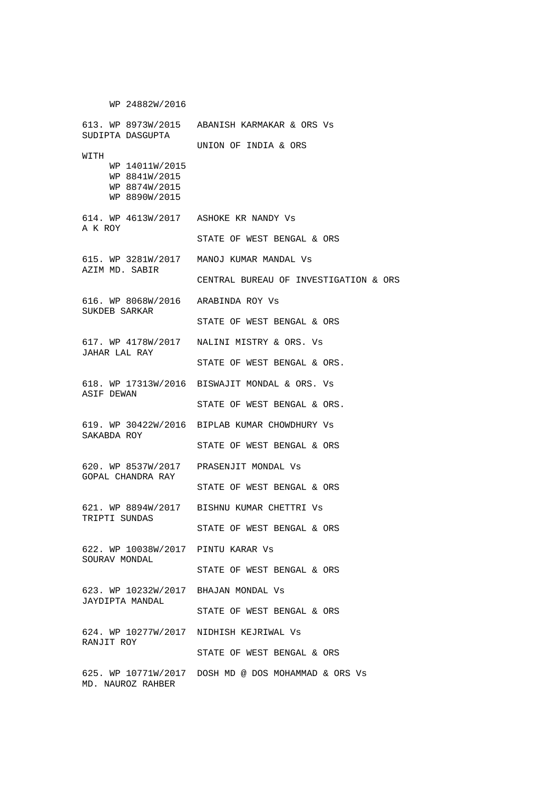WP 24882W/2016 613. WP 8973W/2015 ABANISH KARMAKAR & ORS Vs SUDIPTA DASGUPTA UNION OF INDIA & ORS WITH WP 14011W/2015 WP 8841W/2015 WP 8874W/2015 WP 8890W/2015 614. WP 4613W/2017 ASHOKE KR NANDY Vs A K ROY STATE OF WEST BENGAL & ORS 615. WP 3281W/2017 MANOJ KUMAR MANDAL Vs AZIM MD. SABIR CENTRAL BUREAU OF INVESTIGATION & ORS 616. WP 8068W/2016 ARABINDA ROY Vs SUKDEB SARKAR STATE OF WEST BENGAL & ORS 617. WP 4178W/2017 NALINI MISTRY & ORS. Vs JAHAR LAL RAY STATE OF WEST BENGAL & ORS. 618. WP 17313W/2016 BISWAJIT MONDAL & ORS. Vs ASIF DEWAN STATE OF WEST BENGAL & ORS. 619. WP 30422W/2016 BIPLAB KUMAR CHOWDHURY Vs SAKABDA ROY STATE OF WEST BENGAL & ORS 620. WP 8537W/2017 PRASENJIT MONDAL Vs GOPAL CHANDRA RAY STATE OF WEST BENGAL & ORS 621. WP 8894W/2017 BISHNU KUMAR CHETTRI Vs TRIPTI SUNDAS STATE OF WEST BENGAL & ORS 622. WP 10038W/2017 PINTU KARAR Vs SOURAV MONDAL STATE OF WEST BENGAL & ORS 623. WP 10232W/2017 BHAJAN MONDAL Vs JAYDIPTA MANDAL STATE OF WEST BENGAL & ORS 624. WP 10277W/2017 NIDHISH KEJRIWAL Vs RANJIT ROY STATE OF WEST BENGAL & ORS 625. WP 10771W/2017 DOSH MD @ DOS MOHAMMAD & ORS Vs MD. NAUROZ RAHBER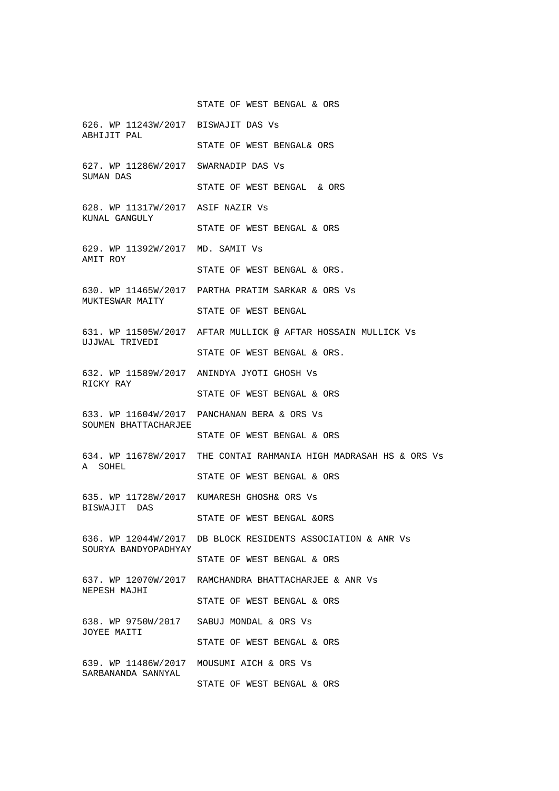STATE OF WEST BENGAL & ORS 626. WP 11243W/2017 BISWAJIT DAS Vs ABHIJIT PAL STATE OF WEST BENGAL& ORS 627. WP 11286W/2017 SWARNADIP DAS Vs SUMAN DAS STATE OF WEST BENGAL & ORS 628. WP 11317W/2017 ASIF NAZIR Vs KUNAL GANGULY STATE OF WEST BENGAL & ORS 629. WP 11392W/2017 MD. SAMIT Vs AMIT ROY STATE OF WEST BENGAL & ORS. 630. WP 11465W/2017 PARTHA PRATIM SARKAR & ORS Vs MUKTESWAR MAITY STATE OF WEST BENGAL 631. WP 11505W/2017 AFTAR MULLICK @ AFTAR HOSSAIN MULLICK Vs UJJWAL TRIVEDI STATE OF WEST BENGAL & ORS. 632. WP 11589W/2017 ANINDYA JYOTI GHOSH Vs RICKY RAY STATE OF WEST BENGAL & ORS 633. WP 11604W/2017 PANCHANAN BERA & ORS Vs SOUMEN BHATTACHARJEE STATE OF WEST BENGAL & ORS 634. WP 11678W/2017 THE CONTAI RAHMANIA HIGH MADRASAH HS & ORS Vs A SOHEL STATE OF WEST BENGAL & ORS 635. WP 11728W/2017 KUMARESH GHOSH& ORS Vs BISWAJIT DAS STATE OF WEST BENGAL &ORS 636. WP 12044W/2017 DB BLOCK RESIDENTS ASSOCIATION & ANR Vs SOURYA BANDYOPADHYAY STATE OF WEST BENGAL & ORS 637. WP 12070W/2017 RAMCHANDRA BHATTACHARJEE & ANR Vs NEPESH MAJHI STATE OF WEST BENGAL & ORS 638. WP 9750W/2017 SABUJ MONDAL & ORS Vs JOYEE MAITI STATE OF WEST BENGAL & ORS 639. WP 11486W/2017 MOUSUMI AICH & ORS Vs SARBANANDA SANNYAL STATE OF WEST BENGAL & ORS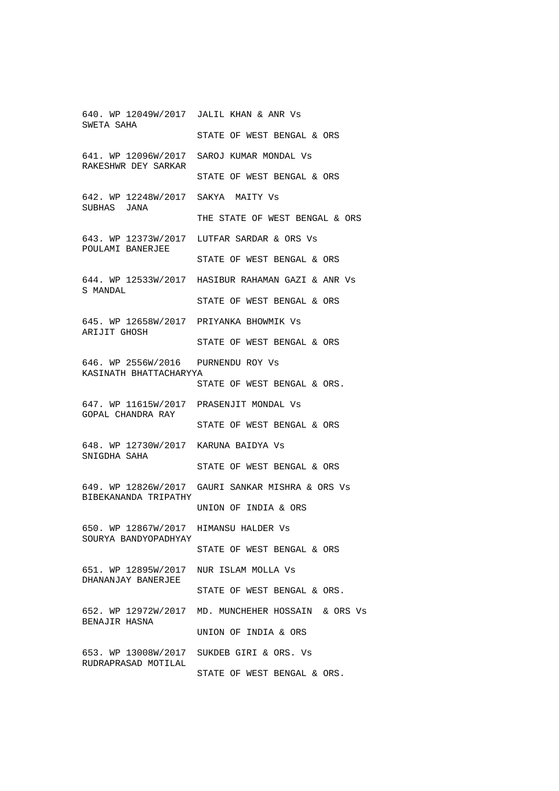640. WP 12049W/2017 JALIL KHAN & ANR Vs SWETA SAHA STATE OF WEST BENGAL & ORS 641. WP 12096W/2017 SAROJ KUMAR MONDAL Vs RAKESHWR DEY SARKAR STATE OF WEST BENGAL & ORS 642. WP 12248W/2017 SAKYA MAITY Vs SUBHAS JANA THE STATE OF WEST BENGAL & ORS 643. WP 12373W/2017 LUTFAR SARDAR & ORS Vs POULAMI BANERJEE STATE OF WEST BENGAL & ORS 644. WP 12533W/2017 HASIBUR RAHAMAN GAZI & ANR Vs S MANDAL STATE OF WEST BENGAL & ORS 645. WP 12658W/2017 PRIYANKA BHOWMIK Vs ARIJIT GHOSH STATE OF WEST BENGAL & ORS 646. WP 2556W/2016 PURNENDU ROY Vs KASINATH BHATTACHARYYA STATE OF WEST BENGAL & ORS. 647. WP 11615W/2017 PRASENJIT MONDAL Vs GOPAL CHANDRA RAY STATE OF WEST BENGAL & ORS 648. WP 12730W/2017 KARUNA BAIDYA Vs SNIGDHA SAHA STATE OF WEST BENGAL & ORS 649. WP 12826W/2017 GAURI SANKAR MISHRA & ORS Vs BIBEKANANDA TRIPATHY UNION OF INDIA & ORS 650. WP 12867W/2017 HIMANSU HALDER Vs SOURYA BANDYOPADHYAY STATE OF WEST BENGAL & ORS 651. WP 12895W/2017 NUR ISLAM MOLLA Vs DHANANJAY BANERJEE STATE OF WEST BENGAL & ORS. 652. WP 12972W/2017 MD. MUNCHEHER HOSSAIN & ORS Vs BENAJIR HASNA UNION OF INDIA & ORS 653. WP 13008W/2017 SUKDEB GIRI & ORS. Vs RUDRAPRASAD MOTILAL STATE OF WEST BENGAL & ORS.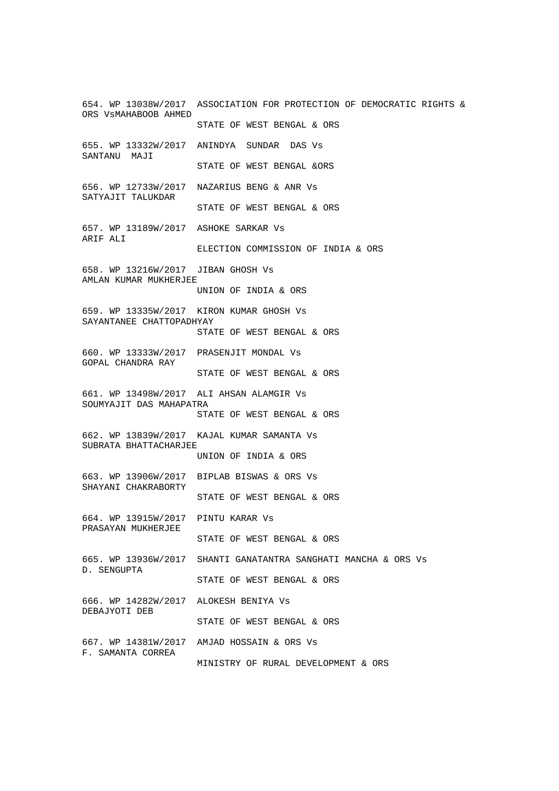654. WP 13038W/2017 ASSOCIATION FOR PROTECTION OF DEMOCRATIC RIGHTS & ORS VsMAHABOOB AHMED STATE OF WEST BENGAL & ORS 655. WP 13332W/2017 ANINDYA SUNDAR DAS Vs SANTANU MAJI STATE OF WEST BENGAL &ORS 656. WP 12733W/2017 NAZARIUS BENG & ANR Vs SATYAJIT TALUKDAR STATE OF WEST BENGAL & ORS 657. WP 13189W/2017 ASHOKE SARKAR Vs ARIF ALI ELECTION COMMISSION OF INDIA & ORS 658. WP 13216W/2017 JIBAN GHOSH Vs AMLAN KUMAR MUKHERJEE UNION OF INDIA & ORS 659. WP 13335W/2017 KIRON KUMAR GHOSH Vs SAYANTANEE CHATTOPADHYAY STATE OF WEST BENGAL & ORS 660. WP 13333W/2017 PRASENJIT MONDAL Vs GOPAL CHANDRA RAY STATE OF WEST BENGAL & ORS 661. WP 13498W/2017 ALI AHSAN ALAMGIR Vs SOUMYAJIT DAS MAHAPATRA STATE OF WEST BENGAL & ORS 662. WP 13839W/2017 KAJAL KUMAR SAMANTA Vs SUBRATA BHATTACHARJEE UNION OF INDIA & ORS 663. WP 13906W/2017 BIPLAB BISWAS & ORS Vs SHAYANI CHAKRABORTY STATE OF WEST BENGAL & ORS 664. WP 13915W/2017 PINTU KARAR Vs PRASAYAN MUKHERJEE STATE OF WEST BENGAL & ORS 665. WP 13936W/2017 SHANTI GANATANTRA SANGHATI MANCHA & ORS Vs D. SENGUPTA STATE OF WEST BENGAL & ORS 666. WP 14282W/2017 ALOKESH BENIYA Vs DEBAJYOTI DEB STATE OF WEST BENGAL & ORS 667. WP 14381W/2017 AMJAD HOSSAIN & ORS Vs F. SAMANTA CORREA MINISTRY OF RURAL DEVELOPMENT & ORS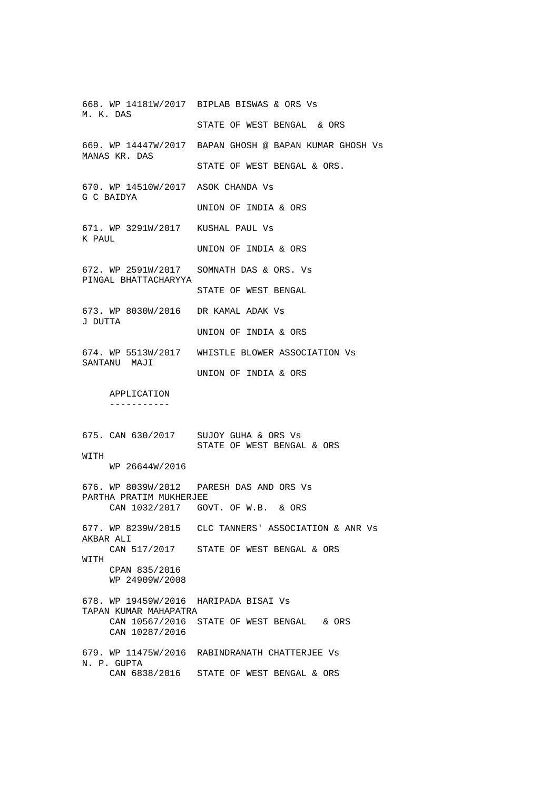668. WP 14181W/2017 BIPLAB BISWAS & ORS Vs M. K. DAS STATE OF WEST BENGAL & ORS 669. WP 14447W/2017 BAPAN GHOSH @ BAPAN KUMAR GHOSH Vs MANAS KR. DAS STATE OF WEST BENGAL & ORS. 670. WP 14510W/2017 ASOK CHANDA Vs G C BAIDYA UNION OF INDIA & ORS 671. WP 3291W/2017 KUSHAL PAUL Vs K PAUL UNION OF INDIA & ORS 672. WP 2591W/2017 SOMNATH DAS & ORS. Vs PINGAL BHATTACHARYYA STATE OF WEST BENGAL 673. WP 8030W/2016 DR KAMAL ADAK Vs J DUTTA UNION OF INDIA & ORS 674. WP 5513W/2017 WHISTLE BLOWER ASSOCIATION Vs SANTANU MAJI UNION OF INDIA & ORS APPLICATION ----------- 675. CAN 630/2017 SUJOY GUHA & ORS Vs STATE OF WEST BENGAL & ORS WITH WP 26644W/2016 676. WP 8039W/2012 PARESH DAS AND ORS Vs PARTHA PRATIM MUKHERJEE CAN 1032/2017 GOVT. OF W.B. & ORS 677. WP 8239W/2015 CLC TANNERS' ASSOCIATION & ANR Vs AKBAR ALI CAN 517/2017 STATE OF WEST BENGAL & ORS **WITH**  CPAN 835/2016 WP 24909W/2008 678. WP 19459W/2016 HARIPADA BISAI Vs TAPAN KUMAR MAHAPATRA CAN 10567/2016 STATE OF WEST BENGAL & ORS CAN 10287/2016 679. WP 11475W/2016 RABINDRANATH CHATTERJEE Vs N. P. GUPTA CAN 6838/2016 STATE OF WEST BENGAL & ORS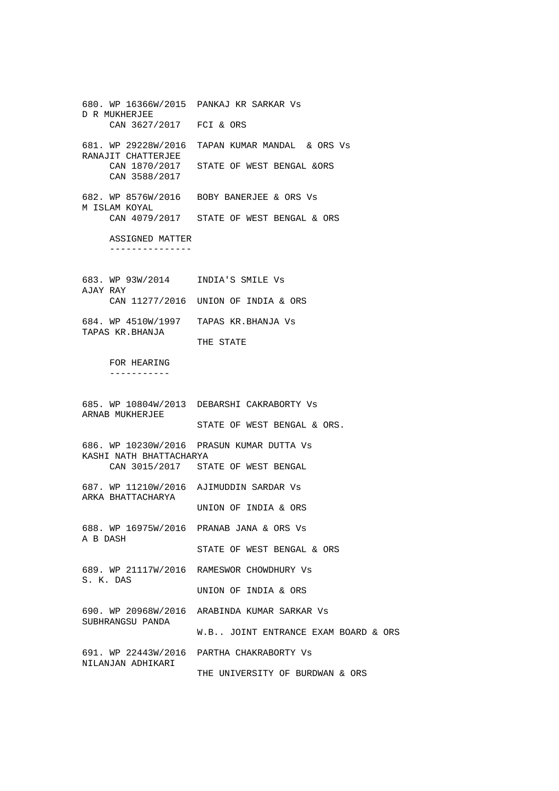680. WP 16366W/2015 PANKAJ KR SARKAR Vs D R MUKHERJEE CAN 3627/2017 FCI & ORS 681. WP 29228W/2016 TAPAN KUMAR MANDAL & ORS Vs RANAJIT CHATTERJEE CAN 1870/2017 STATE OF WEST BENGAL &ORS CAN 3588/2017 682. WP 8576W/2016 BOBY BANERJEE & ORS Vs M ISLAM KOYAL CAN 4079/2017 STATE OF WEST BENGAL & ORS ASSIGNED MATTER --------------- 683. WP 93W/2014 INDIA'S SMILE Vs AJAY RAY CAN 11277/2016 UNION OF INDIA & ORS 684. WP 4510W/1997 TAPAS KR.BHANJA Vs TAPAS KR.BHANJA THE STATE FOR HEARING ----------- 685. WP 10804W/2013 DEBARSHI CAKRABORTY Vs ARNAB MUKHERJEE STATE OF WEST BENGAL & ORS. 686. WP 10230W/2016 PRASUN KUMAR DUTTA Vs KASHI NATH BHATTACHARYA CAN 3015/2017 STATE OF WEST BENGAL 687. WP 11210W/2016 AJIMUDDIN SARDAR Vs ARKA BHATTACHARYA UNION OF INDIA & ORS 688. WP 16975W/2016 PRANAB JANA & ORS Vs A B DASH STATE OF WEST BENGAL & ORS 689. WP 21117W/2016 RAMESWOR CHOWDHURY Vs S. K. DAS UNION OF INDIA & ORS 690. WP 20968W/2016 ARABINDA KUMAR SARKAR Vs SUBHRANGSU PANDA W.B.. JOINT ENTRANCE EXAM BOARD & ORS 691. WP 22443W/2016 PARTHA CHAKRABORTY Vs NILANJAN ADHIKARI THE UNIVERSITY OF BURDWAN & ORS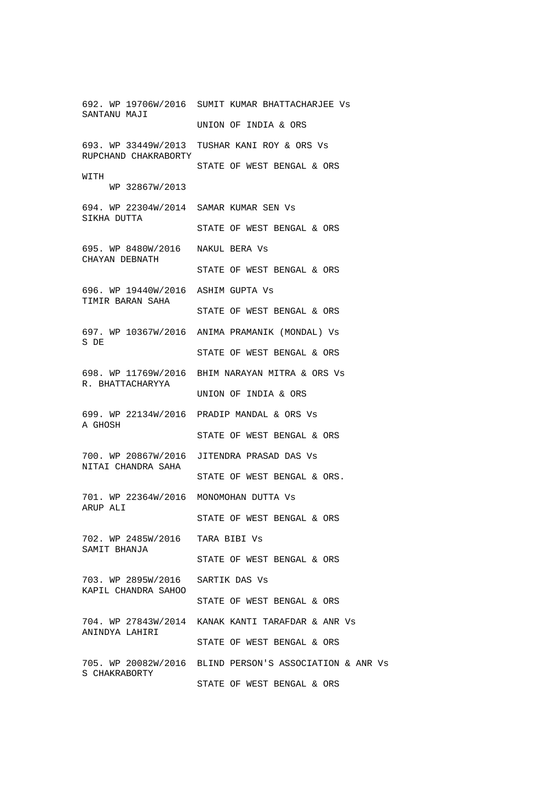692. WP 19706W/2016 SUMIT KUMAR BHATTACHARJEE Vs SANTANU MAJI UNION OF INDIA & ORS 693. WP 33449W/2013 TUSHAR KANI ROY & ORS Vs RUPCHAND CHAKRABORTY STATE OF WEST BENGAL & ORS WITH WP 32867W/2013 694. WP 22304W/2014 SAMAR KUMAR SEN Vs SIKHA DUTTA STATE OF WEST BENGAL & ORS 695. WP 8480W/2016 NAKUL BERA Vs CHAYAN DEBNATH STATE OF WEST BENGAL & ORS 696. WP 19440W/2016 ASHIM GUPTA Vs TIMIR BARAN SAHA STATE OF WEST BENGAL & ORS 697. WP 10367W/2016 ANIMA PRAMANIK (MONDAL) Vs S DE STATE OF WEST BENGAL & ORS 698. WP 11769W/2016 BHIM NARAYAN MITRA & ORS Vs R. BHATTACHARYYA UNION OF INDIA & ORS 699. WP 22134W/2016 PRADIP MANDAL & ORS Vs A GHOSH STATE OF WEST BENGAL & ORS 700. WP 20867W/2016 JITENDRA PRASAD DAS Vs NITAI CHANDRA SAHA STATE OF WEST BENGAL & ORS. 701. WP 22364W/2016 MONOMOHAN DUTTA Vs ARUP ALI STATE OF WEST BENGAL & ORS 702. WP 2485W/2016 TARA BIBI Vs SAMIT BHANJA STATE OF WEST BENGAL & ORS 703. WP 2895W/2016 SARTIK DAS Vs KAPIL CHANDRA SAHOO STATE OF WEST BENGAL & ORS 704. WP 27843W/2014 KANAK KANTI TARAFDAR & ANR Vs ANINDYA LAHIRI STATE OF WEST BENGAL & ORS 705. WP 20082W/2016 BLIND PERSON'S ASSOCIATION & ANR Vs S CHAKRABORTY STATE OF WEST BENGAL & ORS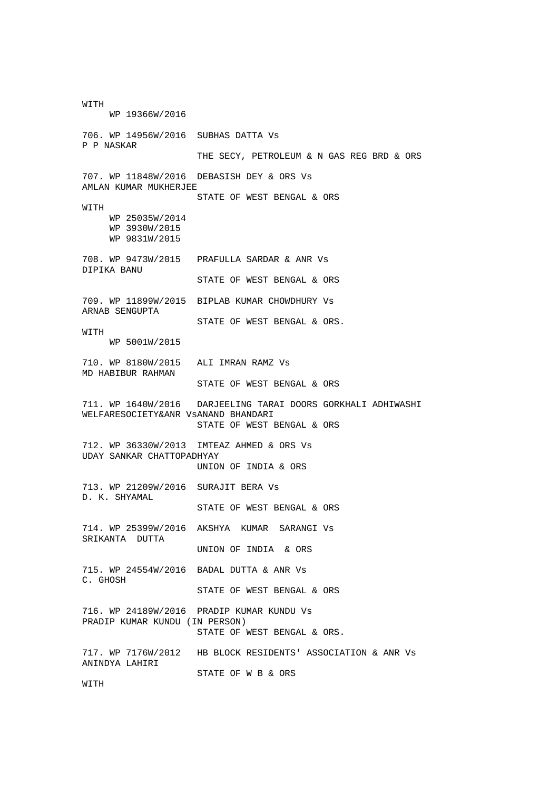WITH WP 19366W/2016 706. WP 14956W/2016 SUBHAS DATTA Vs P P NASKAR THE SECY, PETROLEUM & N GAS REG BRD & ORS 707. WP 11848W/2016 DEBASISH DEY & ORS Vs AMLAN KUMAR MUKHERJEE STATE OF WEST BENGAL & ORS WITH WP 25035W/2014 WP 3930W/2015 WP 9831W/2015 708. WP 9473W/2015 PRAFULLA SARDAR & ANR Vs DIPIKA BANU STATE OF WEST BENGAL & ORS 709. WP 11899W/2015 BIPLAB KUMAR CHOWDHURY Vs ARNAB SENGUPTA STATE OF WEST BENGAL & ORS. WITH WP 5001W/2015 710. WP 8180W/2015 ALI IMRAN RAMZ Vs MD HABIBUR RAHMAN STATE OF WEST BENGAL & ORS 711. WP 1640W/2016 DARJEELING TARAI DOORS GORKHALI ADHIWASHI WELFARESOCIETY&ANR VsANAND BHANDARI STATE OF WEST BENGAL & ORS 712. WP 36330W/2013 IMTEAZ AHMED & ORS Vs UDAY SANKAR CHATTOPADHYAY UNION OF INDIA & ORS 713. WP 21209W/2016 SURAJIT BERA Vs D. K. SHYAMAL STATE OF WEST BENGAL & ORS 714. WP 25399W/2016 AKSHYA KUMAR SARANGI Vs SRIKANTA DUTTA UNION OF INDIA & ORS 715. WP 24554W/2016 BADAL DUTTA & ANR Vs C. GHOSH STATE OF WEST BENGAL & ORS 716. WP 24189W/2016 PRADIP KUMAR KUNDU Vs PRADIP KUMAR KUNDU (IN PERSON) STATE OF WEST BENGAL & ORS. 717. WP 7176W/2012 HB BLOCK RESIDENTS' ASSOCIATION & ANR Vs ANINDYA LAHIRI STATE OF W B & ORS WITH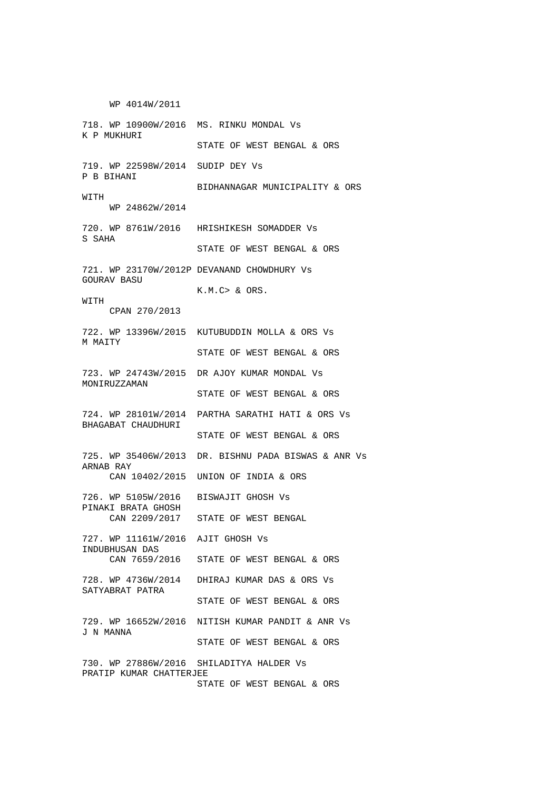WP 4014W/2011 718. WP 10900W/2016 MS. RINKU MONDAL Vs K P MUKHURI STATE OF WEST BENGAL & ORS 719. WP 22598W/2014 SUDIP DEY Vs P B BIHANI BIDHANNAGAR MUNICIPALITY & ORS WITH WP 24862W/2014 720. WP 8761W/2016 HRISHIKESH SOMADDER Vs S SAHA STATE OF WEST BENGAL & ORS 721. WP 23170W/2012P DEVANAND CHOWDHURY Vs GOURAV BASU K.M.C> & ORS. WITH CPAN 270/2013 722. WP 13396W/2015 KUTUBUDDIN MOLLA & ORS Vs M MAITY STATE OF WEST BENGAL & ORS 723. WP 24743W/2015 DR AJOY KUMAR MONDAL Vs MONIRUZZAMAN STATE OF WEST BENGAL & ORS 724. WP 28101W/2014 PARTHA SARATHI HATI & ORS Vs BHAGABAT CHAUDHURI STATE OF WEST BENGAL & ORS 725. WP 35406W/2013 DR. BISHNU PADA BISWAS & ANR Vs ARNAB RAY CAN 10402/2015 UNION OF INDIA & ORS 726. WP 5105W/2016 BISWAJIT GHOSH Vs PINAKI BRATA GHOSH CAN 2209/2017 STATE OF WEST BENGAL 727. WP 11161W/2016 AJIT GHOSH Vs INDUBHUSAN DAS CAN 7659/2016 STATE OF WEST BENGAL & ORS 728. WP 4736W/2014 DHIRAJ KUMAR DAS & ORS Vs SATYABRAT PATRA STATE OF WEST BENGAL & ORS 729. WP 16652W/2016 NITISH KUMAR PANDIT & ANR Vs J N MANNA STATE OF WEST BENGAL & ORS 730. WP 27886W/2016 SHILADITYA HALDER Vs PRATIP KUMAR CHATTERJEE STATE OF WEST BENGAL & ORS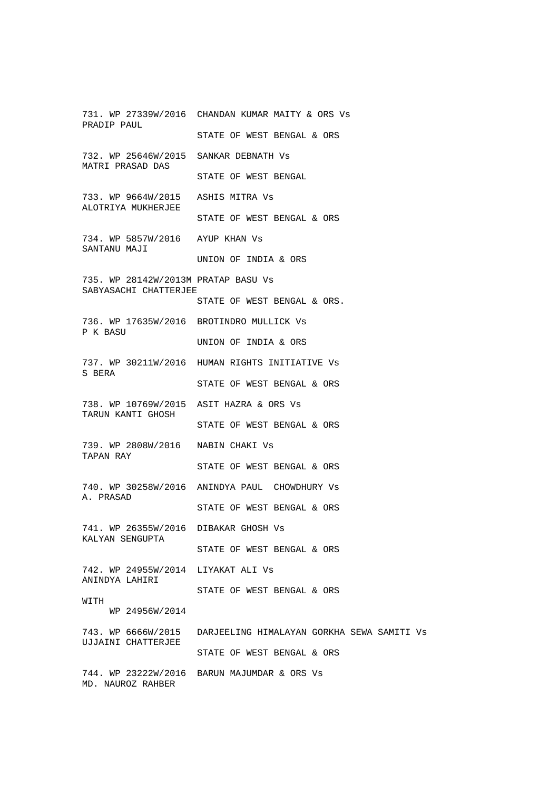731. WP 27339W/2016 CHANDAN KUMAR MAITY & ORS Vs PRADIP PAUL STATE OF WEST BENGAL & ORS 732. WP 25646W/2015 SANKAR DEBNATH Vs MATRI PRASAD DAS STATE OF WEST BENGAL 733. WP 9664W/2015 ASHIS MITRA Vs ALOTRIYA MUKHERJEE STATE OF WEST BENGAL & ORS 734. WP 5857W/2016 AYUP KHAN Vs SANTANU MAJI UNION OF INDIA & ORS 735. WP 28142W/2013M PRATAP BASU Vs SABYASACHI CHATTERJEE STATE OF WEST BENGAL & ORS. 736. WP 17635W/2016 BROTINDRO MULLICK Vs P K BASU UNION OF INDIA & ORS 737. WP 30211W/2016 HUMAN RIGHTS INITIATIVE Vs S BERA STATE OF WEST BENGAL & ORS 738. WP 10769W/2015 ASIT HAZRA & ORS Vs TARUN KANTI GHOSH STATE OF WEST BENGAL & ORS 739. WP 2808W/2016 NABIN CHAKI Vs TAPAN RAY STATE OF WEST BENGAL & ORS 740. WP 30258W/2016 ANINDYA PAUL CHOWDHURY Vs A. PRASAD STATE OF WEST BENGAL & ORS 741. WP 26355W/2016 DIBAKAR GHOSH Vs KALYAN SENGUPTA STATE OF WEST BENGAL & ORS 742. WP 24955W/2014 LIYAKAT ALI Vs ANINDYA LAHIRI STATE OF WEST BENGAL & ORS WITH WP 24956W/2014 743. WP 6666W/2015 DARJEELING HIMALAYAN GORKHA SEWA SAMITI Vs UJJAINI CHATTERJEE STATE OF WEST BENGAL & ORS 744. WP 23222W/2016 BARUN MAJUMDAR & ORS Vs MD. NAUROZ RAHBER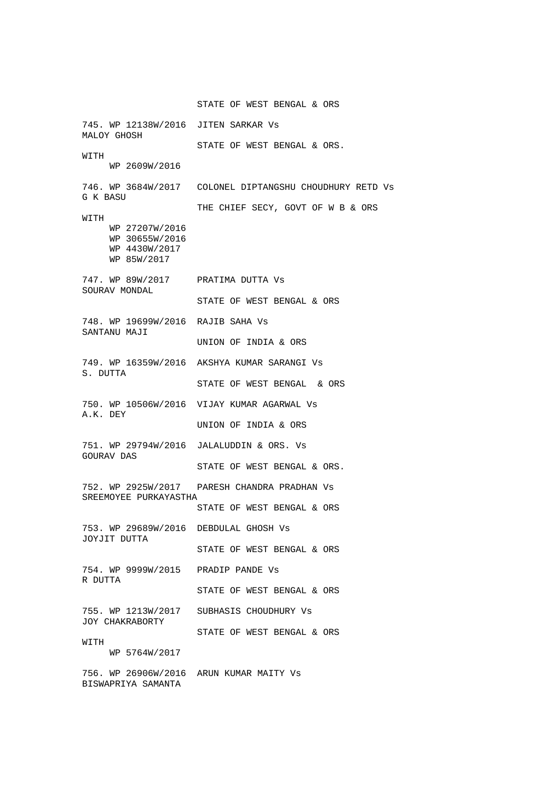STATE OF WEST BENGAL & ORS 745. WP 12138W/2016 JITEN SARKAR Vs MALOY GHOSH STATE OF WEST BENGAL & ORS. WITH WP 2609W/2016 746. WP 3684W/2017 COLONEL DIPTANGSHU CHOUDHURY RETD Vs G K BASU THE CHIEF SECY, GOVT OF W B & ORS WITH WP 27207W/2016 WP 30655W/2016 WP 4430W/2017 WP 85W/2017 747. WP 89W/2017 PRATIMA DUTTA Vs SOURAV MONDAL STATE OF WEST BENGAL & ORS 748. WP 19699W/2016 RAJIB SAHA Vs SANTANU MAJI UNION OF INDIA & ORS 749. WP 16359W/2016 AKSHYA KUMAR SARANGI Vs S. DUTTA STATE OF WEST BENGAL & ORS 750. WP 10506W/2016 VIJAY KUMAR AGARWAL Vs A.K. DEY UNION OF INDIA & ORS 751. WP 29794W/2016 JALALUDDIN & ORS. Vs GOURAV DAS STATE OF WEST BENGAL & ORS. 752. WP 2925W/2017 PARESH CHANDRA PRADHAN Vs SREEMOYEE PURKAYASTHA STATE OF WEST BENGAL & ORS 753. WP 29689W/2016 DEBDULAL GHOSH Vs JOYJIT DUTTA STATE OF WEST BENGAL & ORS 754. WP 9999W/2015 PRADIP PANDE Vs R DUTTA STATE OF WEST BENGAL & ORS 755. WP 1213W/2017 SUBHASIS CHOUDHURY Vs JOY CHAKRABORTY STATE OF WEST BENGAL & ORS WITH WP 5764W/2017 756. WP 26906W/2016 ARUN KUMAR MAITY Vs BISWAPRIYA SAMANTA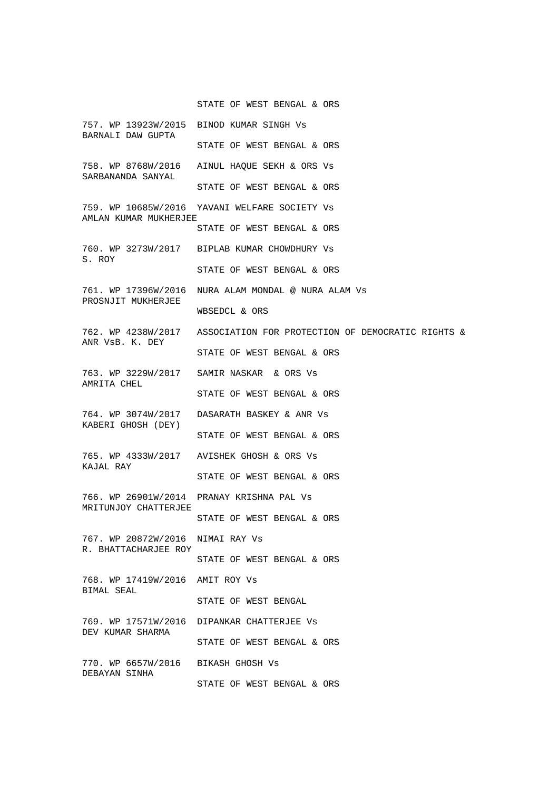## STATE OF WEST BENGAL & ORS

757. WP 13923W/2015 BINOD KUMAR SINGH Vs BARNALI DAW GUPTA STATE OF WEST BENGAL & ORS 758. WP 8768W/2016 AINUL HAQUE SEKH & ORS Vs SARBANANDA SANYAL STATE OF WEST BENGAL & ORS 759. WP 10685W/2016 YAVANI WELFARE SOCIETY Vs AMLAN KUMAR MUKHERJEE STATE OF WEST BENGAL & ORS 760. WP 3273W/2017 BIPLAB KUMAR CHOWDHURY Vs S. ROY STATE OF WEST BENGAL & ORS 761. WP 17396W/2016 NURA ALAM MONDAL @ NURA ALAM Vs PROSNJIT MUKHERJEE WBSEDCL & ORS 762. WP 4238W/2017 ASSOCIATION FOR PROTECTION OF DEMOCRATIC RIGHTS & ANR VsB. K. DEY STATE OF WEST BENGAL & ORS 763. WP 3229W/2017 SAMIR NASKAR & ORS Vs AMRITA CHEL STATE OF WEST BENGAL & ORS 764. WP 3074W/2017 DASARATH BASKEY & ANR Vs KABERI GHOSH (DEY) STATE OF WEST BENGAL & ORS 765. WP 4333W/2017 AVISHEK GHOSH & ORS Vs KAJAL RAY STATE OF WEST BENGAL & ORS 766. WP 26901W/2014 PRANAY KRISHNA PAL Vs MRITUNJOY CHATTERJEE STATE OF WEST BENGAL & ORS 767. WP 20872W/2016 NIMAI RAY Vs R. BHATTACHARJEE ROY STATE OF WEST BENGAL & ORS 768. WP 17419W/2016 AMIT ROY Vs BIMAL SEAL STATE OF WEST BENGAL 769. WP 17571W/2016 DIPANKAR CHATTERJEE Vs DEV KUMAR SHARMA STATE OF WEST BENGAL & ORS 770. WP 6657W/2016 BIKASH GHOSH Vs DEBAYAN SINHA STATE OF WEST BENGAL & ORS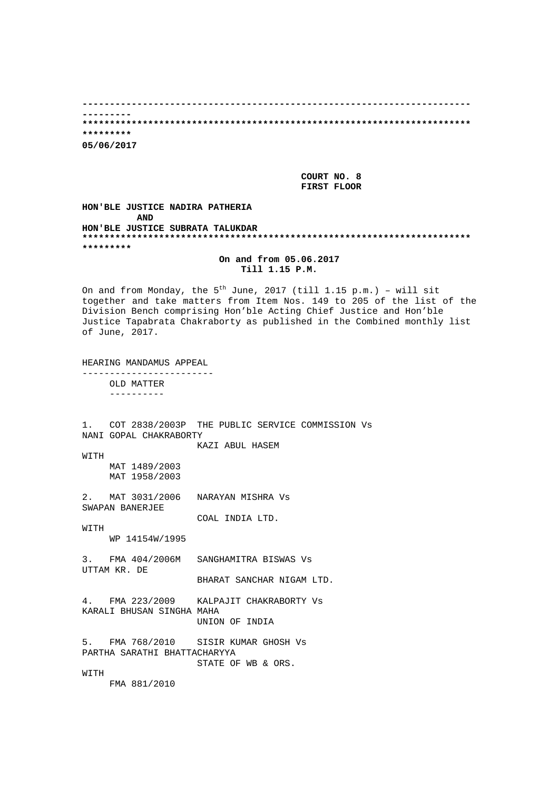**----------------------------------------------------------------------- --------- \*\*\*\*\*\*\*\*\*\*\*\*\*\*\*\*\*\*\*\*\*\*\*\*\*\*\*\*\*\*\*\*\*\*\*\*\*\*\*\*\*\*\*\*\*\*\*\*\*\*\*\*\*\*\*\*\*\*\*\*\*\*\*\*\*\*\*\*\*\*\* \*\*\*\*\*\*\*\*\* 05/06/2017** 

> **COURT NO. 8 FIRST FLOOR**

**HON'BLE JUSTICE NADIRA PATHERIA AND HON'BLE JUSTICE SUBRATA TALUKDAR \*\*\*\*\*\*\*\*\*\*\*\*\*\*\*\*\*\*\*\*\*\*\*\*\*\*\*\*\*\*\*\*\*\*\*\*\*\*\*\*\*\*\*\*\*\*\*\*\*\*\*\*\*\*\*\*\*\*\*\*\*\*\*\*\*\*\*\*\*\*\* \*\*\*\*\*\*\*\*\*** 

**On and from 05.06.2017 Till 1.15 P.M.** 

On and from Monday, the  $5<sup>th</sup>$  June, 2017 (till 1.15 p.m.) - will sit together and take matters from Item Nos. 149 to 205 of the list of the Division Bench comprising Hon'ble Acting Chief Justice and Hon'ble Justice Tapabrata Chakraborty as published in the Combined monthly list of June, 2017.

HEARING MANDAMUS APPEAL ------------------------

> OLD MATTER ----------

1. COT 2838/2003P THE PUBLIC SERVICE COMMISSION Vs NANI GOPAL CHAKRABORTY

KAZI ABUL HASEM

WITH MAT 1489/2003 MAT 1958/2003

2. MAT 3031/2006 NARAYAN MISHRA Vs SWAPAN BANERJEE

COAL INDIA LTD.

**WITH** WP 14154W/1995

3. FMA 404/2006M SANGHAMITRA BISWAS Vs UTTAM KR. DE

BHARAT SANCHAR NIGAM LTD.

4. FMA 223/2009 KALPAJIT CHAKRABORTY Vs KARALI BHUSAN SINGHA MAHA UNION OF INDIA

5. FMA 768/2010 SISIR KUMAR GHOSH Vs PARTHA SARATHI BHATTACHARYYA STATE OF WB & ORS.

**WITTH** 

FMA 881/2010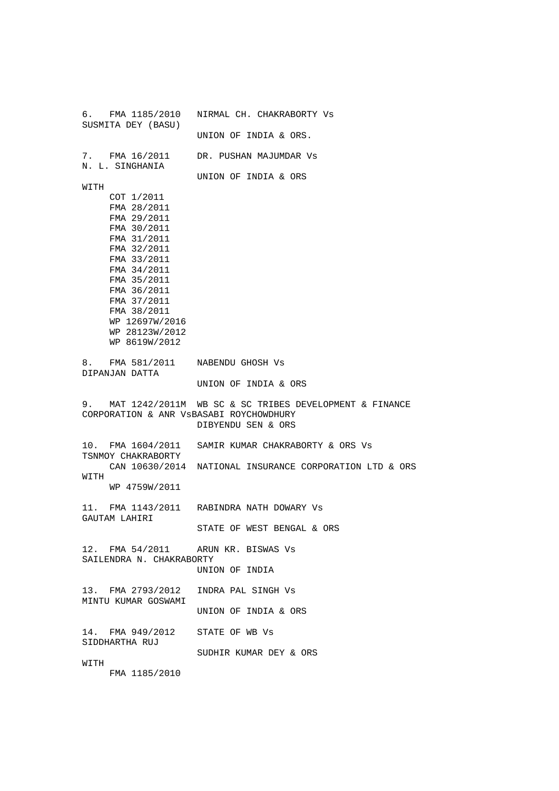6. FMA 1185/2010 NIRMAL CH. CHAKRABORTY Vs SUSMITA DEY (BASU) UNION OF INDIA & ORS. 7. FMA 16/2011 DR. PUSHAN MAJUMDAR Vs N. L. SINGHANIA UNION OF INDIA & ORS WITH COT 1/2011 FMA 28/2011 FMA 29/2011 FMA 30/2011 FMA 31/2011 FMA 32/2011 FMA 33/2011 FMA 34/2011 FMA 35/2011 FMA 36/2011 FMA 37/2011 FMA 38/2011 WP 12697W/2016 WP 28123W/2012 WP 8619W/2012 8. FMA 581/2011 NABENDU GHOSH Vs DIPANJAN DATTA UNION OF INDIA & ORS 9. MAT 1242/2011M WB SC & SC TRIBES DEVELOPMENT & FINANCE CORPORATION & ANR VsBASABI ROYCHOWDHURY DIBYENDU SEN & ORS 10. FMA 1604/2011 SAMIR KUMAR CHAKRABORTY & ORS Vs TSNMOY CHAKRABORTY CAN 10630/2014 NATIONAL INSURANCE CORPORATION LTD & ORS WITH WP 4759W/2011 11. FMA 1143/2011 RABINDRA NATH DOWARY Vs GAUTAM LAHIRI STATE OF WEST BENGAL & ORS 12. FMA 54/2011 ARUN KR. BISWAS Vs SAILENDRA N. CHAKRABORTY UNION OF INDIA 13. FMA 2793/2012 INDRA PAL SINGH Vs MINTU KUMAR GOSWAMI UNION OF INDIA & ORS 14. FMA 949/2012 STATE OF WB Vs SIDDHARTHA RUJ SUDHIR KUMAR DEY & ORS WITH FMA 1185/2010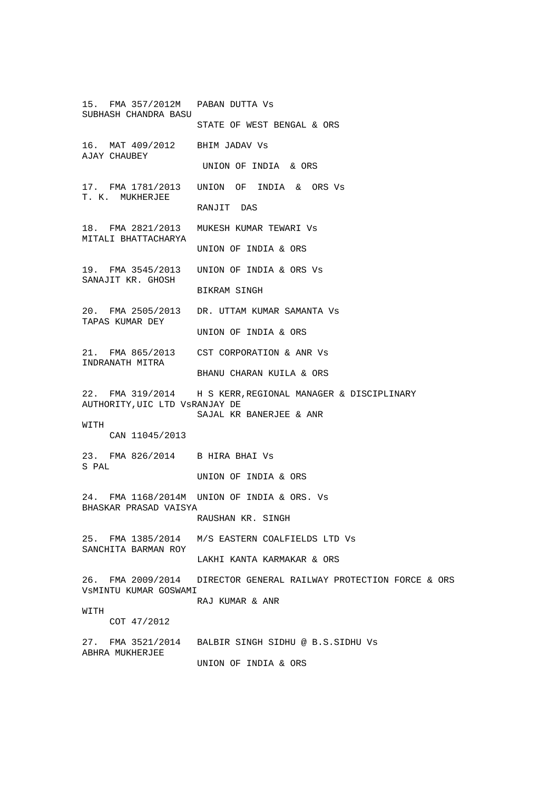15. FMA 357/2012M PABAN DUTTA Vs SUBHASH CHANDRA BASU STATE OF WEST BENGAL & ORS 16. MAT 409/2012 BHIM JADAV Vs AJAY CHAUBEY UNION OF INDIA & ORS 17. FMA 1781/2013 UNION OF INDIA & ORS Vs T. K. MUKHERJEE RANJIT DAS 18. FMA 2821/2013 MUKESH KUMAR TEWARI Vs MITALI BHATTACHARYA UNION OF INDIA & ORS 19. FMA 3545/2013 UNION OF INDIA & ORS Vs SANAJIT KR. GHOSH BIKRAM SINGH 20. FMA 2505/2013 DR. UTTAM KUMAR SAMANTA Vs TAPAS KUMAR DEY UNION OF INDIA & ORS 21. FMA 865/2013 CST CORPORATION & ANR Vs INDRANATH MITRA BHANU CHARAN KUILA & ORS 22. FMA 319/2014 H S KERR,REGIONAL MANAGER & DISCIPLINARY AUTHORITY,UIC LTD VsRANJAY DE SAJAL KR BANERJEE & ANR **WITH**  CAN 11045/2013 23. FMA 826/2014 B HIRA BHAI Vs S PAL UNION OF INDIA & ORS 24. FMA 1168/2014M UNION OF INDIA & ORS. Vs BHASKAR PRASAD VAISYA RAUSHAN KR. SINGH 25. FMA 1385/2014 M/S EASTERN COALFIELDS LTD Vs SANCHITA BARMAN ROY LAKHI KANTA KARMAKAR & ORS 26. FMA 2009/2014 DIRECTOR GENERAL RAILWAY PROTECTION FORCE & ORS VsMINTU KUMAR GOSWAMI RAJ KUMAR & ANR WITH COT 47/2012 27. FMA 3521/2014 BALBIR SINGH SIDHU @ B.S.SIDHU Vs ABHRA MUKHERJEE UNION OF INDIA & ORS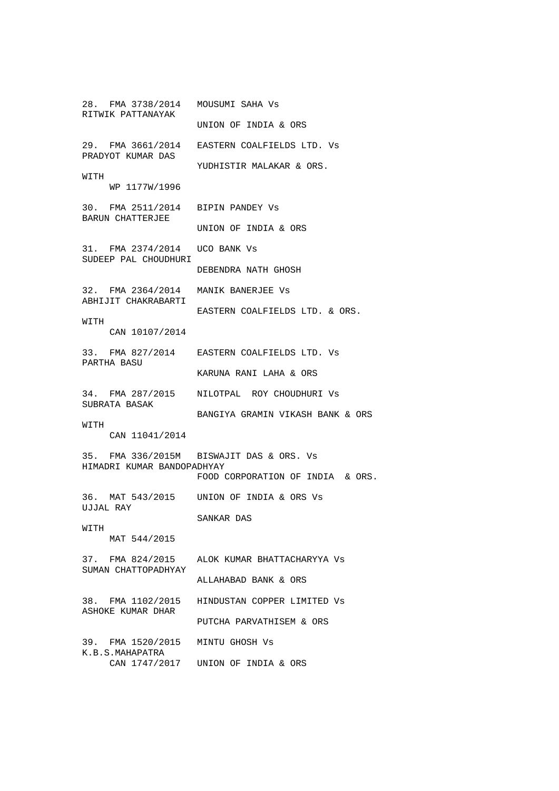28. FMA 3738/2014 MOUSUMI SAHA Vs RITWIK PATTANAYAK UNION OF INDIA & ORS 29. FMA 3661/2014 EASTERN COALFIELDS LTD. Vs PRADYOT KUMAR DAS YUDHISTIR MALAKAR & ORS. WITH WP 1177W/1996 30. FMA 2511/2014 BIPIN PANDEY Vs BARUN CHATTERJEE UNION OF INDIA & ORS 31. FMA 2374/2014 UCO BANK Vs SUDEEP PAL CHOUDHURI DEBENDRA NATH GHOSH 32. FMA 2364/2014 MANIK BANERJEE Vs ABHIJIT CHAKRABARTI EASTERN COALFIELDS LTD. & ORS. WITH CAN 10107/2014 33. FMA 827/2014 EASTERN COALFIELDS LTD. Vs PARTHA BASU KARUNA RANI LAHA & ORS 34. FMA 287/2015 NILOTPAL ROY CHOUDHURI Vs SUBRATA BASAK BANGIYA GRAMIN VIKASH BANK & ORS WITH CAN 11041/2014 35. FMA 336/2015M BISWAJIT DAS & ORS. Vs HIMADRI KUMAR BANDOPADHYAY FOOD CORPORATION OF INDIA & ORS. 36. MAT 543/2015 UNION OF INDIA & ORS Vs UJJAL RAY SANKAR DAS **WITH**  MAT 544/2015 37. FMA 824/2015 ALOK KUMAR BHATTACHARYYA Vs SUMAN CHATTOPADHYAY ALLAHABAD BANK & ORS 38. FMA 1102/2015 HINDUSTAN COPPER LIMITED Vs ASHOKE KUMAR DHAR PUTCHA PARVATHISEM & ORS 39. FMA 1520/2015 MINTU GHOSH Vs K.B.S.MAHAPATRA CAN 1747/2017 UNION OF INDIA & ORS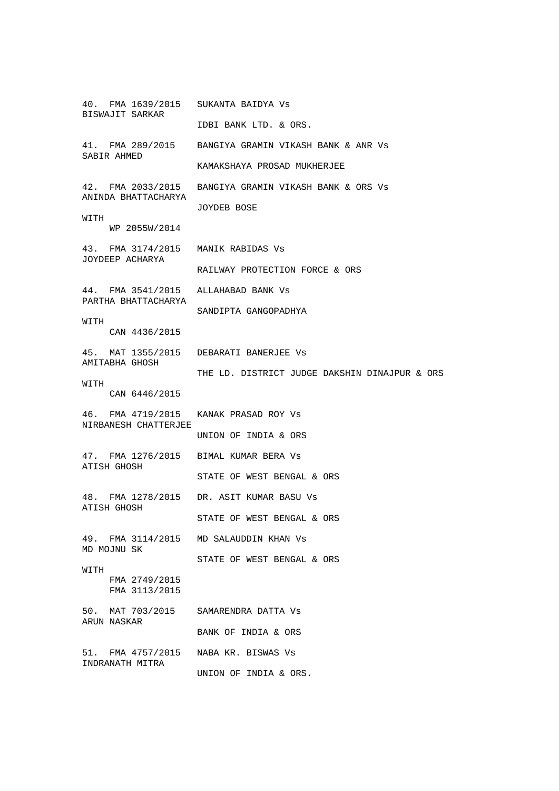40. FMA 1639/2015 SUKANTA BAIDYA Vs BISWAJIT SARKAR IDBI BANK LTD. & ORS. 41. FMA 289/2015 BANGIYA GRAMIN VIKASH BANK & ANR Vs SABIR AHMED KAMAKSHAYA PROSAD MUKHERJEE 42. FMA 2033/2015 BANGIYA GRAMIN VIKASH BANK & ORS Vs ANINDA BHATTACHARYA JOYDEB BOSE WITH WP 2055W/2014 43. FMA 3174/2015 MANIK RABIDAS Vs JOYDEEP ACHARYA RAILWAY PROTECTION FORCE & ORS 44. FMA 3541/2015 ALLAHABAD BANK Vs PARTHA BHATTACHARYA SANDIPTA GANGOPADHYA WITH CAN 4436/2015 45. MAT 1355/2015 DEBARATI BANERJEE Vs AMITABHA GHOSH THE LD. DISTRICT JUDGE DAKSHIN DINAJPUR & ORS **WITH**  CAN 6446/2015 46. FMA 4719/2015 KANAK PRASAD ROY Vs NIRBANESH CHATTERJEE UNION OF INDIA & ORS 47. FMA 1276/2015 BIMAL KUMAR BERA Vs ATISH GHOSH STATE OF WEST BENGAL & ORS 48. FMA 1278/2015 DR. ASIT KUMAR BASU Vs ATISH GHOSH STATE OF WEST BENGAL & ORS 49. FMA 3114/2015 MD SALAUDDIN KHAN Vs MD MOJNU SK STATE OF WEST BENGAL & ORS WITH FMA 2749/2015 FMA 3113/2015 50. MAT 703/2015 SAMARENDRA DATTA Vs ARUN NASKAR BANK OF INDIA & ORS 51. FMA 4757/2015 NABA KR. BISWAS Vs INDRANATH MITRA UNION OF INDIA & ORS.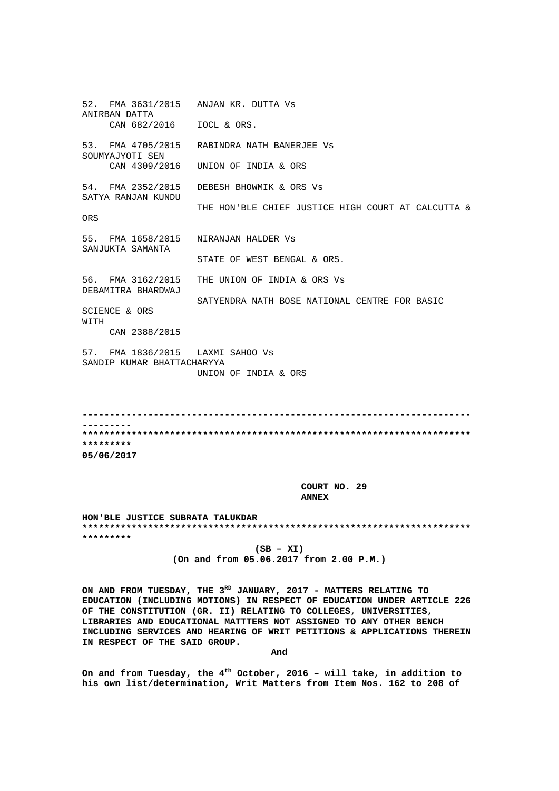52. FMA 3631/2015 ANJAN KR. DUTTA Vs ANIRBAN DATTA CAN 682/2016 IOCL & ORS. 53. FMA 4705/2015 RABINDRA NATH BANERJEE Vs SOUMYAJYOTI SEN CAN 4309/2016 UNION OF INDIA & ORS 54. FMA 2352/2015 DEBESH BHOWMIK & ORS Vs SATYA RANJAN KUNDU THE HON'BLE CHIEF JUSTICE HIGH COURT AT CALCUTTA & ORS 55. FMA 1658/2015 NIRANJAN HALDER Vs SANJUKTA SAMANTA STATE OF WEST BENGAL & ORS. 56. FMA 3162/2015 THE UNION OF INDIA & ORS Vs DEBAMITRA BHARDWAJ SATYENDRA NATH BOSE NATIONAL CENTRE FOR BASIC SCIENCE & ORS WITH CAN 2388/2015 57. FMA 1836/2015 LAXMI SAHOO Vs SANDIP KUMAR BHATTACHARYYA UNION OF INDIA & ORS

**----------------------------------------------------------------------- --------- \*\*\*\*\*\*\*\*\*\*\*\*\*\*\*\*\*\*\*\*\*\*\*\*\*\*\*\*\*\*\*\*\*\*\*\*\*\*\*\*\*\*\*\*\*\*\*\*\*\*\*\*\*\*\*\*\*\*\*\*\*\*\*\*\*\*\*\*\*\*\* \*\*\*\*\*\*\*\*\* 05/06/2017** 

 **COURT NO. 29 ANNEX** 

**HON'BLE JUSTICE SUBRATA TALUKDAR \*\*\*\*\*\*\*\*\*\*\*\*\*\*\*\*\*\*\*\*\*\*\*\*\*\*\*\*\*\*\*\*\*\*\*\*\*\*\*\*\*\*\*\*\*\*\*\*\*\*\*\*\*\*\*\*\*\*\*\*\*\*\*\*\*\*\*\*\*\*\* \*\*\*\*\*\*\*\*\*** 

> **(SB – XI) (On and from 05.06.2017 from 2.00 P.M.)**

ON AND FROM TUESDAY, THE 3<sup>RD</sup> JANUARY, 2017 - MATTERS RELATING TO **EDUCATION (INCLUDING MOTIONS) IN RESPECT OF EDUCATION UNDER ARTICLE 226 OF THE CONSTITUTION (GR. II) RELATING TO COLLEGES, UNIVERSITIES, LIBRARIES AND EDUCATIONAL MATTTERS NOT ASSIGNED TO ANY OTHER BENCH INCLUDING SERVICES AND HEARING OF WRIT PETITIONS & APPLICATIONS THEREIN IN RESPECT OF THE SAID GROUP.** 

**And** 

**On and from Tuesday, the 4th October, 2016 – will take, in addition to his own list/determination, Writ Matters from Item Nos. 162 to 208 of**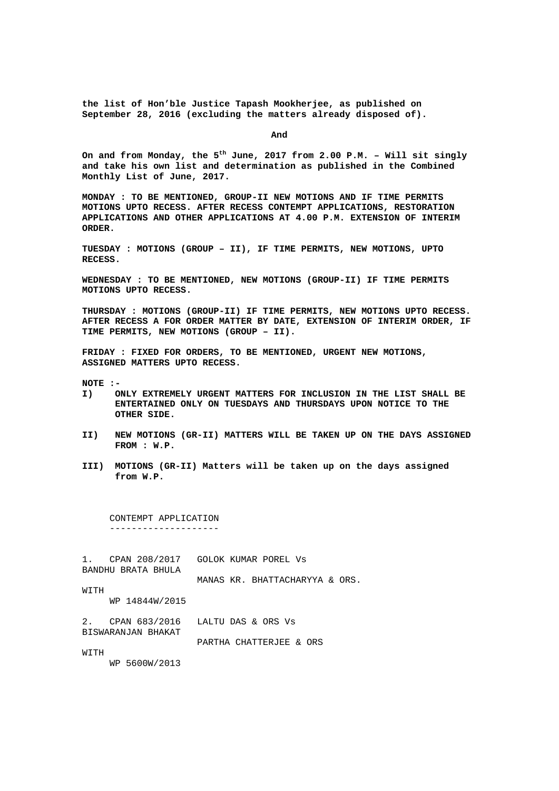**the list of Hon'ble Justice Tapash Mookherjee, as published on September 28, 2016 (excluding the matters already disposed of).** 

**And** 

**On and from Monday, the 5th June, 2017 from 2.00 P.M. – Will sit singly and take his own list and determination as published in the Combined Monthly List of June, 2017.** 

**MONDAY : TO BE MENTIONED, GROUP-II NEW MOTIONS AND IF TIME PERMITS MOTIONS UPTO RECESS. AFTER RECESS CONTEMPT APPLICATIONS, RESTORATION APPLICATIONS AND OTHER APPLICATIONS AT 4.00 P.M. EXTENSION OF INTERIM ORDER.** 

**TUESDAY : MOTIONS (GROUP – II), IF TIME PERMITS, NEW MOTIONS, UPTO RECESS.** 

**WEDNESDAY : TO BE MENTIONED, NEW MOTIONS (GROUP-II) IF TIME PERMITS MOTIONS UPTO RECESS.** 

**THURSDAY : MOTIONS (GROUP-II) IF TIME PERMITS, NEW MOTIONS UPTO RECESS. AFTER RECESS A FOR ORDER MATTER BY DATE, EXTENSION OF INTERIM ORDER, IF TIME PERMITS, NEW MOTIONS (GROUP – II).** 

**FRIDAY : FIXED FOR ORDERS, TO BE MENTIONED, URGENT NEW MOTIONS, ASSIGNED MATTERS UPTO RECESS.** 

**NOTE :-** 

- **I) ONLY EXTREMELY URGENT MATTERS FOR INCLUSION IN THE LIST SHALL BE ENTERTAINED ONLY ON TUESDAYS AND THURSDAYS UPON NOTICE TO THE OTHER SIDE.**
- **II) NEW MOTIONS (GR-II) MATTERS WILL BE TAKEN UP ON THE DAYS ASSIGNED FROM : W.P.**
- **III) MOTIONS (GR-II) Matters will be taken up on the days assigned from W.P.**

 CONTEMPT APPLICATION --------------------

1. CPAN 208/2017 GOLOK KUMAR POREL Vs BANDHU BRATA BHULA

MANAS KR. BHATTACHARYYA & ORS.

WITH WP 14844W/2015

2. CPAN 683/2016 LALTU DAS & ORS Vs BISWARANJAN BHAKAT

PARTHA CHATTERJEE & ORS

WITH

WP 5600W/2013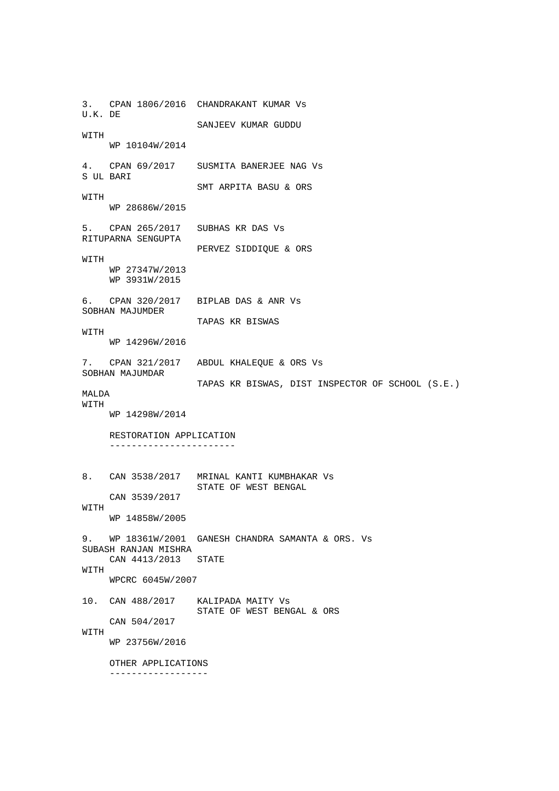3. CPAN 1806/2016 CHANDRAKANT KUMAR Vs U.K. DE SANJEEV KUMAR GUDDU WITH WP 10104W/2014 4. CPAN 69/2017 SUSMITA BANERJEE NAG Vs S UL BARI SMT ARPITA BASU & ORS WITH WP 28686W/2015 5. CPAN 265/2017 SUBHAS KR DAS Vs RITUPARNA SENGUPTA PERVEZ SIDDIQUE & ORS WITH WP 27347W/2013 WP 3931W/2015 6. CPAN 320/2017 BIPLAB DAS & ANR Vs SOBHAN MAJUMDER TAPAS KR BISWAS WITH WP 14296W/2016 7. CPAN 321/2017 ABDUL KHALEQUE & ORS Vs SOBHAN MAJUMDAR TAPAS KR BISWAS, DIST INSPECTOR OF SCHOOL (S.E.) MALDA WITH WP 14298W/2014 RESTORATION APPLICATION ----------------------- 8. CAN 3538/2017 MRINAL KANTI KUMBHAKAR Vs STATE OF WEST BENGAL CAN 3539/2017 WITH WP 14858W/2005 9. WP 18361W/2001 GANESH CHANDRA SAMANTA & ORS. Vs SUBASH RANJAN MISHRA CAN 4413/2013 STATE WITH WPCRC 6045W/2007 10. CAN 488/2017 KALIPADA MAITY Vs STATE OF WEST BENGAL & ORS CAN 504/2017 WITH WP 23756W/2016 OTHER APPLICATIONS ------------------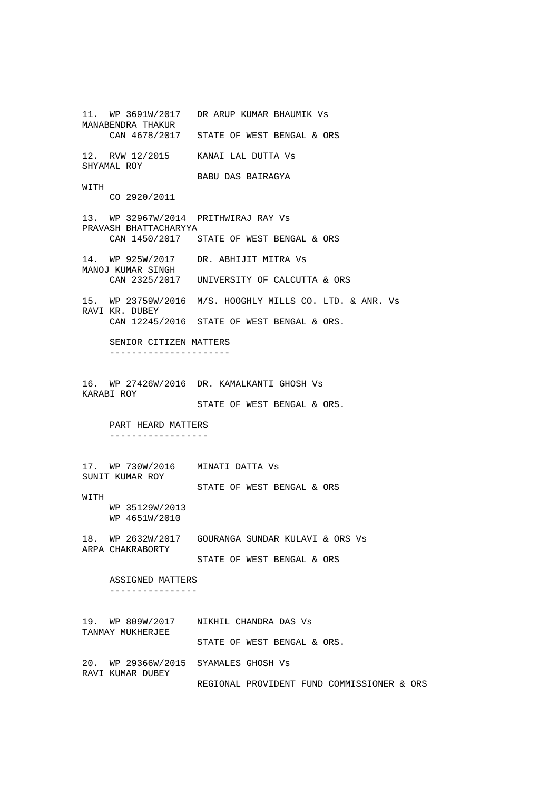11. WP 3691W/2017 DR ARUP KUMAR BHAUMIK Vs MANABENDRA THAKUR CAN 4678/2017 STATE OF WEST BENGAL & ORS 12. RVW 12/2015 KANAI LAL DUTTA Vs SHYAMAL ROY BABU DAS BAIRAGYA WITH CO 2920/2011 13. WP 32967W/2014 PRITHWIRAJ RAY Vs PRAVASH BHATTACHARYYA CAN 1450/2017 STATE OF WEST BENGAL & ORS 14. WP 925W/2017 DR. ABHIJIT MITRA Vs MANOJ KUMAR SINGH CAN 2325/2017 UNIVERSITY OF CALCUTTA & ORS 15. WP 23759W/2016 M/S. HOOGHLY MILLS CO. LTD. & ANR. Vs RAVI KR. DUBEY CAN 12245/2016 STATE OF WEST BENGAL & ORS. SENIOR CITIZEN MATTERS ---------------------- 16. WP 27426W/2016 DR. KAMALKANTI GHOSH Vs KARABI ROY STATE OF WEST BENGAL & ORS. PART HEARD MATTERS ------------------ 17. WP 730W/2016 MINATI DATTA Vs SUNIT KUMAR ROY STATE OF WEST BENGAL & ORS **WITH**  WP 35129W/2013 WP 4651W/2010 18. WP 2632W/2017 GOURANGA SUNDAR KULAVI & ORS Vs ARPA CHAKRABORTY STATE OF WEST BENGAL & ORS ASSIGNED MATTERS ---------------- 19. WP 809W/2017 NIKHIL CHANDRA DAS Vs TANMAY MUKHERJEE STATE OF WEST BENGAL & ORS. 20. WP 29366W/2015 SYAMALES GHOSH Vs RAVI KUMAR DUBEY REGIONAL PROVIDENT FUND COMMISSIONER & ORS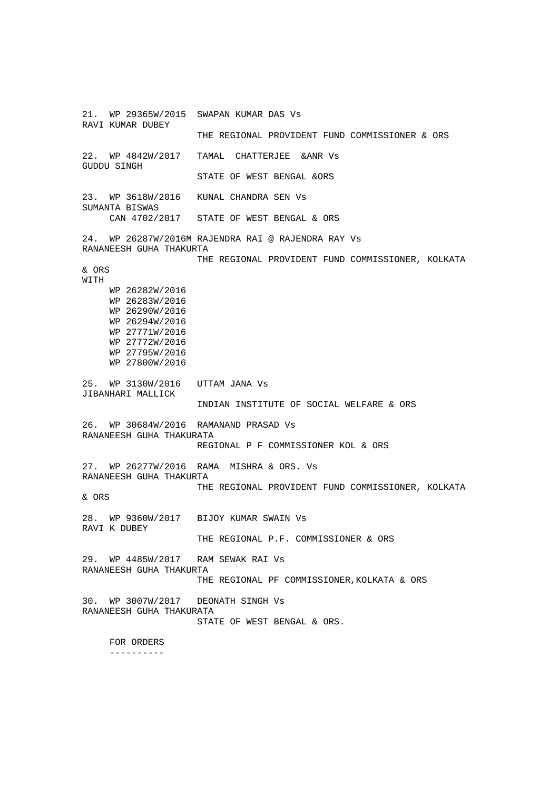21. WP 29365W/2015 SWAPAN KUMAR DAS Vs RAVI KUMAR DUBEY THE REGIONAL PROVIDENT FUND COMMISSIONER & ORS 22. WP 4842W/2017 TAMAL CHATTERJEE &ANR Vs GUDDU SINGH STATE OF WEST BENGAL &ORS 23. WP 3618W/2016 KUNAL CHANDRA SEN Vs SUMANTA BISWAS CAN 4702/2017 STATE OF WEST BENGAL & ORS 24. WP 26287W/2016M RAJENDRA RAI @ RAJENDRA RAY Vs RANANEESH GUHA THAKURTA THE REGIONAL PROVIDENT FUND COMMISSIONER, KOLKATA & ORS WITH WP 26282W/2016 WP 26283W/2016 WP 26290W/2016 WP 26294W/2016 WP 27771W/2016 WP 27772W/2016 WP 27795W/2016 WP 27800W/2016 25. WP 3130W/2016 UTTAM JANA Vs JIBANHARI MALLICK INDIAN INSTITUTE OF SOCIAL WELFARE & ORS 26. WP 30684W/2016 RAMANAND PRASAD Vs RANANEESH GUHA THAKURATA REGIONAL P F COMMISSIONER KOL & ORS 27. WP 26277W/2016 RAMA MISHRA & ORS. Vs RANANEESH GUHA THAKURTA THE REGIONAL PROVIDENT FUND COMMISSIONER, KOLKATA & ORS 28. WP 9360W/2017 BIJOY KUMAR SWAIN Vs RAVI K DUBEY THE REGIONAL P.F. COMMISSIONER & ORS 29. WP 4485W/2017 RAM SEWAK RAI Vs RANANEESH GUHA THAKURTA THE REGIONAL PF COMMISSIONER,KOLKATA & ORS 30. WP 3007W/2017 DEONATH SINGH Vs RANANEESH GUHA THAKURATA STATE OF WEST BENGAL & ORS. FOR ORDERS ----------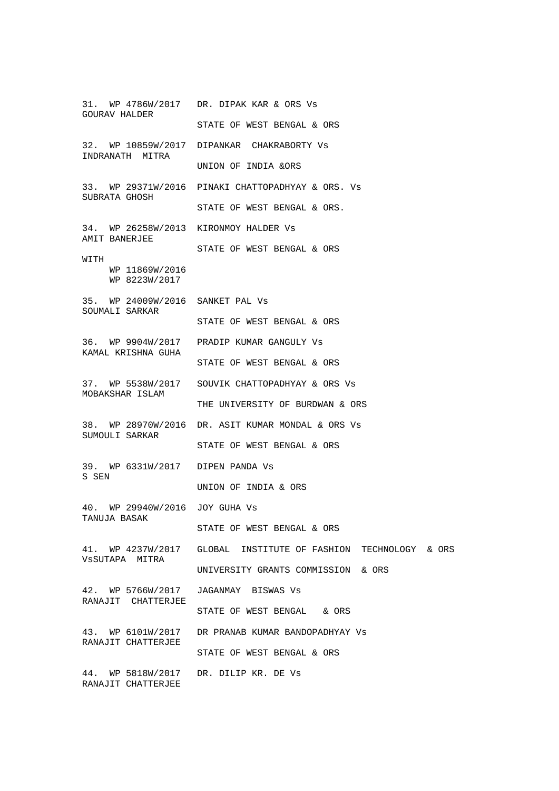31. WP 4786W/2017 DR. DIPAK KAR & ORS Vs GOURAV HALDER STATE OF WEST BENGAL & ORS 32. WP 10859W/2017 DIPANKAR CHAKRABORTY Vs INDRANATH MITRA UNION OF INDIA &ORS 33. WP 29371W/2016 PINAKI CHATTOPADHYAY & ORS. Vs SUBRATA GHOSH STATE OF WEST BENGAL & ORS. 34. WP 26258W/2013 KIRONMOY HALDER Vs AMIT BANERJEE STATE OF WEST BENGAL & ORS WITH WP 11869W/2016 WP 8223W/2017 35. WP 24009W/2016 SANKET PAL Vs SOUMALI SARKAR STATE OF WEST BENGAL & ORS 36. WP 9904W/2017 PRADIP KUMAR GANGULY Vs KAMAL KRISHNA GUHA STATE OF WEST BENGAL & ORS 37. WP 5538W/2017 SOUVIK CHATTOPADHYAY & ORS Vs MOBAKSHAR ISLAM THE UNIVERSITY OF BURDWAN & ORS 38. WP 28970W/2016 DR. ASIT KUMAR MONDAL & ORS Vs SUMOULI SARKAR STATE OF WEST BENGAL & ORS 39. WP 6331W/2017 DIPEN PANDA Vs S SEN UNION OF INDIA & ORS 40. WP 29940W/2016 JOY GUHA Vs TANUJA BASAK STATE OF WEST BENGAL & ORS 41. WP 4237W/2017 GLOBAL INSTITUTE OF FASHION TECHNOLOGY & ORS VsSUTAPA MITRA UNIVERSITY GRANTS COMMISSION & ORS 42. WP 5766W/2017 JAGANMAY BISWAS Vs RANAJIT CHATTERJEE STATE OF WEST BENGAL & ORS 43. WP 6101W/2017 DR PRANAB KUMAR BANDOPADHYAY Vs RANAJIT CHATTERJEE STATE OF WEST BENGAL & ORS 44. WP 5818W/2017 DR. DILIP KR. DE Vs RANAJIT CHATTERJEE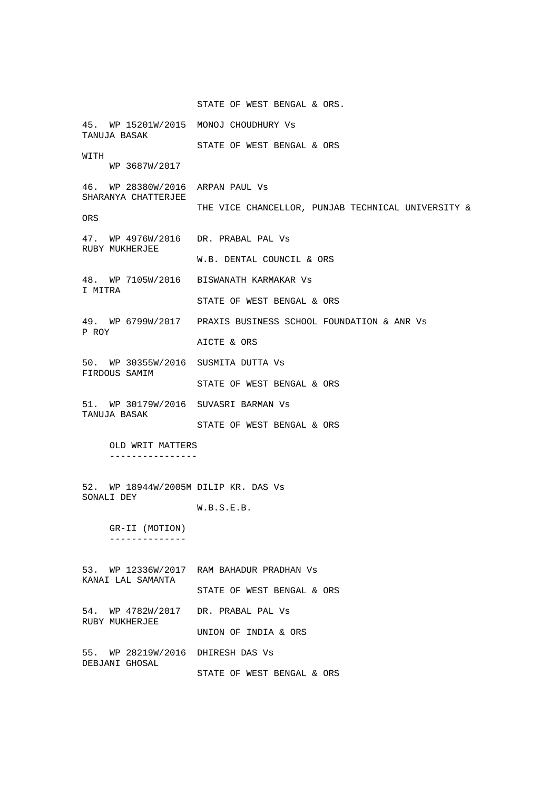STATE OF WEST BENGAL & ORS. 45. WP 15201W/2015 MONOJ CHOUDHURY Vs TANUJA BASAK STATE OF WEST BENGAL & ORS WITH WP 3687W/2017 46. WP 28380W/2016 ARPAN PAUL Vs SHARANYA CHATTERJEE THE VICE CHANCELLOR, PUNJAB TECHNICAL UNIVERSITY & ORS 47. WP 4976W/2016 DR. PRABAL PAL Vs RUBY MUKHERJEE W.B. DENTAL COUNCIL & ORS 48. WP 7105W/2016 BISWANATH KARMAKAR Vs I MITRA STATE OF WEST BENGAL & ORS 49. WP 6799W/2017 PRAXIS BUSINESS SCHOOL FOUNDATION & ANR Vs P ROY AICTE & ORS 50. WP 30355W/2016 SUSMITA DUTTA Vs FIRDOUS SAMIM STATE OF WEST BENGAL & ORS 51. WP 30179W/2016 SUVASRI BARMAN Vs TANUJA BASAK STATE OF WEST BENGAL & ORS OLD WRIT MATTERS ---------------- 52. WP 18944W/2005M DILIP KR. DAS Vs SONALI DEY W.B.S.E.B. GR-II (MOTION) -------------- 53. WP 12336W/2017 RAM BAHADUR PRADHAN Vs KANAI LAL SAMANTA STATE OF WEST BENGAL & ORS 54. WP 4782W/2017 DR. PRABAL PAL Vs RUBY MUKHERJEE UNION OF INDIA & ORS

55. WP 28219W/2016 DHIRESH DAS Vs DEBJANI GHOSAL STATE OF WEST BENGAL & ORS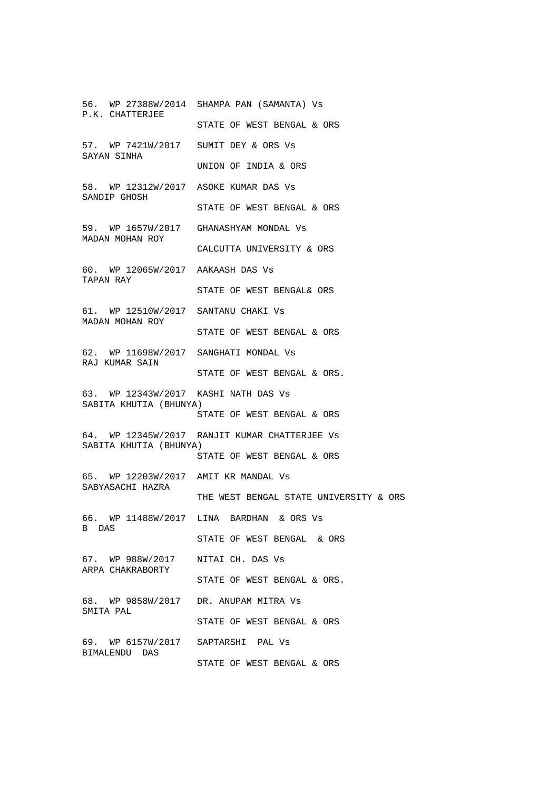56. WP 27388W/2014 SHAMPA PAN (SAMANTA) Vs P.K. CHATTERJEE STATE OF WEST BENGAL & ORS 57. WP 7421W/2017 SUMIT DEY & ORS Vs SAYAN SINHA UNION OF INDIA & ORS 58. WP 12312W/2017 ASOKE KUMAR DAS Vs SANDIP GHOSH STATE OF WEST BENGAL & ORS 59. WP 1657W/2017 GHANASHYAM MONDAL Vs MADAN MOHAN ROY CALCUTTA UNIVERSITY & ORS 60. WP 12065W/2017 AAKAASH DAS Vs TAPAN RAY STATE OF WEST BENGAL& ORS 61. WP 12510W/2017 SANTANU CHAKI Vs MADAN MOHAN ROY STATE OF WEST BENGAL & ORS 62. WP 11698W/2017 SANGHATI MONDAL Vs RAJ KUMAR SAIN STATE OF WEST BENGAL & ORS. 63. WP 12343W/2017 KASHI NATH DAS Vs SABITA KHUTIA (BHUNYA) STATE OF WEST BENGAL & ORS 64. WP 12345W/2017 RANJIT KUMAR CHATTERJEE Vs SABITA KHUTIA (BHUNYA) STATE OF WEST BENGAL & ORS 65. WP 12203W/2017 AMIT KR MANDAL Vs SABYASACHI HAZRA THE WEST BENGAL STATE UNIVERSITY & ORS 66. WP 11488W/2017 LINA BARDHAN & ORS Vs B DAS STATE OF WEST BENGAL & ORS 67. WP 988W/2017 NITAI CH. DAS Vs ARPA CHAKRABORTY STATE OF WEST BENGAL & ORS. 68. WP 9858W/2017 DR. ANUPAM MITRA Vs SMITA PAL STATE OF WEST BENGAL & ORS 69. WP 6157W/2017 SAPTARSHI PAL Vs BIMALENDU DAS STATE OF WEST BENGAL & ORS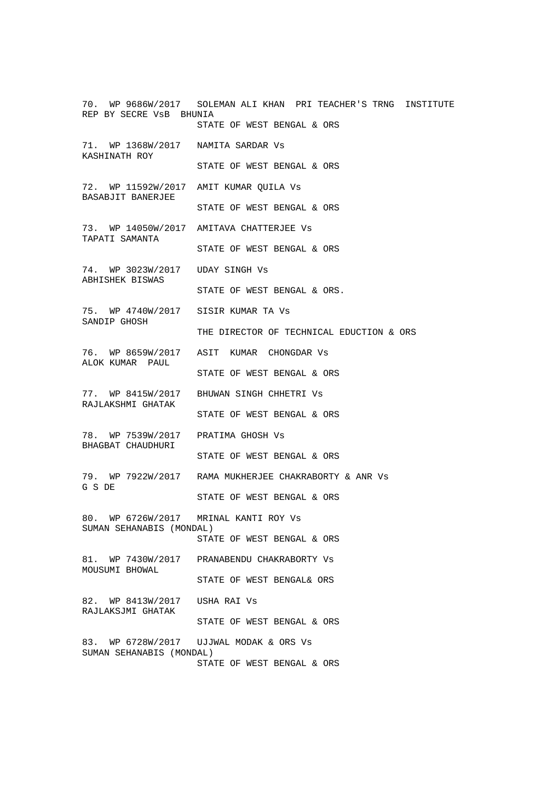70. WP 9686W/2017 SOLEMAN ALI KHAN PRI TEACHER'S TRNG INSTITUTE REP BY SECRE VsB BHUNIA STATE OF WEST BENGAL & ORS 71. WP 1368W/2017 NAMITA SARDAR Vs KASHINATH ROY STATE OF WEST BENGAL & ORS 72. WP 11592W/2017 AMIT KUMAR QUILA Vs BASABJIT BANERJEE STATE OF WEST BENGAL & ORS 73. WP 14050W/2017 AMITAVA CHATTERJEE Vs TAPATI SAMANTA STATE OF WEST BENGAL & ORS 74. WP 3023W/2017 UDAY SINGH Vs ABHISHEK BISWAS STATE OF WEST BENGAL & ORS. 75. WP 4740W/2017 SISIR KUMAR TA Vs SANDIP GHOSH THE DIRECTOR OF TECHNICAL EDUCTION & ORS 76. WP 8659W/2017 ASIT KUMAR CHONGDAR Vs ALOK KUMAR PAUL STATE OF WEST BENGAL & ORS 77. WP 8415W/2017 BHUWAN SINGH CHHETRI Vs RAJLAKSHMI GHATAK STATE OF WEST BENGAL & ORS 78. WP 7539W/2017 PRATIMA GHOSH Vs BHAGBAT CHAUDHURI STATE OF WEST BENGAL & ORS 79. WP 7922W/2017 RAMA MUKHERJEE CHAKRABORTY & ANR Vs G S DE STATE OF WEST BENGAL & ORS 80. WP 6726W/2017 MRINAL KANTI ROY Vs SUMAN SEHANABIS (MONDAL) STATE OF WEST BENGAL & ORS 81. WP 7430W/2017 PRANABENDU CHAKRABORTY Vs MOUSUMI BHOWAL STATE OF WEST BENGAL& ORS 82. WP 8413W/2017 USHA RAI Vs RAJLAKSJMI GHATAK STATE OF WEST BENGAL & ORS 83. WP 6728W/2017 UJJWAL MODAK & ORS Vs SUMAN SEHANABIS (MONDAL) STATE OF WEST BENGAL & ORS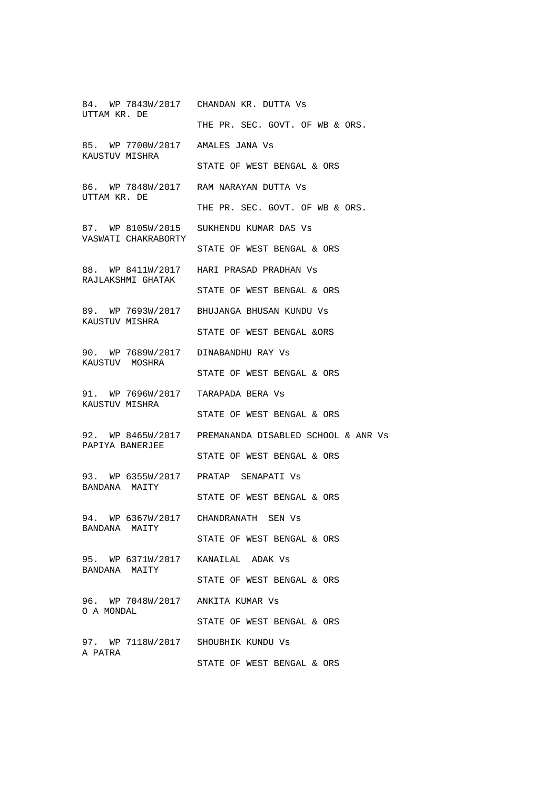84. WP 7843W/2017 CHANDAN KR. DUTTA Vs UTTAM KR. DE THE PR. SEC. GOVT. OF WB & ORS. 85. WP 7700W/2017 AMALES JANA Vs KAUSTUV MISHRA STATE OF WEST BENGAL & ORS 86. WP 7848W/2017 RAM NARAYAN DUTTA Vs UTTAM KR. DE THE PR. SEC. GOVT. OF WB & ORS. 87. WP 8105W/2015 SUKHENDU KUMAR DAS Vs VASWATI CHAKRABORTY STATE OF WEST BENGAL & ORS 88. WP 8411W/2017 HARI PRASAD PRADHAN Vs RAJLAKSHMI GHATAK STATE OF WEST BENGAL & ORS 89. WP 7693W/2017 BHUJANGA BHUSAN KUNDU Vs KAUSTUV MISHRA STATE OF WEST BENGAL &ORS 90. WP 7689W/2017 DINABANDHU RAY Vs KAUSTUV MOSHRA STATE OF WEST BENGAL & ORS 91. WP 7696W/2017 TARAPADA BERA Vs KAUSTUV MISHRA STATE OF WEST BENGAL & ORS 92. WP 8465W/2017 PREMANANDA DISABLED SCHOOL & ANR Vs PAPIYA BANERJEE STATE OF WEST BENGAL & ORS 93. WP 6355W/2017 PRATAP SENAPATI Vs BANDANA MAITY STATE OF WEST BENGAL & ORS 94. WP 6367W/2017 CHANDRANATH SEN Vs BANDANA MAITY STATE OF WEST BENGAL & ORS 95. WP 6371W/2017 KANAILAL ADAK Vs BANDANA MAITY STATE OF WEST BENGAL & ORS 96. WP 7048W/2017 ANKITA KUMAR Vs O A MONDAL STATE OF WEST BENGAL & ORS 97. WP 7118W/2017 SHOUBHIK KUNDU Vs A PATRA STATE OF WEST BENGAL & ORS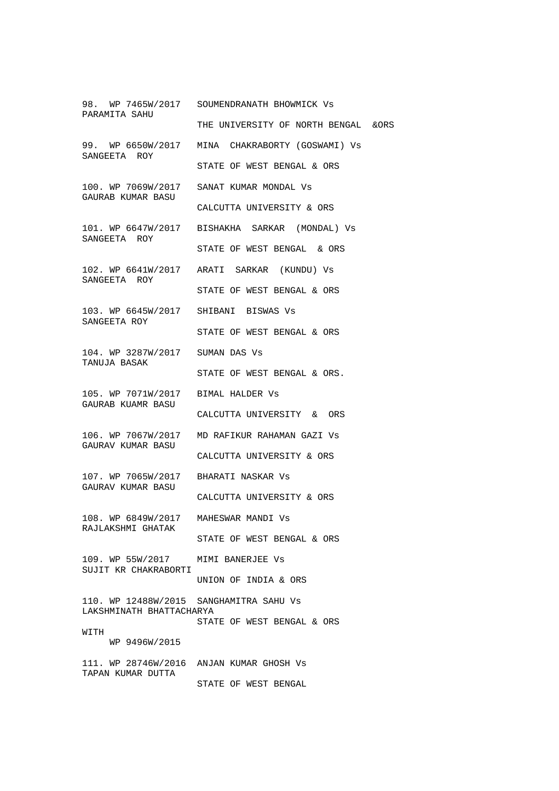98. WP 7465W/2017 SOUMENDRANATH BHOWMICK Vs PARAMITA SAHU THE UNIVERSITY OF NORTH BENGAL &ORS 99. WP 6650W/2017 MINA CHAKRABORTY (GOSWAMI) Vs SANGEETA ROY STATE OF WEST BENGAL & ORS 100. WP 7069W/2017 SANAT KUMAR MONDAL Vs GAURAB KUMAR BASU CALCUTTA UNIVERSITY & ORS 101. WP 6647W/2017 BISHAKHA SARKAR (MONDAL) Vs SANGEETA ROY STATE OF WEST BENGAL & ORS 102. WP 6641W/2017 ARATI SARKAR (KUNDU) Vs SANGEETA ROY STATE OF WEST BENGAL & ORS 103. WP 6645W/2017 SHIBANI BISWAS Vs SANGEETA ROY STATE OF WEST BENGAL & ORS 104. WP 3287W/2017 SUMAN DAS Vs TANUJA BASAK STATE OF WEST BENGAL & ORS. 105. WP 7071W/2017 BIMAL HALDER Vs GAURAB KUAMR BASU CALCUTTA UNIVERSITY & ORS 106. WP 7067W/2017 MD RAFIKUR RAHAMAN GAZI Vs GAURAV KUMAR BASU CALCUTTA UNIVERSITY & ORS 107. WP 7065W/2017 BHARATI NASKAR Vs GAURAV KUMAR BASU CALCUTTA UNIVERSITY & ORS 108. WP 6849W/2017 MAHESWAR MANDI Vs RAJLAKSHMI GHATAK STATE OF WEST BENGAL & ORS 109. WP 55W/2017 MIMI BANERJEE Vs SUJIT KR CHAKRABORTI UNION OF INDIA & ORS 110. WP 12488W/2015 SANGHAMITRA SAHU Vs LAKSHMINATH BHATTACHARYA STATE OF WEST BENGAL & ORS **WITH**  WP 9496W/2015 111. WP 28746W/2016 ANJAN KUMAR GHOSH Vs TAPAN KUMAR DUTTA STATE OF WEST BENGAL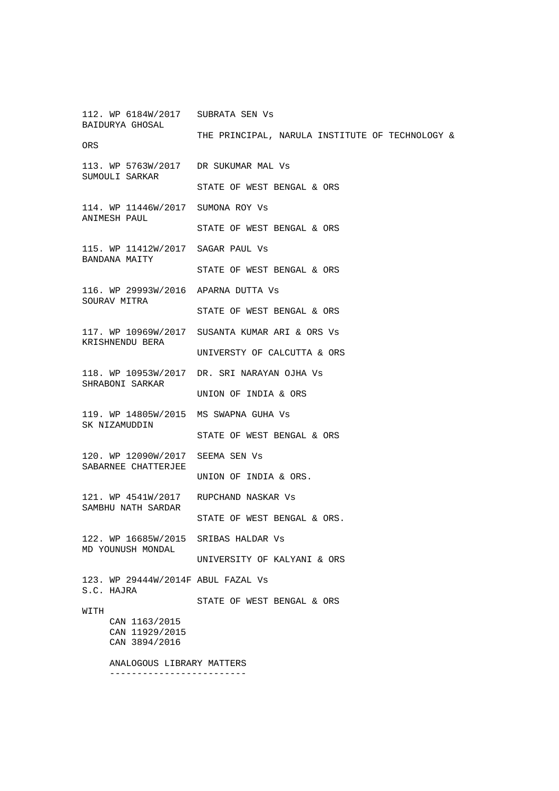112. WP 6184W/2017 SUBRATA SEN Vs BAIDURYA GHOSAL THE PRINCIPAL, NARULA INSTITUTE OF TECHNOLOGY & ORS 113. WP 5763W/2017 DR SUKUMAR MAL Vs SUMOULI SARKAR STATE OF WEST BENGAL & ORS 114. WP 11446W/2017 SUMONA ROY Vs ANIMESH PAUL STATE OF WEST BENGAL & ORS 115. WP 11412W/2017 SAGAR PAUL Vs BANDANA MAITY STATE OF WEST BENGAL & ORS 116. WP 29993W/2016 APARNA DUTTA Vs SOURAV MITRA STATE OF WEST BENGAL & ORS 117. WP 10969W/2017 SUSANTA KUMAR ARI & ORS Vs KRISHNENDU BERA UNIVERSTY OF CALCUTTA & ORS 118. WP 10953W/2017 DR. SRI NARAYAN OJHA Vs SHRABONI SARKAR UNION OF INDIA & ORS 119. WP 14805W/2015 MS SWAPNA GUHA Vs SK NIZAMUDDIN STATE OF WEST BENGAL & ORS 120. WP 12090W/2017 SEEMA SEN Vs SABARNEE CHATTERJEE UNION OF INDIA & ORS. 121. WP 4541W/2017 RUPCHAND NASKAR Vs SAMBHU NATH SARDAR STATE OF WEST BENGAL & ORS. 122. WP 16685W/2015 SRIBAS HALDAR Vs MD YOUNUSH MONDAL UNIVERSITY OF KALYANI & ORS 123. WP 29444W/2014F ABUL FAZAL Vs S.C. HAJRA STATE OF WEST BENGAL & ORS WITH CAN 1163/2015 CAN 11929/2015 CAN 3894/2016 ANALOGOUS LIBRARY MATTERS -------------------------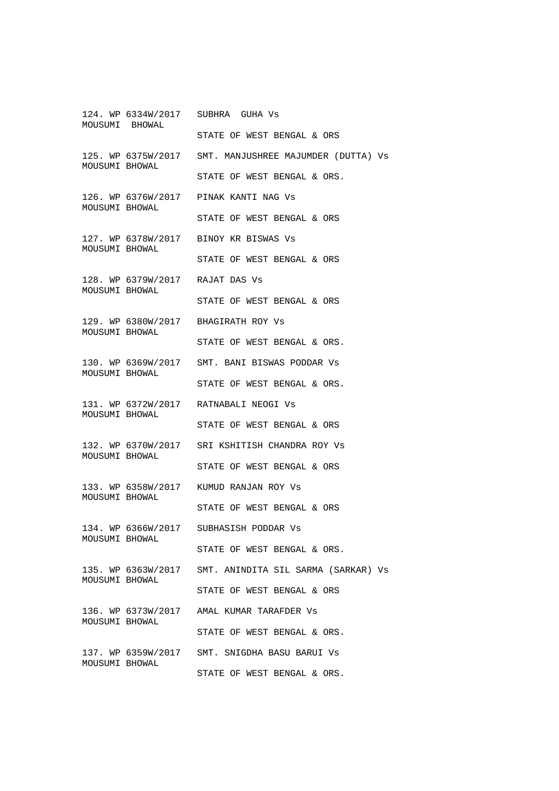124. WP 6334W/2017 SUBHRA GUHA Vs MOUSUMI BHOWAL STATE OF WEST BENGAL & ORS 125. WP 6375W/2017 SMT. MANJUSHREE MAJUMDER (DUTTA) Vs MOUSUMI BHOWAL STATE OF WEST BENGAL & ORS. 126. WP 6376W/2017 PINAK KANTI NAG Vs MOUSUMI BHOWAL STATE OF WEST BENGAL & ORS 127. WP 6378W/2017 BINOY KR BISWAS Vs MOUSUMI BHOWAL STATE OF WEST BENGAL & ORS 128. WP 6379W/2017 RAJAT DAS Vs MOUSUMI BHOWAL STATE OF WEST BENGAL & ORS 129. WP 6380W/2017 BHAGIRATH ROY Vs MOUSUMI BHOWAL STATE OF WEST BENGAL & ORS. 130. WP 6369W/2017 SMT. BANI BISWAS PODDAR Vs MOUSUMI BHOWAL STATE OF WEST BENGAL & ORS. 131. WP 6372W/2017 RATNABALI NEOGI Vs MOUSUMI BHOWAL STATE OF WEST BENGAL & ORS 132. WP 6370W/2017 SRI KSHITISH CHANDRA ROY Vs MOUSUMI BHOWAL STATE OF WEST BENGAL & ORS 133. WP 6358W/2017 KUMUD RANJAN ROY Vs MOUSUMI BHOWAL STATE OF WEST BENGAL & ORS 134. WP 6366W/2017 SUBHASISH PODDAR Vs MOUSUMI BHOWAL STATE OF WEST BENGAL & ORS. 135. WP 6363W/2017 SMT. ANINDITA SIL SARMA (SARKAR) Vs MOUSUMI BHOWAL STATE OF WEST BENGAL & ORS 136. WP 6373W/2017 AMAL KUMAR TARAFDER Vs MOUSUMI BHOWAL STATE OF WEST BENGAL & ORS. 137. WP 6359W/2017 SMT. SNIGDHA BASU BARUI Vs MOUSUMI BHOWAL STATE OF WEST BENGAL & ORS.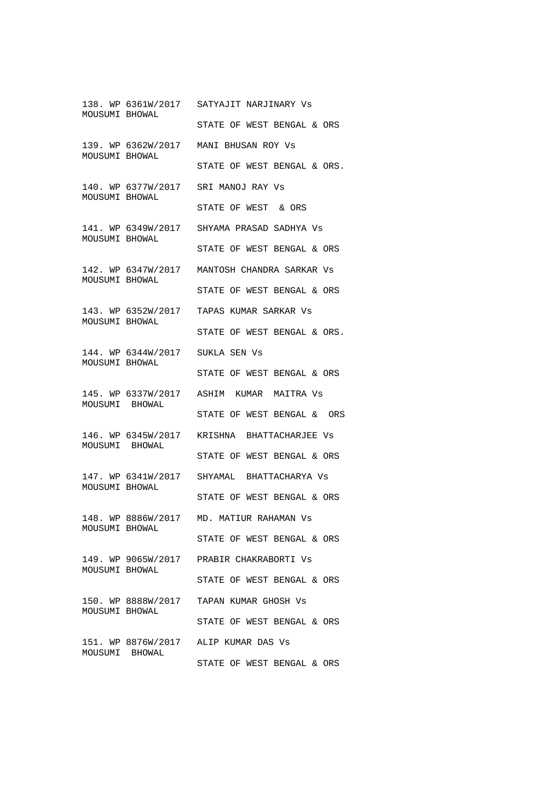138. WP 6361W/2017 SATYAJIT NARJINARY Vs MOUSUMI BHOWAL STATE OF WEST BENGAL & ORS 139. WP 6362W/2017 MANI BHUSAN ROY Vs MOUSUMI BHOWAL STATE OF WEST BENGAL & ORS. 140. WP 6377W/2017 SRI MANOJ RAY Vs MOUSUMI BHOWAL STATE OF WEST & ORS 141. WP 6349W/2017 SHYAMA PRASAD SADHYA Vs MOUSUMI BHOWAL STATE OF WEST BENGAL & ORS 142. WP 6347W/2017 MANTOSH CHANDRA SARKAR Vs MOUSUMI BHOWAL STATE OF WEST BENGAL & ORS 143. WP 6352W/2017 TAPAS KUMAR SARKAR Vs MOUSUMI BHOWAL STATE OF WEST BENGAL & ORS. 144. WP 6344W/2017 SUKLA SEN Vs MOUSUMI BHOWAL STATE OF WEST BENGAL & ORS 145. WP 6337W/2017 ASHIM KUMAR MAITRA Vs MOUSUMI BHOWAL STATE OF WEST BENGAL & ORS 146. WP 6345W/2017 KRISHNA BHATTACHARJEE Vs MOUSUMI BHOWAL STATE OF WEST BENGAL & ORS 147. WP 6341W/2017 SHYAMAL BHATTACHARYA Vs MOUSUMI BHOWAL STATE OF WEST BENGAL & ORS 148. WP 8886W/2017 MD. MATIUR RAHAMAN Vs MOUSUMI BHOWAL STATE OF WEST BENGAL & ORS 149. WP 9065W/2017 PRABIR CHAKRABORTI Vs MOUSUMI BHOWAL STATE OF WEST BENGAL & ORS 150. WP 8888W/2017 TAPAN KUMAR GHOSH Vs MOUSUMI BHOWAL STATE OF WEST BENGAL & ORS 151. WP 8876W/2017 ALIP KUMAR DAS Vs MOUSUMI BHOWAL STATE OF WEST BENGAL & ORS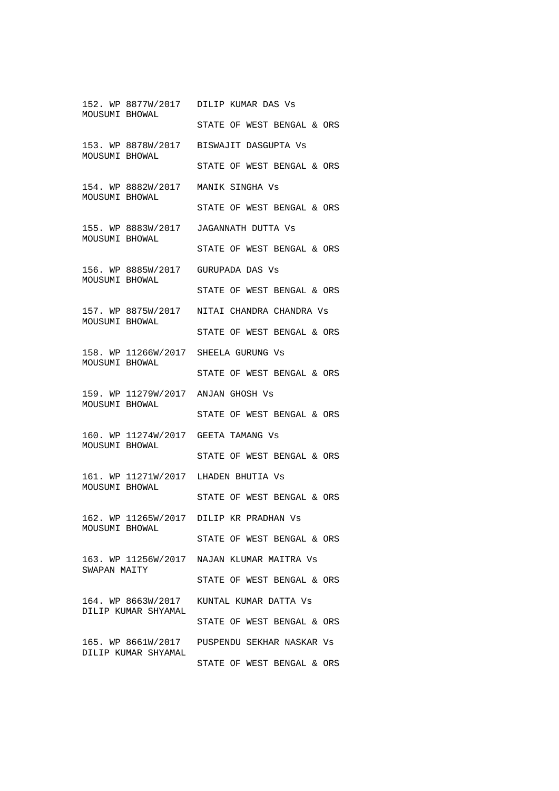152. WP 8877W/2017 DILIP KUMAR DAS Vs MOUSUMI BHOWAL STATE OF WEST BENGAL & ORS 153. WP 8878W/2017 BISWAJIT DASGUPTA Vs MOUSUMI BHOWAL STATE OF WEST BENGAL & ORS 154. WP 8882W/2017 MANIK SINGHA Vs MOUSUMI BHOWAL STATE OF WEST BENGAL & ORS 155. WP 8883W/2017 JAGANNATH DUTTA Vs MOUSUMI BHOWAL STATE OF WEST BENGAL & ORS 156. WP 8885W/2017 GURUPADA DAS Vs MOUSUMI BHOWAL STATE OF WEST BENGAL & ORS 157. WP 8875W/2017 NITAI CHANDRA CHANDRA Vs MOUSUMI BHOWAL STATE OF WEST BENGAL & ORS 158. WP 11266W/2017 SHEELA GURUNG Vs MOUSUMI BHOWAL STATE OF WEST BENGAL & ORS 159. WP 11279W/2017 ANJAN GHOSH Vs MOUSUMI BHOWAL STATE OF WEST BENGAL & ORS 160. WP 11274W/2017 GEETA TAMANG Vs MOUSUMI BHOWAL STATE OF WEST BENGAL & ORS 161. WP 11271W/2017 LHADEN BHUTIA Vs MOUSUMI BHOWAL STATE OF WEST BENGAL & ORS 162. WP 11265W/2017 DILIP KR PRADHAN Vs MOUSUMI BHOWAL STATE OF WEST BENGAL & ORS 163. WP 11256W/2017 NAJAN KLUMAR MAITRA Vs SWAPAN MAITY STATE OF WEST BENGAL & ORS 164. WP 8663W/2017 KUNTAL KUMAR DATTA Vs DILIP KUMAR SHYAMAL STATE OF WEST BENGAL & ORS 165. WP 8661W/2017 PUSPENDU SEKHAR NASKAR Vs DILIP KUMAR SHYAMAL STATE OF WEST BENGAL & ORS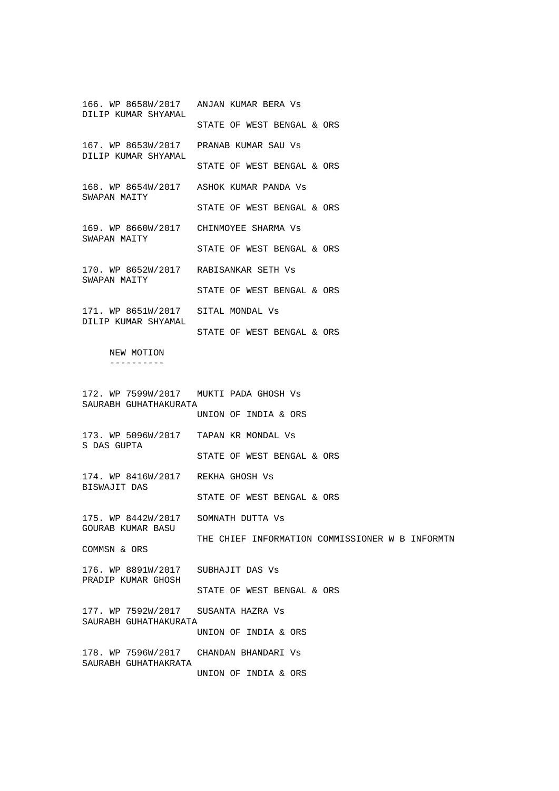166. WP 8658W/2017 ANJAN KUMAR BERA Vs DILIP KUMAR SHYAMAL STATE OF WEST BENGAL & ORS 167. WP 8653W/2017 PRANAB KUMAR SAU Vs DILIP KUMAR SHYAMAL STATE OF WEST BENGAL & ORS 168. WP 8654W/2017 ASHOK KUMAR PANDA Vs SWAPAN MAITY STATE OF WEST BENGAL & ORS 169. WP 8660W/2017 CHINMOYEE SHARMA Vs SWAPAN MAITY STATE OF WEST BENGAL & ORS 170. WP 8652W/2017 RABISANKAR SETH Vs SWAPAN MAITY STATE OF WEST BENGAL & ORS 171. WP 8651W/2017 SITAL MONDAL Vs DILIP KUMAR SHYAMAL STATE OF WEST BENGAL & ORS NEW MOTION ---------- 172. WP 7599W/2017 MUKTI PADA GHOSH Vs SAURABH GUHATHAKURATA UNION OF INDIA & ORS 173. WP 5096W/2017 TAPAN KR MONDAL Vs S DAS GUPTA STATE OF WEST BENGAL & ORS 174. WP 8416W/2017 REKHA GHOSH Vs BISWAJIT DAS STATE OF WEST BENGAL & ORS 175. WP 8442W/2017 SOMNATH DUTTA Vs GOURAB KUMAR BASU THE CHIEF INFORMATION COMMISSIONER W B INFORMTN COMMSN & ORS 176. WP 8891W/2017 SUBHAJIT DAS Vs PRADIP KUMAR GHOSH STATE OF WEST BENGAL & ORS 177. WP 7592W/2017 SUSANTA HAZRA Vs SAURABH GUHATHAKURATA UNION OF INDIA & ORS 178. WP 7596W/2017 CHANDAN BHANDARI Vs SAURABH GUHATHAKRATA UNION OF INDIA & ORS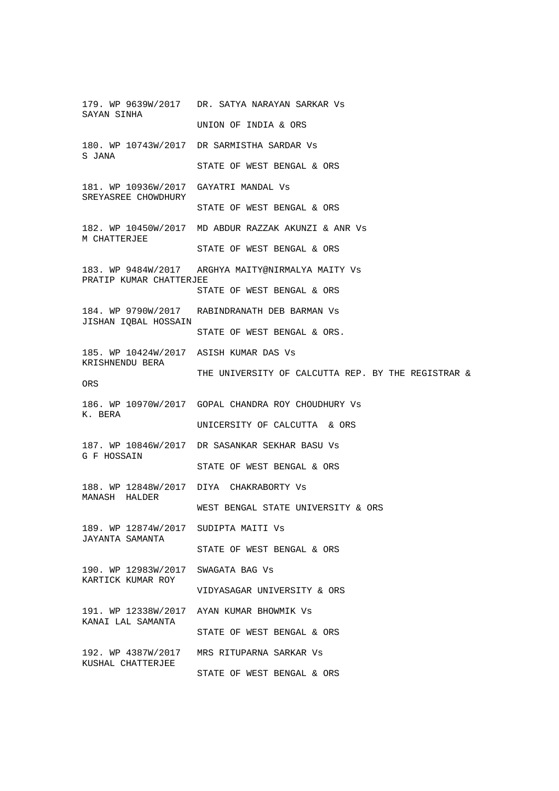179. WP 9639W/2017 DR. SATYA NARAYAN SARKAR Vs SAYAN SINHA UNION OF INDIA & ORS 180. WP 10743W/2017 DR SARMISTHA SARDAR Vs S JANA STATE OF WEST BENGAL & ORS 181. WP 10936W/2017 GAYATRI MANDAL Vs SREYASREE CHOWDHURY STATE OF WEST BENGAL & ORS 182. WP 10450W/2017 MD ABDUR RAZZAK AKUNZI & ANR Vs M CHATTERJEE STATE OF WEST BENGAL & ORS 183. WP 9484W/2017 ARGHYA MAITY@NIRMALYA MAITY Vs PRATIP KUMAR CHATTERJEE STATE OF WEST BENGAL & ORS 184. WP 9790W/2017 RABINDRANATH DEB BARMAN Vs JISHAN IQBAL HOSSAIN STATE OF WEST BENGAL & ORS. 185. WP 10424W/2017 ASISH KUMAR DAS Vs KRISHNENDU BERA THE UNIVERSITY OF CALCUTTA REP. BY THE REGISTRAR & ORS 186. WP 10970W/2017 GOPAL CHANDRA ROY CHOUDHURY Vs K. BERA UNICERSITY OF CALCUTTA & ORS 187. WP 10846W/2017 DR SASANKAR SEKHAR BASU Vs G F HOSSAIN STATE OF WEST BENGAL & ORS 188. WP 12848W/2017 DIYA CHAKRABORTY Vs MANASH HALDER WEST BENGAL STATE UNIVERSITY & ORS 189. WP 12874W/2017 SUDIPTA MAITI Vs JAYANTA SAMANTA STATE OF WEST BENGAL & ORS 190. WP 12983W/2017 SWAGATA BAG Vs KARTICK KUMAR ROY VIDYASAGAR UNIVERSITY & ORS 191. WP 12338W/2017 AYAN KUMAR BHOWMIK Vs KANAI LAL SAMANTA STATE OF WEST BENGAL & ORS 192. WP 4387W/2017 MRS RITUPARNA SARKAR Vs KUSHAL CHATTERJEE STATE OF WEST BENGAL & ORS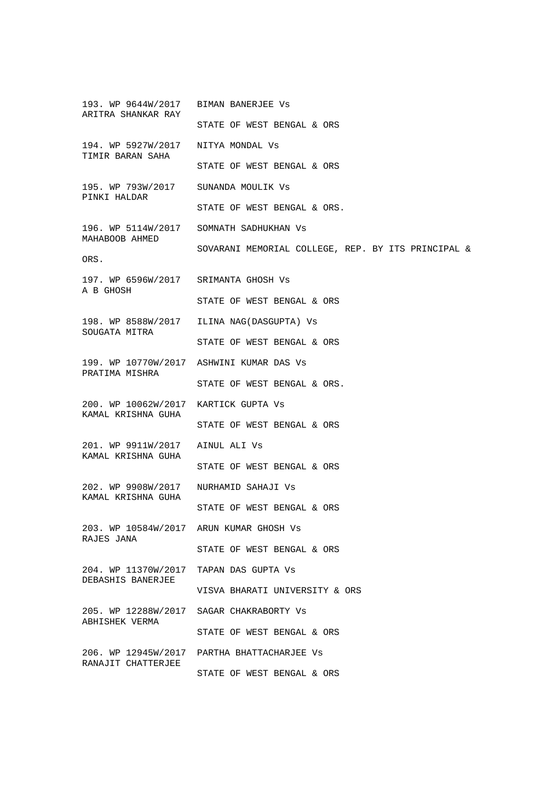193. WP 9644W/2017 BIMAN BANERJEE Vs ARITRA SHANKAR RAY STATE OF WEST BENGAL & ORS 194. WP 5927W/2017 NITYA MONDAL Vs TIMIR BARAN SAHA STATE OF WEST BENGAL & ORS 195. WP 793W/2017 SUNANDA MOULIK Vs PINKI HALDAR STATE OF WEST BENGAL & ORS. 196. WP 5114W/2017 SOMNATH SADHUKHAN Vs MAHABOOB AHMED SOVARANI MEMORIAL COLLEGE, REP. BY ITS PRINCIPAL & ORS. 197. WP 6596W/2017 SRIMANTA GHOSH Vs A B GHOSH STATE OF WEST BENGAL & ORS 198. WP 8588W/2017 ILINA NAG(DASGUPTA) Vs SOUGATA MITRA STATE OF WEST BENGAL & ORS 199. WP 10770W/2017 ASHWINI KUMAR DAS Vs PRATIMA MISHRA STATE OF WEST BENGAL & ORS. 200. WP 10062W/2017 KARTICK GUPTA Vs KAMAL KRISHNA GUHA STATE OF WEST BENGAL & ORS 201. WP 9911W/2017 AINUL ALI Vs KAMAL KRISHNA GUHA STATE OF WEST BENGAL & ORS 202. WP 9908W/2017 NURHAMID SAHAJI Vs KAMAL KRISHNA GUHA STATE OF WEST BENGAL & ORS 203. WP 10584W/2017 ARUN KUMAR GHOSH Vs RAJES JANA STATE OF WEST BENGAL & ORS 204. WP 11370W/2017 TAPAN DAS GUPTA Vs DEBASHIS BANERJEE VISVA BHARATI UNIVERSITY & ORS 205. WP 12288W/2017 SAGAR CHAKRABORTY Vs ABHISHEK VERMA STATE OF WEST BENGAL & ORS 206. WP 12945W/2017 PARTHA BHATTACHARJEE Vs RANAJIT CHATTERJEE STATE OF WEST BENGAL & ORS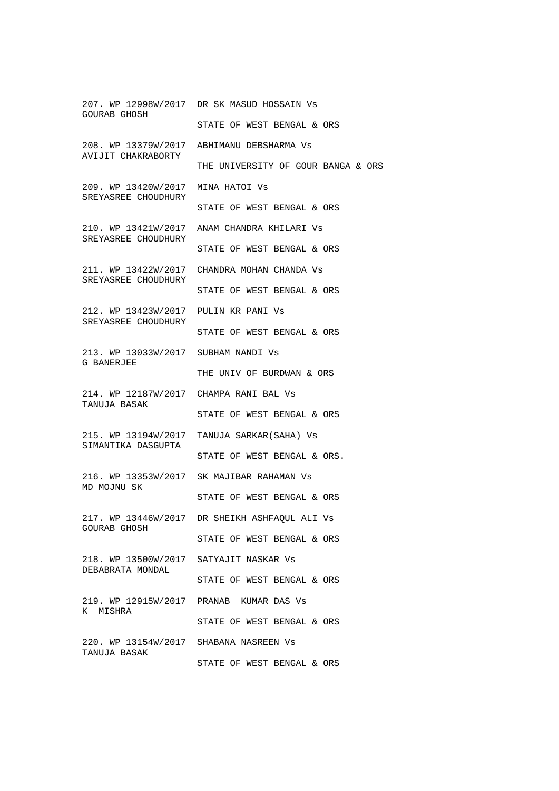207. WP 12998W/2017 DR SK MASUD HOSSAIN Vs GOURAB GHOSH STATE OF WEST BENGAL & ORS 208. WP 13379W/2017 ABHIMANU DEBSHARMA Vs AVIJIT CHAKRABORTY THE UNIVERSITY OF GOUR BANGA & ORS 209. WP 13420W/2017 MINA HATOI Vs SREYASREE CHOUDHURY STATE OF WEST BENGAL & ORS 210. WP 13421W/2017 ANAM CHANDRA KHILARI Vs SREYASREE CHOUDHURY STATE OF WEST BENGAL & ORS 211. WP 13422W/2017 CHANDRA MOHAN CHANDA Vs SREYASREE CHOUDHURY STATE OF WEST BENGAL & ORS 212. WP 13423W/2017 PULIN KR PANI Vs SREYASREE CHOUDHURY STATE OF WEST BENGAL & ORS 213. WP 13033W/2017 SUBHAM NANDI Vs G BANERJEE THE UNIV OF BURDWAN & ORS 214. WP 12187W/2017 CHAMPA RANI BAL Vs TANUJA BASAK STATE OF WEST BENGAL & ORS 215. WP 13194W/2017 TANUJA SARKAR(SAHA) Vs SIMANTIKA DASGUPTA STATE OF WEST BENGAL & ORS. 216. WP 13353W/2017 SK MAJIBAR RAHAMAN Vs MD MOJNU SK STATE OF WEST BENGAL & ORS 217. WP 13446W/2017 DR SHEIKH ASHFAQUL ALI Vs GOURAB GHOSH STATE OF WEST BENGAL & ORS 218. WP 13500W/2017 SATYAJIT NASKAR Vs DEBABRATA MONDAL STATE OF WEST BENGAL & ORS 219. WP 12915W/2017 PRANAB KUMAR DAS Vs K MISHRA STATE OF WEST BENGAL & ORS 220. WP 13154W/2017 SHABANA NASREEN Vs TANUJA BASAK STATE OF WEST BENGAL & ORS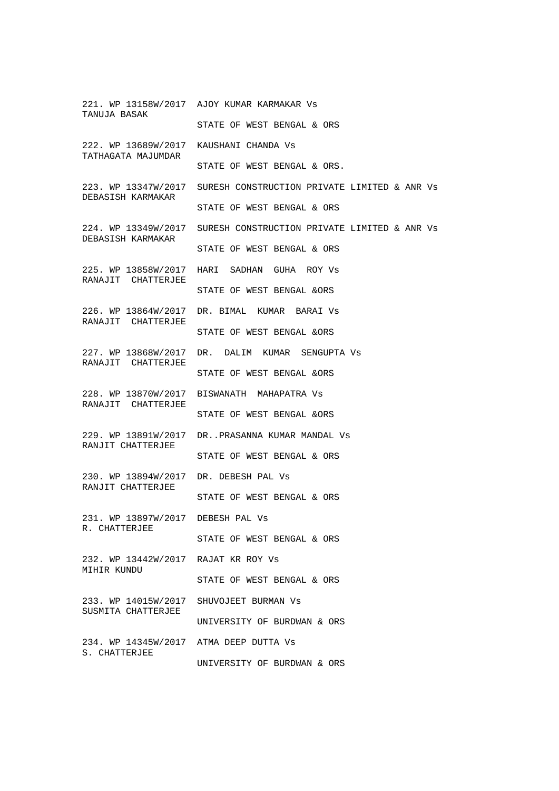221. WP 13158W/2017 AJOY KUMAR KARMAKAR Vs TANUJA BASAK STATE OF WEST BENGAL & ORS 222. WP 13689W/2017 KAUSHANI CHANDA Vs TATHAGATA MAJUMDAR STATE OF WEST BENGAL & ORS. 223. WP 13347W/2017 SURESH CONSTRUCTION PRIVATE LIMITED & ANR Vs DEBASISH KARMAKAR STATE OF WEST BENGAL & ORS 224. WP 13349W/2017 SURESH CONSTRUCTION PRIVATE LIMITED & ANR Vs DEBASISH KARMAKAR STATE OF WEST BENGAL & ORS 225. WP 13858W/2017 HARI SADHAN GUHA ROY Vs RANAJIT CHATTERJEE STATE OF WEST BENGAL &ORS 226. WP 13864W/2017 DR. BIMAL KUMAR BARAI Vs RANAJIT CHATTERJEE STATE OF WEST BENGAL &ORS 227. WP 13868W/2017 DR. DALIM KUMAR SENGUPTA Vs RANAJIT CHATTERJEE STATE OF WEST BENGAL &ORS 228. WP 13870W/2017 BISWANATH MAHAPATRA Vs RANAJIT CHATTERJEE STATE OF WEST BENGAL &ORS 229. WP 13891W/2017 DR..PRASANNA KUMAR MANDAL Vs RANJIT CHATTERJEE STATE OF WEST BENGAL & ORS 230. WP 13894W/2017 DR. DEBESH PAL Vs RANJIT CHATTERJEE STATE OF WEST BENGAL & ORS 231. WP 13897W/2017 DEBESH PAL Vs R. CHATTERJEE STATE OF WEST BENGAL & ORS 232. WP 13442W/2017 RAJAT KR ROY Vs MIHIR KUNDU STATE OF WEST BENGAL & ORS 233. WP 14015W/2017 SHUVOJEET BURMAN Vs SUSMITA CHATTERJEE UNIVERSITY OF BURDWAN & ORS 234. WP 14345W/2017 ATMA DEEP DUTTA Vs S. CHATTERJEE UNIVERSITY OF BURDWAN & ORS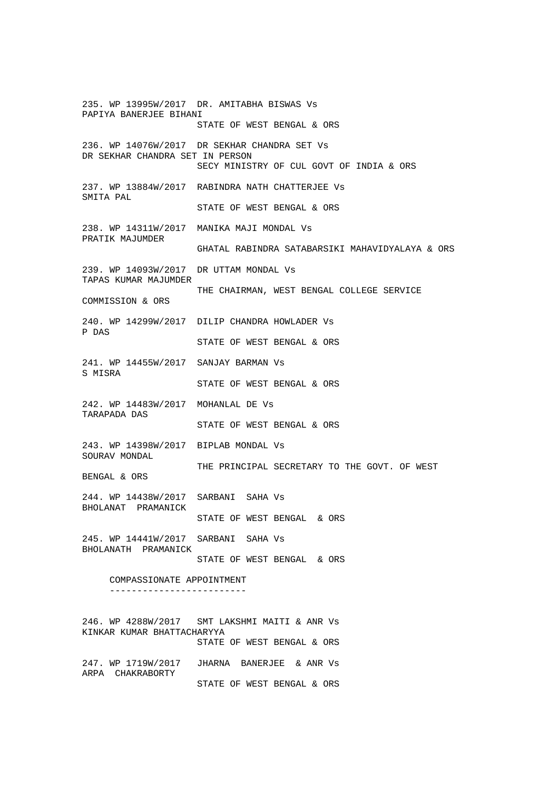235. WP 13995W/2017 DR. AMITABHA BISWAS Vs PAPIYA BANERJEE BIHANI STATE OF WEST BENGAL & ORS 236. WP 14076W/2017 DR SEKHAR CHANDRA SET Vs DR SEKHAR CHANDRA SET IN PERSON SECY MINISTRY OF CUL GOVT OF INDIA & ORS 237. WP 13884W/2017 RABINDRA NATH CHATTERJEE Vs SMITA PAL STATE OF WEST BENGAL & ORS 238. WP 14311W/2017 MANIKA MAJI MONDAL Vs PRATIK MAJUMDER GHATAL RABINDRA SATABARSIKI MAHAVIDYALAYA & ORS 239. WP 14093W/2017 DR UTTAM MONDAL Vs TAPAS KUMAR MAJUMDER THE CHAIRMAN, WEST BENGAL COLLEGE SERVICE COMMISSION & ORS 240. WP 14299W/2017 DILIP CHANDRA HOWLADER Vs P DAS STATE OF WEST BENGAL & ORS 241. WP 14455W/2017 SANJAY BARMAN Vs S MISRA STATE OF WEST BENGAL & ORS 242. WP 14483W/2017 MOHANLAL DE Vs TARAPADA DAS STATE OF WEST BENGAL & ORS 243. WP 14398W/2017 BIPLAB MONDAL Vs SOURAV MONDAL THE PRINCIPAL SECRETARY TO THE GOVT. OF WEST BENGAL & ORS 244. WP 14438W/2017 SARBANI SAHA Vs BHOLANAT PRAMANICK STATE OF WEST BENGAL & ORS 245. WP 14441W/2017 SARBANI SAHA Vs BHOLANATH PRAMANICK STATE OF WEST BENGAL & ORS COMPASSIONATE APPOINTMENT ------------------------- 246. WP 4288W/2017 SMT LAKSHMI MAITI & ANR Vs KINKAR KUMAR BHATTACHARYYA STATE OF WEST BENGAL & ORS 247. WP 1719W/2017 JHARNA BANERJEE & ANR Vs ARPA CHAKRABORTY STATE OF WEST BENGAL & ORS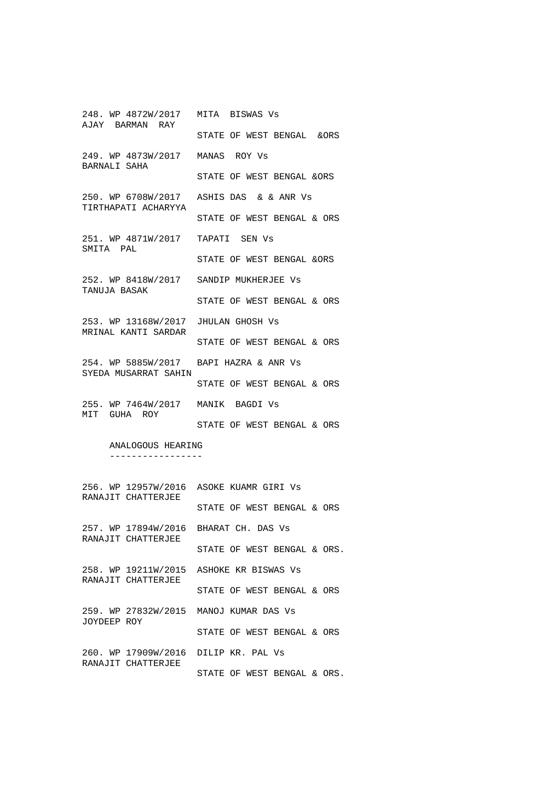248. WP 4872W/2017 MITA BISWAS Vs AJAY BARMAN RAY STATE OF WEST BENGAL &ORS 249. WP 4873W/2017 MANAS ROY Vs BARNALI SAHA STATE OF WEST BENGAL &ORS 250. WP 6708W/2017 ASHIS DAS & & ANR Vs TIRTHAPATI ACHARYYA STATE OF WEST BENGAL & ORS 251. WP 4871W/2017 TAPATI SEN Vs SMITA PAL STATE OF WEST BENGAL &ORS 252. WP 8418W/2017 SANDIP MUKHERJEE Vs TANUJA BASAK STATE OF WEST BENGAL & ORS 253. WP 13168W/2017 JHULAN GHOSH Vs MRINAL KANTI SARDAR STATE OF WEST BENGAL & ORS 254. WP 5885W/2017 BAPI HAZRA & ANR Vs SYEDA MUSARRAT SAHIN STATE OF WEST BENGAL & ORS 255. WP 7464W/2017 MANIK BAGDI Vs MIT GUHA ROY STATE OF WEST BENGAL & ORS ANALOGOUS HEARING ----------------- 256. WP 12957W/2016 ASOKE KUAMR GIRI Vs RANAJIT CHATTERJEE STATE OF WEST BENGAL & ORS 257. WP 17894W/2016 BHARAT CH. DAS Vs RANAJIT CHATTERJEE STATE OF WEST BENGAL & ORS.

258. WP 19211W/2015 ASHOKE KR BISWAS Vs RANAJIT CHATTERJEE STATE OF WEST BENGAL & ORS 259. WP 27832W/2015 MANOJ KUMAR DAS Vs JOYDEEP ROY STATE OF WEST BENGAL & ORS 260. WP 17909W/2016 DILIP KR. PAL Vs

RANAJIT CHATTERJEE STATE OF WEST BENGAL & ORS.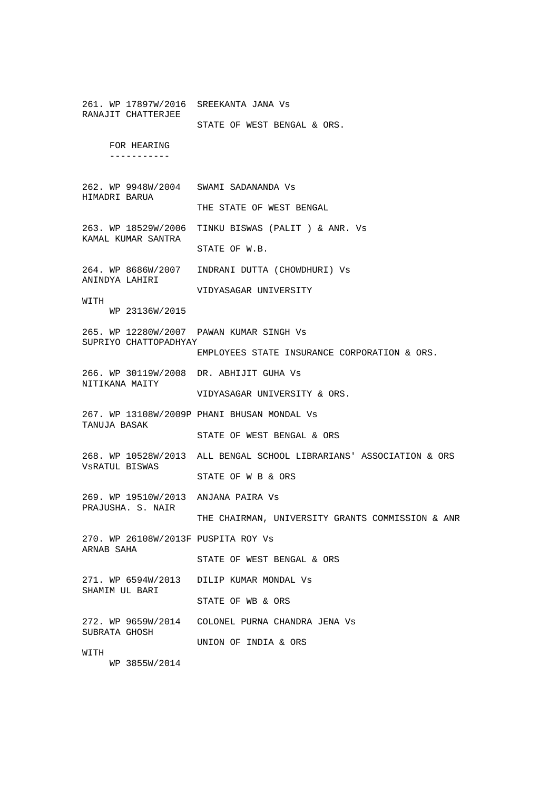261. WP 17897W/2016 SREEKANTA JANA Vs RANAJIT CHATTERJEE STATE OF WEST BENGAL & ORS. FOR HEARING ----------- 262. WP 9948W/2004 SWAMI SADANANDA Vs HIMADRI BARUA THE STATE OF WEST BENGAL 263. WP 18529W/2006 TINKU BISWAS (PALIT ) & ANR. Vs KAMAL KUMAR SANTRA STATE OF W.B. 264. WP 8686W/2007 INDRANI DUTTA (CHOWDHURI) Vs ANINDYA LAHIRI VIDYASAGAR UNIVERSITY WITH WP 23136W/2015 265. WP 12280W/2007 PAWAN KUMAR SINGH Vs SUPRIYO CHATTOPADHYAY EMPLOYEES STATE INSURANCE CORPORATION & ORS. 266. WP 30119W/2008 DR. ABHIJIT GUHA Vs NITIKANA MAITY VIDYASAGAR UNIVERSITY & ORS. 267. WP 13108W/2009P PHANI BHUSAN MONDAL Vs TANUJA BASAK STATE OF WEST BENGAL & ORS 268. WP 10528W/2013 ALL BENGAL SCHOOL LIBRARIANS' ASSOCIATION & ORS VsRATUL BISWAS STATE OF W B & ORS 269. WP 19510W/2013 ANJANA PAIRA Vs PRAJUSHA. S. NAIR THE CHAIRMAN, UNIVERSITY GRANTS COMMISSION & ANR 270. WP 26108W/2013F PUSPITA ROY Vs ARNAB SAHA STATE OF WEST BENGAL & ORS 271. WP 6594W/2013 DILIP KUMAR MONDAL Vs SHAMIM UL BARI STATE OF WB & ORS 272. WP 9659W/2014 COLONEL PURNA CHANDRA JENA Vs SUBRATA GHOSH UNION OF INDIA & ORS WITH WP 3855W/2014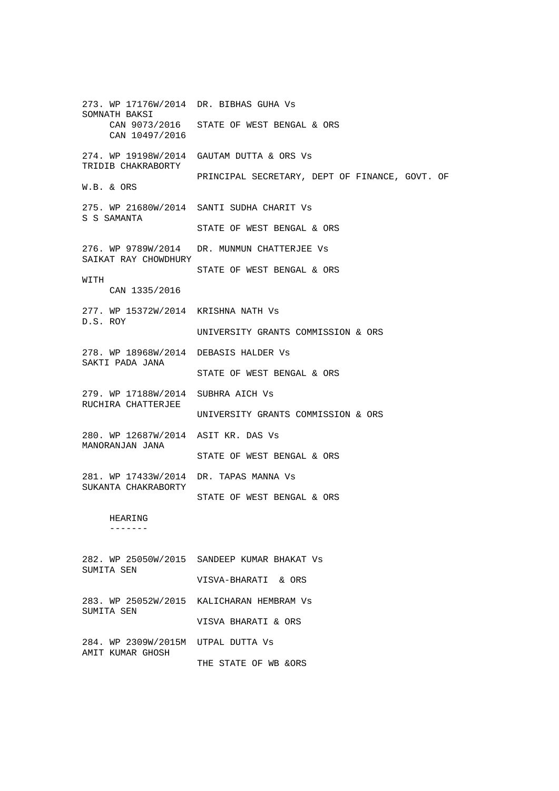273. WP 17176W/2014 DR. BIBHAS GUHA Vs SOMNATH BAKSI CAN 9073/2016 STATE OF WEST BENGAL & ORS CAN 10497/2016 274. WP 19198W/2014 GAUTAM DUTTA & ORS Vs TRIDIB CHAKRABORTY PRINCIPAL SECRETARY, DEPT OF FINANCE, GOVT. OF W.B. & ORS 275. WP 21680W/2014 SANTI SUDHA CHARIT Vs S S SAMANTA STATE OF WEST BENGAL & ORS 276. WP 9789W/2014 DR. MUNMUN CHATTERJEE Vs SAIKAT RAY CHOWDHURY STATE OF WEST BENGAL & ORS WITH CAN 1335/2016 277. WP 15372W/2014 KRISHNA NATH Vs D.S. ROY UNIVERSITY GRANTS COMMISSION & ORS 278. WP 18968W/2014 DEBASIS HALDER Vs SAKTI PADA JANA STATE OF WEST BENGAL & ORS 279. WP 17188W/2014 SUBHRA AICH Vs RUCHIRA CHATTERJEE UNIVERSITY GRANTS COMMISSION & ORS 280. WP 12687W/2014 ASIT KR. DAS Vs MANORANJAN JANA STATE OF WEST BENGAL & ORS 281. WP 17433W/2014 DR. TAPAS MANNA Vs SUKANTA CHAKRABORTY STATE OF WEST BENGAL & ORS HEARING ------- 282. WP 25050W/2015 SANDEEP KUMAR BHAKAT Vs SUMITA SEN VISVA-BHARATI & ORS

283. WP 25052W/2015 KALICHARAN HEMBRAM Vs SUMITA SEN

VISVA BHARATI & ORS

284. WP 2309W/2015M UTPAL DUTTA Vs AMIT KUMAR GHOSH THE STATE OF WB &ORS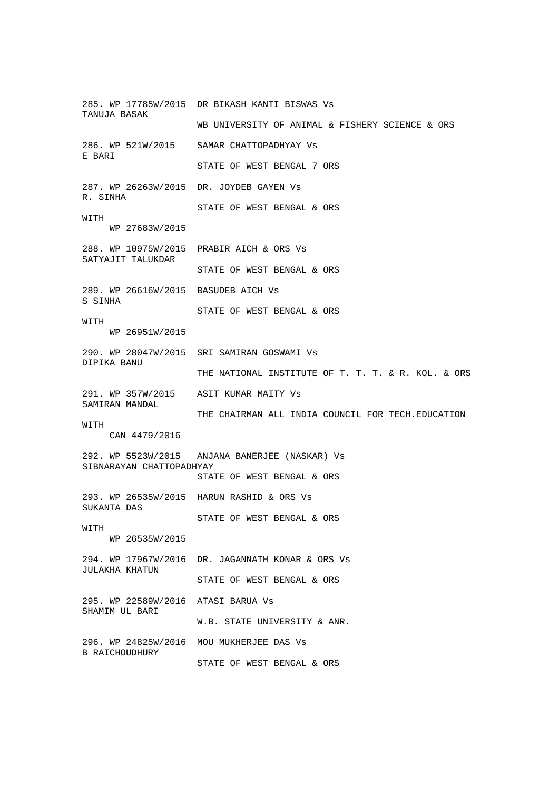285. WP 17785W/2015 DR BIKASH KANTI BISWAS Vs TANUJA BASAK WB UNIVERSITY OF ANIMAL & FISHERY SCIENCE & ORS 286. WP 521W/2015 SAMAR CHATTOPADHYAY Vs E BARI STATE OF WEST BENGAL 7 ORS 287. WP 26263W/2015 DR. JOYDEB GAYEN Vs R. SINHA STATE OF WEST BENGAL & ORS WITH WP 27683W/2015 288. WP 10975W/2015 PRABIR AICH & ORS Vs SATYAJIT TALUKDAR STATE OF WEST BENGAL & ORS 289. WP 26616W/2015 BASUDEB AICH Vs S SINHA STATE OF WEST BENGAL & ORS WITH WP 26951W/2015 290. WP 28047W/2015 SRI SAMIRAN GOSWAMI Vs DIPIKA BANU THE NATIONAL INSTITUTE OF T. T. T. & R. KOL. & ORS 291. WP 357W/2015 ASIT KUMAR MAITY Vs SAMIRAN MANDAL THE CHAIRMAN ALL INDIA COUNCIL FOR TECH.EDUCATION **WITH**  CAN 4479/2016 292. WP 5523W/2015 ANJANA BANERJEE (NASKAR) Vs SIBNARAYAN CHATTOPADHYAY STATE OF WEST BENGAL & ORS 293. WP 26535W/2015 HARUN RASHID & ORS Vs SUKANTA DAS STATE OF WEST BENGAL & ORS **WITH**  WP 26535W/2015 294. WP 17967W/2016 DR. JAGANNATH KONAR & ORS Vs JULAKHA KHATUN STATE OF WEST BENGAL & ORS 295. WP 22589W/2016 ATASI BARUA Vs SHAMIM UL BARI W.B. STATE UNIVERSITY & ANR. 296. WP 24825W/2016 MOU MUKHERJEE DAS Vs B RAICHOUDHURY

STATE OF WEST BENGAL & ORS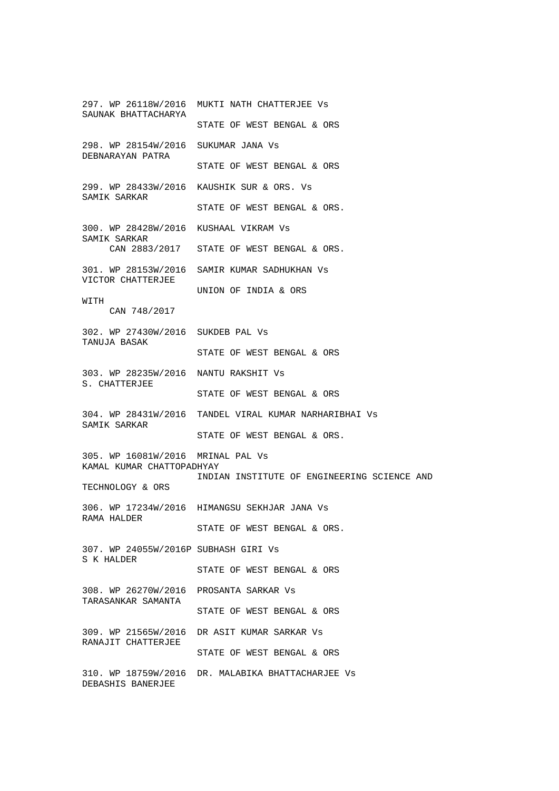297. WP 26118W/2016 MUKTI NATH CHATTERJEE Vs SAUNAK BHATTACHARYA STATE OF WEST BENGAL & ORS 298. WP 28154W/2016 SUKUMAR JANA Vs DEBNARAYAN PATRA STATE OF WEST BENGAL & ORS 299. WP 28433W/2016 KAUSHIK SUR & ORS. Vs SAMIK SARKAR STATE OF WEST BENGAL & ORS. 300. WP 28428W/2016 KUSHAAL VIKRAM Vs SAMIK SARKAR CAN 2883/2017 STATE OF WEST BENGAL & ORS. 301. WP 28153W/2016 SAMIR KUMAR SADHUKHAN Vs VICTOR CHATTERJEE UNION OF INDIA & ORS WITH CAN 748/2017 302. WP 27430W/2016 SUKDEB PAL Vs TANUJA BASAK STATE OF WEST BENGAL & ORS 303. WP 28235W/2016 NANTU RAKSHIT Vs S. CHATTERJEE STATE OF WEST BENGAL & ORS 304. WP 28431W/2016 TANDEL VIRAL KUMAR NARHARIBHAI Vs SAMIK SARKAR STATE OF WEST BENGAL & ORS. 305. WP 16081W/2016 MRINAL PAL Vs KAMAL KUMAR CHATTOPADHYAY INDIAN INSTITUTE OF ENGINEERING SCIENCE AND TECHNOLOGY & ORS 306. WP 17234W/2016 HIMANGSU SEKHJAR JANA Vs RAMA HALDER STATE OF WEST BENGAL & ORS. 307. WP 24055W/2016P SUBHASH GIRI Vs S K HALDER STATE OF WEST BENGAL & ORS 308. WP 26270W/2016 PROSANTA SARKAR Vs TARASANKAR SAMANTA STATE OF WEST BENGAL & ORS 309. WP 21565W/2016 DR ASIT KUMAR SARKAR Vs RANAJIT CHATTERJEE STATE OF WEST BENGAL & ORS 310. WP 18759W/2016 DR. MALABIKA BHATTACHARJEE Vs DEBASHIS BANERJEE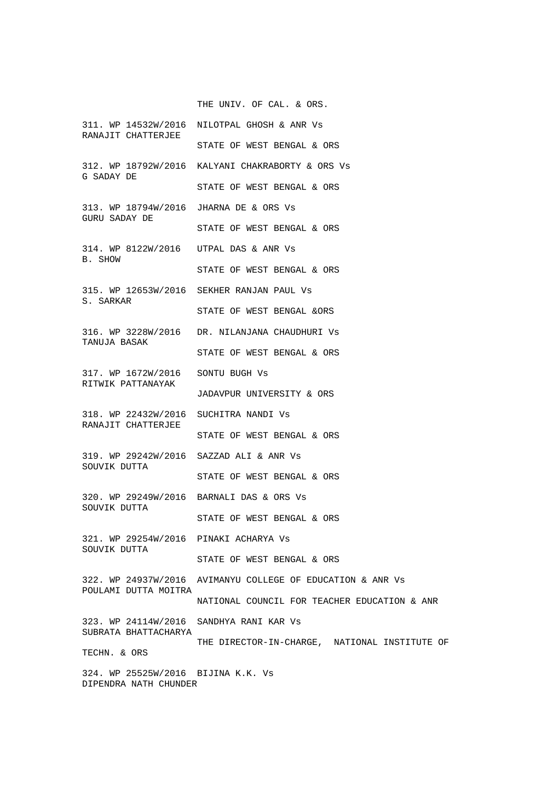THE UNIV. OF CAL. & ORS.

311. WP 14532W/2016 NILOTPAL GHOSH & ANR Vs RANAJIT CHATTERJEE STATE OF WEST BENGAL & ORS 312. WP 18792W/2016 KALYANI CHAKRABORTY & ORS Vs G SADAY DE STATE OF WEST BENGAL & ORS 313. WP 18794W/2016 JHARNA DE & ORS Vs GURU SADAY DE STATE OF WEST BENGAL & ORS 314. WP 8122W/2016 UTPAL DAS & ANR Vs B. SHOW STATE OF WEST BENGAL & ORS 315. WP 12653W/2016 SEKHER RANJAN PAUL Vs S. SARKAR STATE OF WEST BENGAL &ORS 316. WP 3228W/2016 DR. NILANJANA CHAUDHURI Vs TANUJA BASAK STATE OF WEST BENGAL & ORS 317. WP 1672W/2016 SONTU BUGH Vs RITWIK PATTANAYAK JADAVPUR UNIVERSITY & ORS 318. WP 22432W/2016 SUCHITRA NANDI Vs RANAJIT CHATTERJEE STATE OF WEST BENGAL & ORS 319. WP 29242W/2016 SAZZAD ALI & ANR Vs SOUVIK DUTTA STATE OF WEST BENGAL & ORS 320. WP 29249W/2016 BARNALI DAS & ORS Vs SOUVIK DUTTA STATE OF WEST BENGAL & ORS 321. WP 29254W/2016 PINAKI ACHARYA Vs SOUVIK DUTTA STATE OF WEST BENGAL & ORS 322. WP 24937W/2016 AVIMANYU COLLEGE OF EDUCATION & ANR Vs POULAMI DUTTA MOITRA NATIONAL COUNCIL FOR TEACHER EDUCATION & ANR 323. WP 24114W/2016 SANDHYA RANI KAR Vs SUBRATA BHATTACHARYA THE DIRECTOR-IN-CHARGE, NATIONAL INSTITUTE OF TECHN. & ORS 324. WP 25525W/2016 BIJINA K.K. Vs DIPENDRA NATH CHUNDER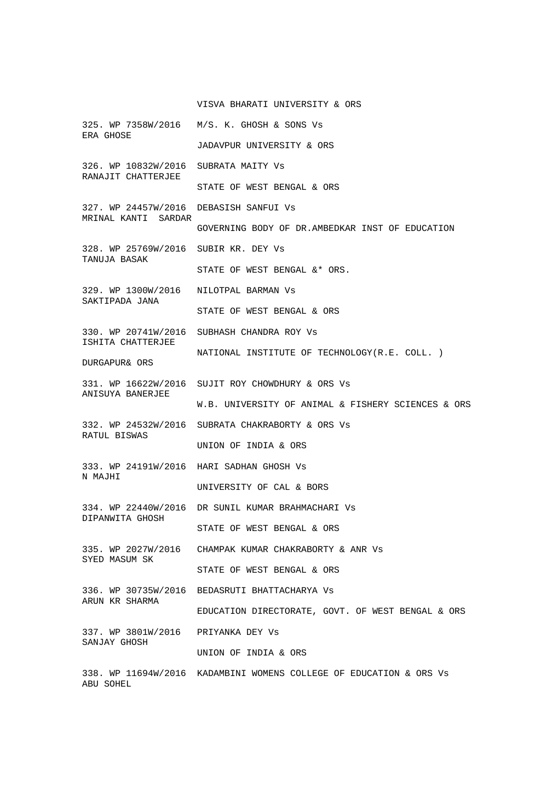## VISVA BHARATI UNIVERSITY & ORS

325. WP 7358W/2016 M/S. K. GHOSH & SONS Vs ERA GHOSE JADAVPUR UNIVERSITY & ORS 326. WP 10832W/2016 SUBRATA MAITY Vs RANAJIT CHATTERJEE STATE OF WEST BENGAL & ORS 327. WP 24457W/2016 DEBASISH SANFUI Vs MRINAL KANTI SARDAR GOVERNING BODY OF DR.AMBEDKAR INST OF EDUCATION 328. WP 25769W/2016 SUBIR KR. DEY Vs TANUJA BASAK STATE OF WEST BENGAL &\* ORS. 329. WP 1300W/2016 NILOTPAL BARMAN Vs SAKTIPADA JANA STATE OF WEST BENGAL & ORS 330. WP 20741W/2016 SUBHASH CHANDRA ROY Vs ISHITA CHATTERJEE NATIONAL INSTITUTE OF TECHNOLOGY(R.E. COLL. ) DURGAPUR& ORS 331. WP 16622W/2016 SUJIT ROY CHOWDHURY & ORS Vs ANISUYA BANERJEE W.B. UNIVERSITY OF ANIMAL & FISHERY SCIENCES & ORS 332. WP 24532W/2016 SUBRATA CHAKRABORTY & ORS Vs RATUL BISWAS UNION OF INDIA & ORS 333. WP 24191W/2016 HARI SADHAN GHOSH Vs N MAJHI UNIVERSITY OF CAL & BORS 334. WP 22440W/2016 DR SUNIL KUMAR BRAHMACHARI Vs DIPANWITA GHOSH STATE OF WEST BENGAL & ORS 335. WP 2027W/2016 CHAMPAK KUMAR CHAKRABORTY & ANR Vs SYED MASUM SK STATE OF WEST BENGAL & ORS 336. WP 30735W/2016 BEDASRUTI BHATTACHARYA Vs ARUN KR SHARMA EDUCATION DIRECTORATE, GOVT. OF WEST BENGAL & ORS 337. WP 3801W/2016 PRIYANKA DEY Vs SANJAY GHOSH UNION OF INDIA & ORS 338. WP 11694W/2016 KADAMBINI WOMENS COLLEGE OF EDUCATION & ORS Vs ABU SOHEL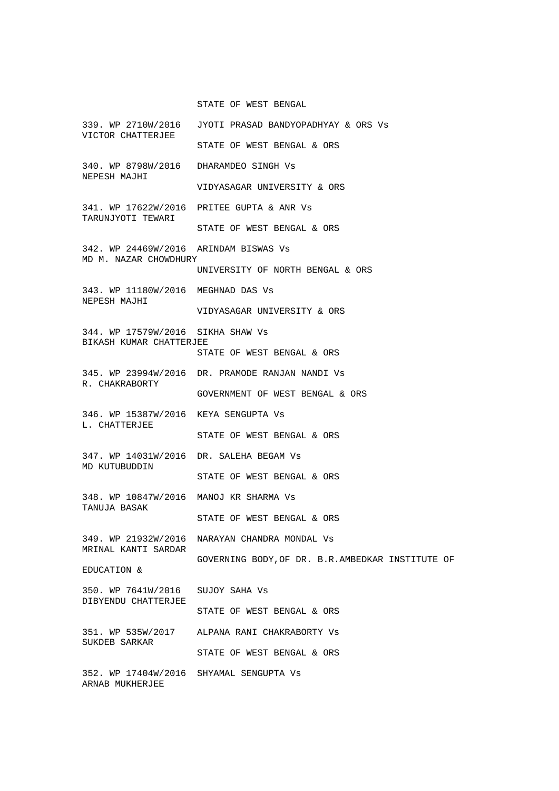STATE OF WEST BENGAL

| VICTOR CHATTERJEE                                              | 339. WP 2710W/2016 JYOTI PRASAD BANDYOPADHYAY & ORS Vs |
|----------------------------------------------------------------|--------------------------------------------------------|
|                                                                | STATE OF WEST BENGAL & ORS                             |
| 340. WP 8798W/2016 DHARAMDEO SINGH Vs<br>NEPESH MAJHI          |                                                        |
|                                                                | VIDYASAGAR UNIVERSITY & ORS                            |
| TARUNJYOTI TEWARI                                              | 341. WP 17622W/2016 PRITEE GUPTA & ANR Vs              |
|                                                                | STATE OF WEST BENGAL & ORS                             |
| 342. WP 24469W/2016 ARINDAM BISWAS Vs<br>MD M. NAZAR CHOWDHURY |                                                        |
|                                                                | UNIVERSITY OF NORTH BENGAL & ORS                       |
| 343. WP 11180W/2016 MEGHNAD DAS Vs<br>NEPESH MAJHI             |                                                        |
|                                                                | VIDYASAGAR UNIVERSITY & ORS                            |
| 344. WP 17579W/2016 SIKHA SHAW Vs<br>BIKASH KUMAR CHATTERJEE   |                                                        |
|                                                                | STATE OF WEST BENGAL & ORS                             |
| R. CHAKRABORTY                                                 | 345. WP 23994W/2016 DR. PRAMODE RANJAN NANDI Vs        |
|                                                                | GOVERNMENT OF WEST BENGAL & ORS                        |
| 346. WP 15387W/2016 KEYA SENGUPTA Vs<br>L. CHATTERJEE          |                                                        |
|                                                                | STATE OF WEST BENGAL & ORS                             |
| 347. WP 14031W/2016 DR. SALEHA BEGAM Vs<br>MD KUTUBUDDIN       |                                                        |
|                                                                | STATE OF WEST BENGAL & ORS                             |
| 348. WP 10847W/2016 MANOJ KR SHARMA Vs<br>TANUJA BASAK         |                                                        |
|                                                                | STATE OF WEST BENGAL & ORS                             |
| MRINAL KANTI SARDAR                                            | 349. WP 21932W/2016 NARAYAN CHANDRA MONDAL Vs          |
| EDUCATION &                                                    | GOVERNING BODY, OF DR. B.R. AMBEDKAR INSTITUTE OF      |
| 350. WP 7641W/2016 SUJOY SAHA Vs<br>DIBYENDU CHATTERJEE        |                                                        |
|                                                                | STATE OF WEST BENGAL & ORS                             |
| SUKDEB SARKAR                                                  | 351. WP 535W/2017 ALPANA RANI CHAKRABORTY Vs           |
|                                                                | STATE OF WEST BENGAL & ORS                             |
| 352. WP 17404W/2016 SHYAMAL SENGUPTA Vs<br>ARNAB MUKHERJEE     |                                                        |